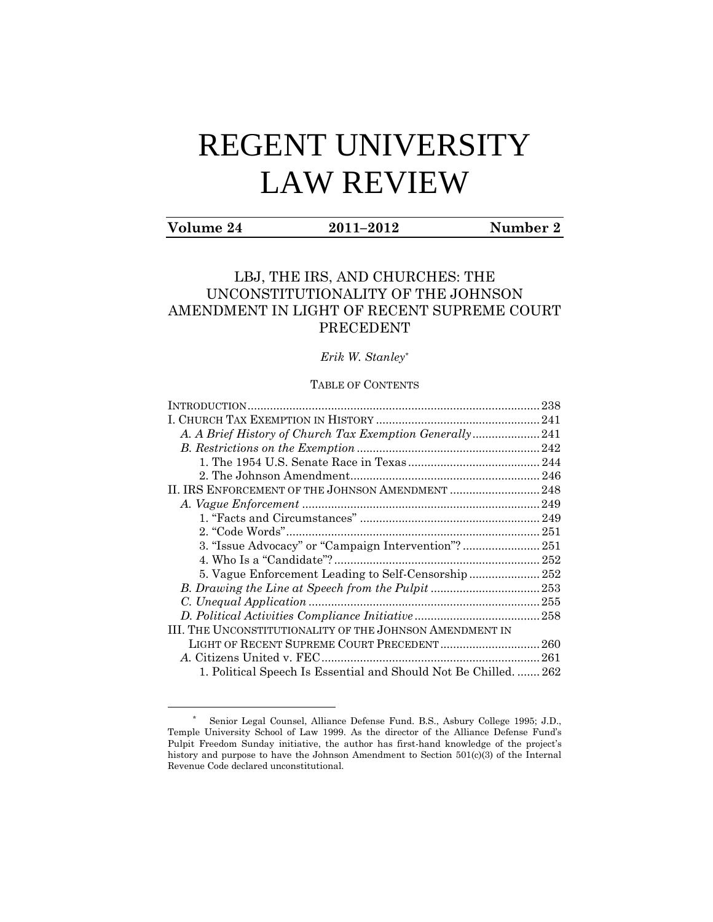# REGENT UNIVERSITY LAW REVIEW

# **Volume 24 2011–2012 Number 2**

 $\overline{a}$ 

# LBJ, THE IRS, AND CHURCHES: THE UNCONSTITUTIONALITY OF THE JOHNSON AMENDMENT IN LIGHT OF RECENT SUPREME COURT PRECEDENT

*Erik W. Stanley*\*

# TABLE OF CONTENTS

| A. A Brief History of Church Tax Exemption Generally241          |  |
|------------------------------------------------------------------|--|
|                                                                  |  |
|                                                                  |  |
|                                                                  |  |
|                                                                  |  |
|                                                                  |  |
|                                                                  |  |
|                                                                  |  |
|                                                                  |  |
|                                                                  |  |
| 5. Vague Enforcement Leading to Self-Censorship 252              |  |
|                                                                  |  |
|                                                                  |  |
|                                                                  |  |
| III. THE UNCONSTITUTIONALITY OF THE JOHNSON AMENDMENT IN         |  |
| LIGHT OF RECENT SUPREME COURT PRECEDENT 260                      |  |
|                                                                  |  |
| 1. Political Speech Is Essential and Should Not Be Chilled.  262 |  |
|                                                                  |  |

<sup>\*</sup> Senior Legal Counsel, Alliance Defense Fund. B.S., Asbury College 1995; J.D., Temple University School of Law 1999. As the director of the Alliance Defense Fund's Pulpit Freedom Sunday initiative, the author has first-hand knowledge of the project's history and purpose to have the Johnson Amendment to Section 501(c)(3) of the Internal Revenue Code declared unconstitutional.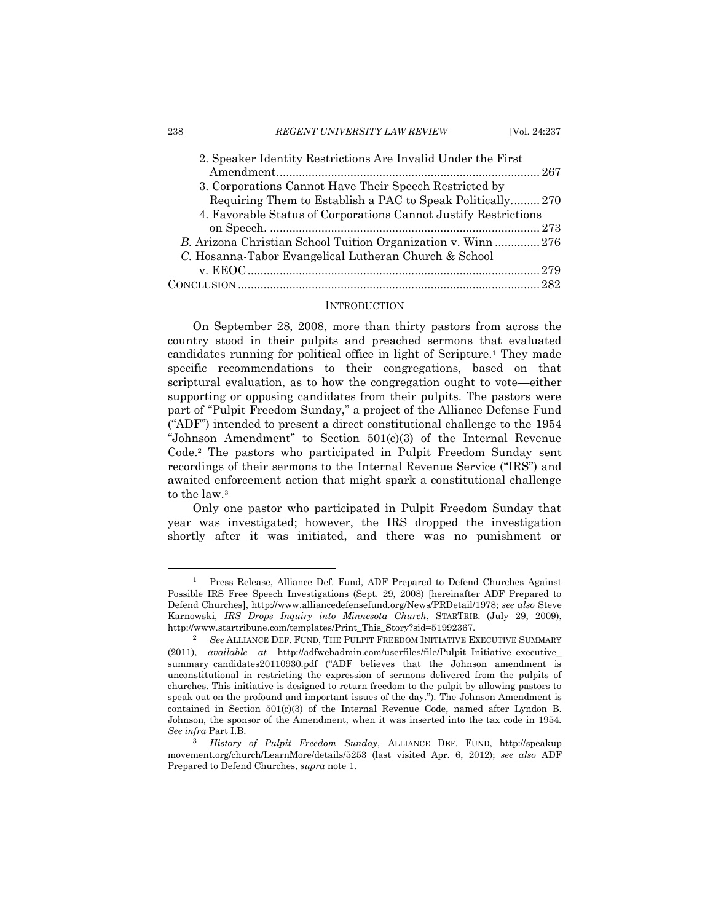| 2. Speaker Identity Restrictions Are Invalid Under the First    |  |
|-----------------------------------------------------------------|--|
|                                                                 |  |
| 3. Corporations Cannot Have Their Speech Restricted by          |  |
| Requiring Them to Establish a PAC to Speak Politically270       |  |
| 4. Favorable Status of Corporations Cannot Justify Restrictions |  |
|                                                                 |  |
| B. Arizona Christian School Tuition Organization v. Winn276     |  |
| C. Hosanna-Tabor Evangelical Lutheran Church & School           |  |
|                                                                 |  |
|                                                                 |  |

#### <span id="page-1-1"></span>**INTRODUCTION**

<span id="page-1-0"></span>On September 28, 2008, more than thirty pastors from across the country stood in their pulpits and preached sermons that evaluated candidates running for political office in light of Scripture.<sup>1</sup> They made specific recommendations to their congregations, based on that scriptural evaluation, as to how the congregation ought to vote—either supporting or opposing candidates from their pulpits. The pastors were part of "Pulpit Freedom Sunday," a project of the Alliance Defense Fund ("ADF") intended to present a direct constitutional challenge to the 1954 "Johnson Amendment" to Section 501(c)(3) of the Internal Revenue Code. <sup>2</sup> The pastors who participated in Pulpit Freedom Sunday sent recordings of their sermons to the Internal Revenue Service ("IRS") and awaited enforcement action that might spark a constitutional challenge to the law. 3

Only one pastor who participated in Pulpit Freedom Sunday that year was investigated; however, the IRS dropped the investigation shortly after it was initiated, and there was no punishment or

<sup>1</sup> Press Release, Alliance Def. Fund, ADF Prepared to Defend Churches Against Possible IRS Free Speech Investigations (Sept. 29, 2008) [hereinafter ADF Prepared to Defend Churches], http://www.alliancedefensefund.org/News/PRDetail/1978; *see also* Steve Karnowski, *IRS Drops Inquiry into Minnesota Church*, STARTRIB. (July 29, 2009), http://www.startribune.com/templates/Print\_This\_Story?sid=51992367.

<sup>2</sup> *See* ALLIANCE DEF. FUND, THE PULPIT FREEDOM INITIATIVE EXECUTIVE SUMMARY (2011), *available at* http://adfwebadmin.com/userfiles/file/Pulpit\_Initiative\_executive\_ summary\_candidates20110930.pdf ("ADF believes that the Johnson amendment is unconstitutional in restricting the expression of sermons delivered from the pulpits of churches. This initiative is designed to return freedom to the pulpit by allowing pastors to speak out on the profound and important issues of the day."). The Johnson Amendment is contained in Section 501(c)(3) of the Internal Revenue Code, named after Lyndon B. Johnson, the sponsor of the Amendment, when it was inserted into the tax code in 1954. *See infra* Part I.B.

<sup>3</sup> *History of Pulpit Freedom Sunday*, ALLIANCE DEF. FUND, http://speakup movement.org/church/LearnMore/details/5253 (last visited Apr. 6, 2012); *see also* ADF Prepared to Defend Churches, *supra* not[e 1.](#page-1-1)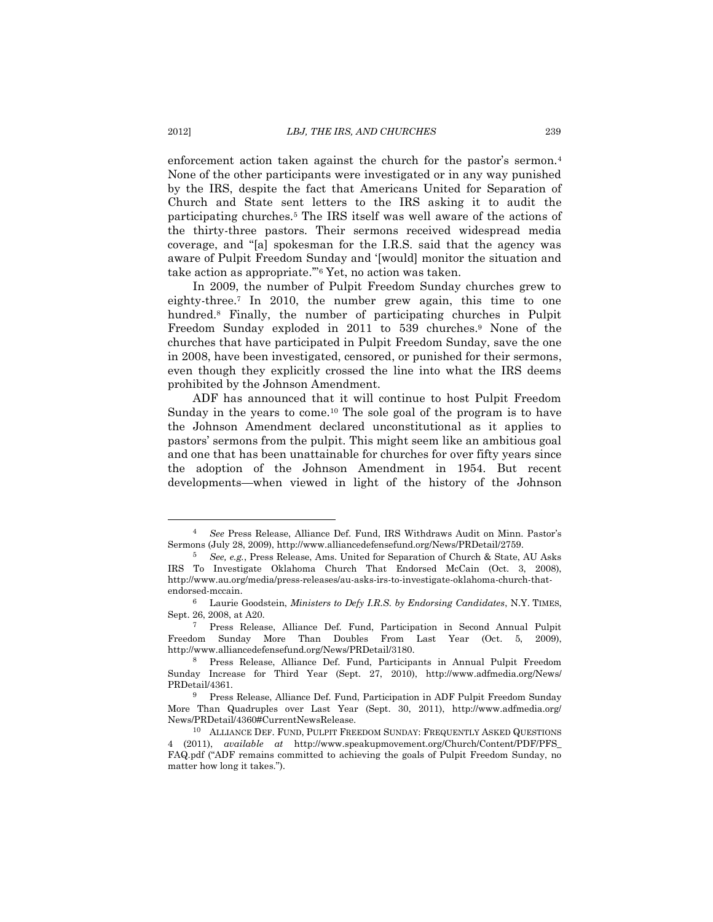<span id="page-2-0"></span>enforcement action taken against the church for the pastor's sermon.<sup>4</sup> None of the other participants were investigated or in any way punished by the IRS, despite the fact that Americans United for Separation of Church and State sent letters to the IRS asking it to audit the participating churches.<sup>5</sup> The IRS itself was well aware of the actions of the thirty-three pastors. Their sermons received widespread media coverage, and "[a] spokesman for the I.R.S. said that the agency was aware of Pulpit Freedom Sunday and '[would] monitor the situation and take action as appropriate.'"<sup>6</sup> Yet, no action was taken.

In 2009, the number of Pulpit Freedom Sunday churches grew to eighty-three.<sup>7</sup> In 2010, the number grew again, this time to one hundred.<sup>8</sup> Finally, the number of participating churches in Pulpit Freedom Sunday exploded in 2011 to 539 churches.<sup>9</sup> None of the churches that have participated in Pulpit Freedom Sunday, save the one in 2008, have been investigated, censored, or punished for their sermons, even though they explicitly crossed the line into what the IRS deems prohibited by the Johnson Amendment.

ADF has announced that it will continue to host Pulpit Freedom Sunday in the years to come.<sup>10</sup> The sole goal of the program is to have the Johnson Amendment declared unconstitutional as it applies to pastors' sermons from the pulpit. This might seem like an ambitious goal and one that has been unattainable for churches for over fifty years since the adoption of the Johnson Amendment in 1954. But recent developments—when viewed in light of the history of the Johnson

<sup>4</sup> *See* Press Release, Alliance Def. Fund, IRS Withdraws Audit on Minn. Pastor's Sermons (July 28, 2009), http://www.alliancedefensefund.org/News/PRDetail/2759.

<sup>5</sup> *See, e.g.*, Press Release, Ams. United for Separation of Church & State, AU Asks IRS To Investigate Oklahoma Church That Endorsed McCain (Oct. 3, 2008), [http://www.au.org/media/press-releases/au-asks-irs-to-investigate-oklahoma-church-that](http://www.au.org/media/press-releases/au-asks-irs-to-investigate-oklahoma-church-that-endorsed-mccain)[endorsed-mccain.](http://www.au.org/media/press-releases/au-asks-irs-to-investigate-oklahoma-church-that-endorsed-mccain)

<sup>6</sup> Laurie Goodstein, *Ministers to Defy I.R.S. by Endorsing Candidates*, N.Y. TIMES, Sept. 26, 2008, at A20.

<sup>7</sup> Press Release, Alliance Def. Fund, Participation in Second Annual Pulpit Freedom Sunday More Than Doubles From Last Year (Oct. 5, 2009), [http://www.alliancedefensefund.org/News/PRDetail/3180.](http://www.alliancedefensefund.org/News/PRDetail/3180)

<sup>8</sup> Press Release, Alliance Def. Fund, Participants in Annual Pulpit Freedom Sunday Increase for Third Year (Sept. 27, 2010), http://www.adfmedia.org/News/ PRDetail/4361.

<sup>9</sup> Press Release, Alliance Def. Fund, Participation in ADF Pulpit Freedom Sunday More Than Quadruples over Last Year (Sept. 30, 2011), http://www.adfmedia.org/ News/PRDetail/4360#CurrentNewsRelease.

<sup>10</sup> ALLIANCE DEF. FUND, PULPIT FREEDOM SUNDAY: FREQUENTLY ASKED QUESTIONS 4 (2011), *available at* http://www.speakupmovement.org/Church/Content/PDF/PFS\_ FAQ.pdf ("ADF remains committed to achieving the goals of Pulpit Freedom Sunday, no matter how long it takes.").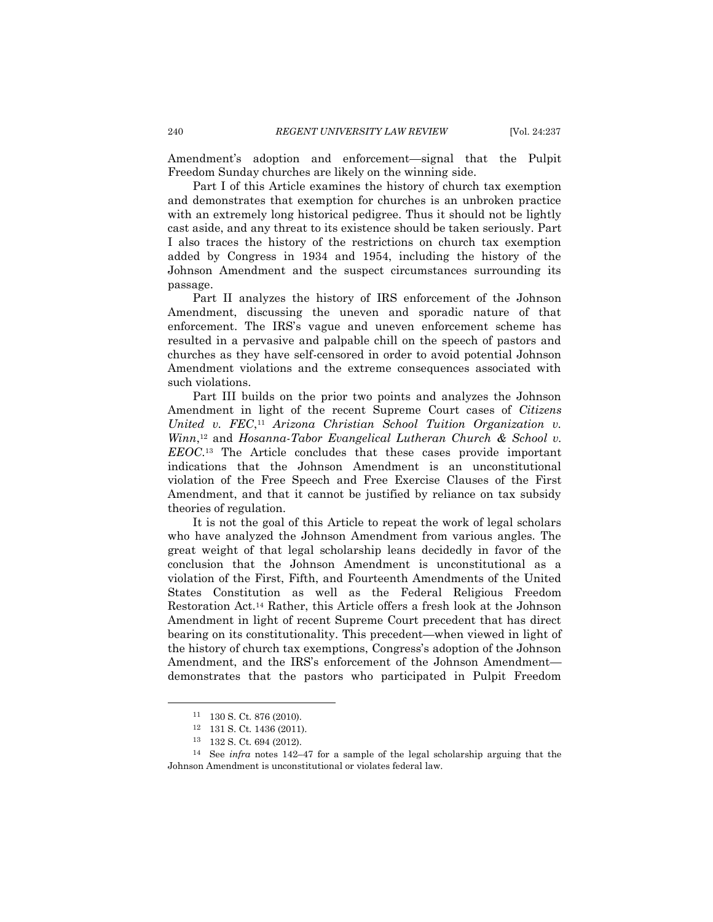Amendment's adoption and enforcement—signal that the Pulpit Freedom Sunday churches are likely on the winning side.

Part I of this Article examines the history of church tax exemption and demonstrates that exemption for churches is an unbroken practice with an extremely long historical pedigree. Thus it should not be lightly cast aside, and any threat to its existence should be taken seriously. Part I also traces the history of the restrictions on church tax exemption added by Congress in 1934 and 1954, including the history of the Johnson Amendment and the suspect circumstances surrounding its passage.

Part II analyzes the history of IRS enforcement of the Johnson Amendment, discussing the uneven and sporadic nature of that enforcement. The IRS's vague and uneven enforcement scheme has resulted in a pervasive and palpable chill on the speech of pastors and churches as they have self-censored in order to avoid potential Johnson Amendment violations and the extreme consequences associated with such violations.

Part III builds on the prior two points and analyzes the Johnson Amendment in light of the recent Supreme Court cases of *Citizens United v. FEC*, <sup>11</sup> *Arizona Christian School Tuition Organization v. Winn*, <sup>12</sup> and *Hosanna-Tabor Evangelical Lutheran Church & School v. EEOC*. <sup>13</sup> The Article concludes that these cases provide important indications that the Johnson Amendment is an unconstitutional violation of the Free Speech and Free Exercise Clauses of the First Amendment, and that it cannot be justified by reliance on tax subsidy theories of regulation.

It is not the goal of this Article to repeat the work of legal scholars who have analyzed the Johnson Amendment from various angles. The great weight of that legal scholarship leans decidedly in favor of the conclusion that the Johnson Amendment is unconstitutional as a violation of the First, Fifth, and Fourteenth Amendments of the United States Constitution as well as the Federal Religious Freedom Restoration Act.<sup>14</sup> Rather, this Article offers a fresh look at the Johnson Amendment in light of recent Supreme Court precedent that has direct bearing on its constitutionality. This precedent—when viewed in light of the history of church tax exemptions, Congress's adoption of the Johnson Amendment, and the IRS's enforcement of the Johnson Amendment demonstrates that the pastors who participated in Pulpit Freedom

<sup>11</sup> 130 S. Ct. 876 (2010).

<sup>12</sup> 131 S. Ct. 1436 (2011).

<sup>132</sup> S. Ct. 694 (2012).

<sup>14</sup> See *infra* notes [142](#page-23-1)–47 for a sample of the legal scholarship arguing that the Johnson Amendment is unconstitutional or violates federal law.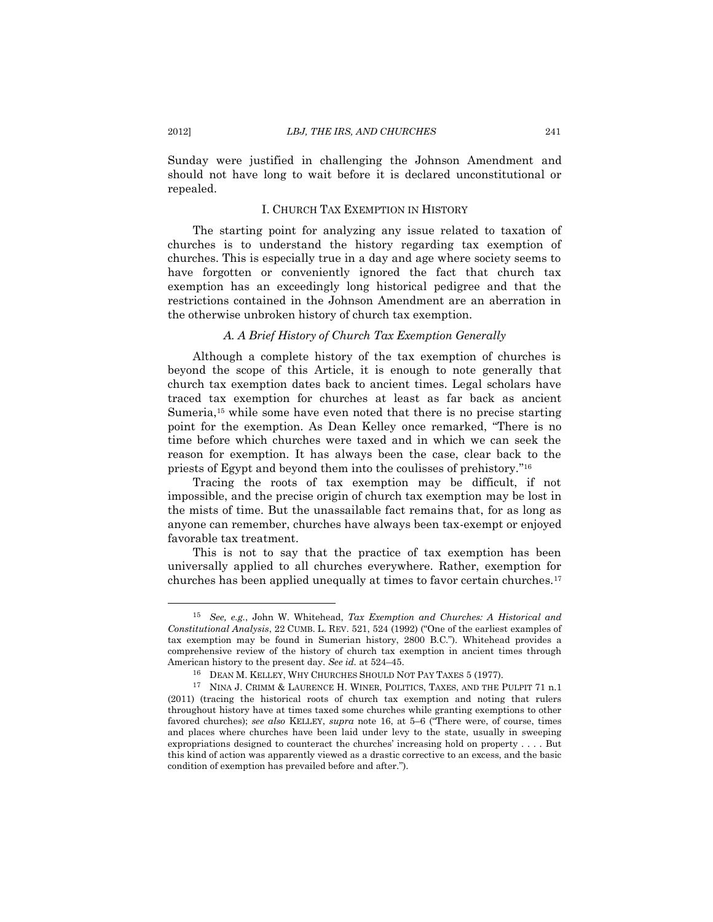Sunday were justified in challenging the Johnson Amendment and should not have long to wait before it is declared unconstitutional or repealed.

# I. CHURCH TAX EXEMPTION IN HISTORY

<span id="page-4-0"></span>The starting point for analyzing any issue related to taxation of churches is to understand the history regarding tax exemption of churches. This is especially true in a day and age where society seems to have forgotten or conveniently ignored the fact that church tax exemption has an exceedingly long historical pedigree and that the restrictions contained in the Johnson Amendment are an aberration in the otherwise unbroken history of church tax exemption.

# <span id="page-4-2"></span>*A. A Brief History of Church Tax Exemption Generally*

<span id="page-4-3"></span><span id="page-4-1"></span>Although a complete history of the tax exemption of churches is beyond the scope of this Article, it is enough to note generally that church tax exemption dates back to ancient times. Legal scholars have traced tax exemption for churches at least as far back as ancient Sumeria,<sup>15</sup> while some have even noted that there is no precise starting point for the exemption. As Dean Kelley once remarked, "There is no time before which churches were taxed and in which we can seek the reason for exemption. It has always been the case, clear back to the priests of Egypt and beyond them into the coulisses of prehistory." 16

Tracing the roots of tax exemption may be difficult, if not impossible, and the precise origin of church tax exemption may be lost in the mists of time. But the unassailable fact remains that, for as long as anyone can remember, churches have always been tax-exempt or enjoyed favorable tax treatment.

This is not to say that the practice of tax exemption has been universally applied to all churches everywhere. Rather, exemption for churches has been applied unequally at times to favor certain churches.<sup>17</sup>

<sup>15</sup> *See, e.g.*, John W. Whitehead, *Tax Exemption and Churches: A Historical and Constitutional Analysis*, 22 CUMB. L. REV. 521, 524 (1992) ("One of the earliest examples of tax exemption may be found in Sumerian history, 2800 B.C."). Whitehead provides a comprehensive review of the history of church tax exemption in ancient times through American history to the present day. *See id.* at 524–45.

<span id="page-4-4"></span><sup>16</sup> DEAN M. KELLEY, WHY CHURCHES SHOULD NOT PAY TAXES 5 (1977).

<sup>17</sup> NINA J. CRIMM & LAURENCE H. WINER, POLITICS, TAXES, AND THE PULPIT 71 n.1 (2011) (tracing the historical roots of church tax exemption and noting that rulers throughout history have at times taxed some churches while granting exemptions to other favored churches); *see also* KELLEY, *supra* note [16,](#page-4-2) at 5–6 ("There were, of course, times and places where churches have been laid under levy to the state, usually in sweeping expropriations designed to counteract the churches' increasing hold on property . . . . But this kind of action was apparently viewed as a drastic corrective to an excess, and the basic condition of exemption has prevailed before and after.").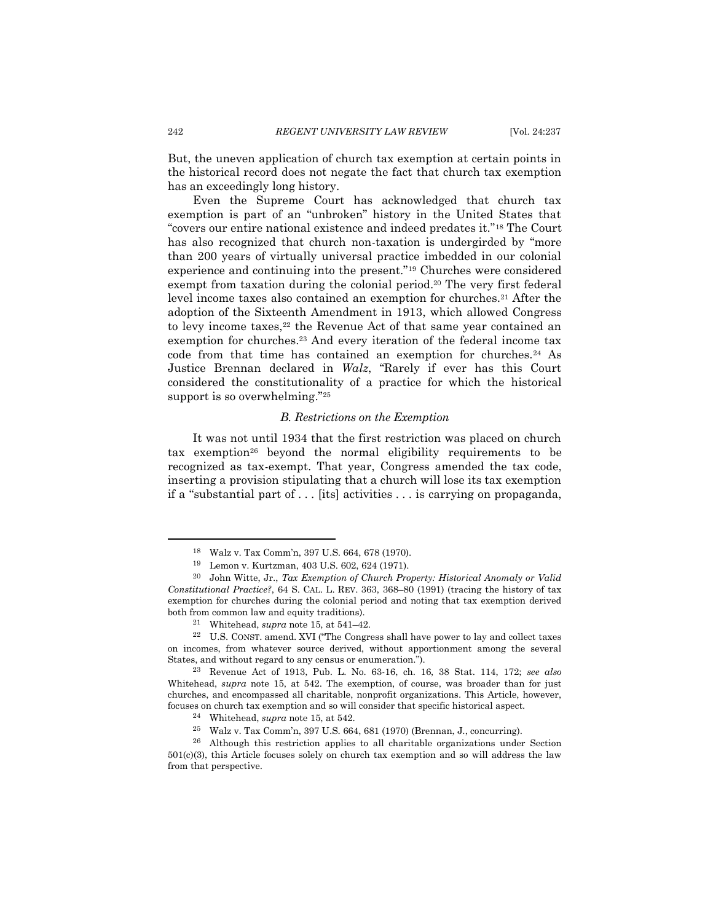But, the uneven application of church tax exemption at certain points in the historical record does not negate the fact that church tax exemption has an exceedingly long history.

Even the Supreme Court has acknowledged that church tax exemption is part of an "unbroken" history in the United States that "covers our entire national existence and indeed predates it."<sup>18</sup> The Court has also recognized that church non-taxation is undergirded by "more than 200 years of virtually universal practice imbedded in our colonial experience and continuing into the present."<sup>19</sup> Churches were considered exempt from taxation during the colonial period.<sup>20</sup> The very first federal level income taxes also contained an exemption for churches.<sup>21</sup> After the adoption of the Sixteenth Amendment in 1913, which allowed Congress to levy income taxes,<sup>22</sup> the Revenue Act of that same year contained an exemption for churches.<sup>23</sup> And every iteration of the federal income tax code from that time has contained an exemption for churches.<sup>24</sup> As Justice Brennan declared in *Walz*, "Rarely if ever has this Court considered the constitutionality of a practice for which the historical support is so overwhelming."<sup>25</sup>

#### *B. Restrictions on the Exemption*

<span id="page-5-0"></span>It was not until 1934 that the first restriction was placed on church tax exemption<sup>26</sup> beyond the normal eligibility requirements to be recognized as tax-exempt. That year, Congress amended the tax code, inserting a provision stipulating that a church will lose its tax exemption if a "substantial part of . . . [its] activities . . . is carrying on propaganda,

<sup>18</sup> Walz v. Tax Comm'n, 397 U.S. 664, 678 (1970).

<sup>19</sup> Lemon v. Kurtzman, 403 U.S. 602, 624 (1971).

<sup>20</sup> John Witte, Jr., *Tax Exemption of Church Property: Historical Anomaly or Valid Constitutional Practice?*, 64 S. CAL. L. REV. 363, 368–80 (1991) (tracing the history of tax exemption for churches during the colonial period and noting that tax exemption derived both from common law and equity traditions).

<sup>21</sup> Whitehead, *supra* not[e 15,](#page-4-3) at 541–42.

<sup>22</sup> U.S. CONST. amend. XVI ("The Congress shall have power to lay and collect taxes on incomes, from whatever source derived, without apportionment among the several States, and without regard to any census or enumeration.").

<sup>23</sup> Revenue Act of 1913, Pub. L. No. 63-16, ch. 16, 38 Stat. 114, 172; *see also* Whitehead, *supra* note [15,](#page-4-3) at 542. The exemption, of course, was broader than for just churches, and encompassed all charitable, nonprofit organizations. This Article, however, focuses on church tax exemption and so will consider that specific historical aspect.

<sup>24</sup> Whitehead, *supra* not[e 15,](#page-4-3) at 542.

<sup>25</sup> Walz v. Tax Comm'n, 397 U.S. 664, 681 (1970) (Brennan, J., concurring).

<sup>26</sup> Although this restriction applies to all charitable organizations under Section 501(c)(3), this Article focuses solely on church tax exemption and so will address the law from that perspective.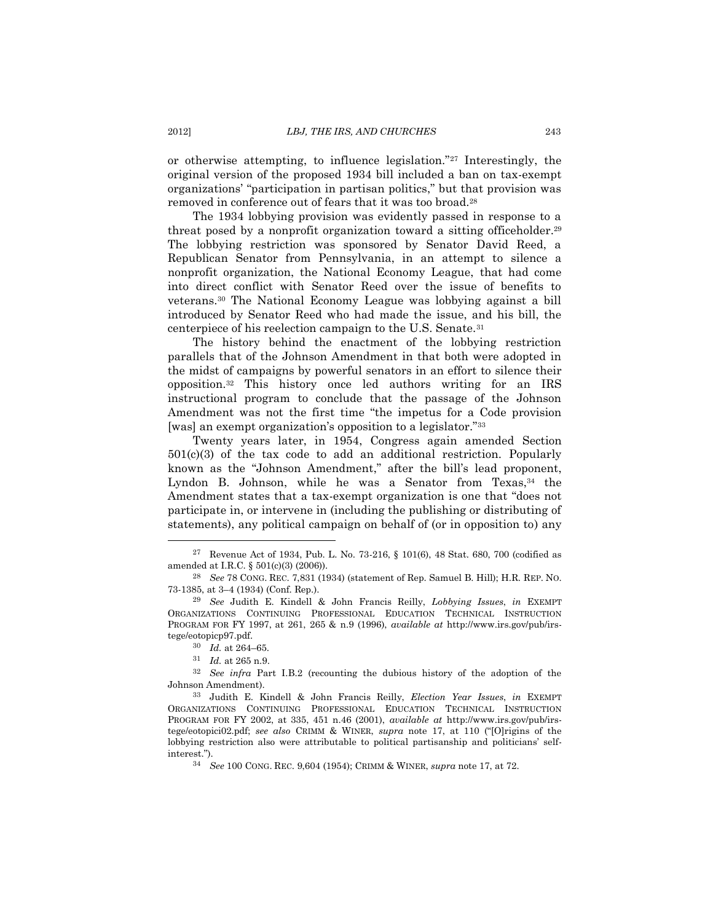or otherwise attempting, to influence legislation."<sup>27</sup> Interestingly, the original version of the proposed 1934 bill included a ban on tax-exempt organizations' "participation in partisan politics," but that provision was removed in conference out of fears that it was too broad.<sup>28</sup>

The 1934 lobbying provision was evidently passed in response to a threat posed by a nonprofit organization toward a sitting officeholder.<sup>29</sup> The lobbying restriction was sponsored by Senator David Reed, a Republican Senator from Pennsylvania, in an attempt to silence a nonprofit organization, the National Economy League, that had come into direct conflict with Senator Reed over the issue of benefits to veterans.<sup>30</sup> The National Economy League was lobbying against a bill introduced by Senator Reed who had made the issue, and his bill, the centerpiece of his reelection campaign to the U.S. Senate.<sup>31</sup>

The history behind the enactment of the lobbying restriction parallels that of the Johnson Amendment in that both were adopted in the midst of campaigns by powerful senators in an effort to silence their opposition.<sup>32</sup> This history once led authors writing for an IRS instructional program to conclude that the passage of the Johnson Amendment was not the first time "the impetus for a Code provision [was] an exempt organization's opposition to a legislator."<sup>33</sup>

<span id="page-6-0"></span>Twenty years later, in 1954, Congress again amended Section  $501(c)(3)$  of the tax code to add an additional restriction. Popularly known as the "Johnson Amendment," after the bill's lead proponent, Lyndon B. Johnson, while he was a Senator from Texas,<sup>34</sup> the Amendment states that a tax-exempt organization is one that "does not participate in, or intervene in (including the publishing or distributing of statements), any political campaign on behalf of (or in opposition to) any

<sup>27</sup> Revenue Act of 1934, Pub. L. No. 73-216, § 101(6), 48 Stat. 680, 700 (codified as amended at I.R.C. § 501(c)(3) (2006)).

<sup>28</sup> *See* 78 CONG. REC. 7,831 (1934) (statement of Rep. Samuel B. Hill); H.R. REP. NO. 73-1385, at 3–4 (1934) (Conf. Rep.).

<sup>29</sup> *See* Judith E. Kindell & John Francis Reilly, *Lobbying Issues*, *in* EXEMPT ORGANIZATIONS CONTINUING PROFESSIONAL EDUCATION TECHNICAL INSTRUCTION PROGRAM FOR FY 1997, at 261, 265 & n.9 (1996), *available at* http://www.irs.gov/pub/irstege/eotopicp97.pdf.

<sup>30</sup> *Id.* at 264–65.

<sup>31</sup> *Id.* at 265 n.9.

<sup>32</sup> *See infra* Part I.B.2 (recounting the dubious history of the adoption of the Johnson Amendment).

<sup>33</sup> Judith E. Kindell & John Francis Reilly, *Election Year Issues*, *in* EXEMPT ORGANIZATIONS CONTINUING PROFESSIONAL EDUCATION TECHNICAL INSTRUCTION PROGRAM FOR FY 2002, at 335, 451 n.46 (2001), *available at* http://www.irs.gov/pub/irstege/eotopici02.pdf; *see also* CRIMM & WINER, *supra* note [17](#page-4-4), at 110 ("[O]rigins of the lobbying restriction also were attributable to political partisanship and politicians' selfinterest.").

<sup>34</sup> *See* 100 CONG. REC. 9,604 (1954); CRIMM & WINER, *supra* note 17, at 72.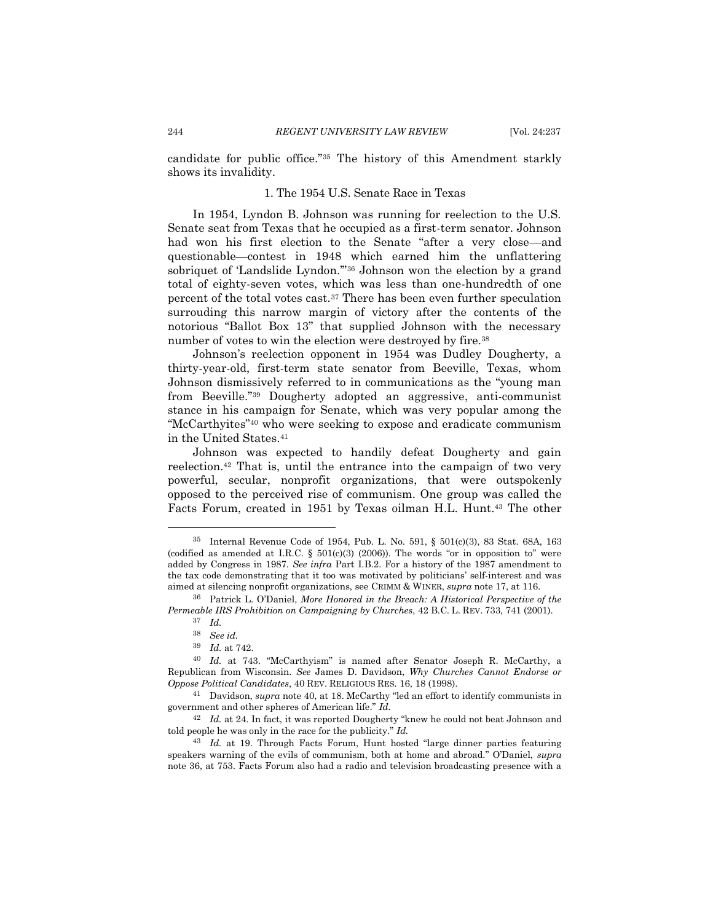<span id="page-7-0"></span>candidate for public office."<sup>35</sup> The history of this Amendment starkly shows its invalidity.

#### <span id="page-7-2"></span>1. The 1954 U.S. Senate Race in Texas

In 1954, Lyndon B. Johnson was running for reelection to the U.S. Senate seat from Texas that he occupied as a first-term senator. Johnson had won his first election to the Senate "after a very close—and questionable—contest in 1948 which earned him the unflattering sobriquet of 'Landslide Lyndon.'"<sup>36</sup> Johnson won the election by a grand total of eighty-seven votes, which was less than one-hundredth of one percent of the total votes cast.<sup>37</sup> There has been even further speculation surrouding this narrow margin of victory after the contents of the notorious "Ballot Box 13" that supplied Johnson with the necessary number of votes to win the election were destroyed by fire.<sup>38</sup>

Johnson's reelection opponent in 1954 was Dudley Dougherty, a thirty-year-old, first-term state senator from Beeville, Texas, whom Johnson dismissively referred to in communications as the "young man from Beeville."<sup>39</sup> Dougherty adopted an aggressive, anti-communist stance in his campaign for Senate, which was very popular among the "McCarthyites"<sup>40</sup> who were seeking to expose and eradicate communism in the United States.<sup>41</sup>

<span id="page-7-1"></span>Johnson was expected to handily defeat Dougherty and gain reelection.<sup>42</sup> That is, until the entrance into the campaign of two very powerful, secular, nonprofit organizations, that were outspokenly opposed to the perceived rise of communism. One group was called the Facts Forum, created in 1951 by Texas oilman H.L. Hunt. <sup>43</sup> The other

<sup>35</sup> Internal Revenue Code of 1954, Pub. L. No. 591, § 501(c)(3), 83 Stat. 68A, 163 (codified as amended at I.R.C.  $\S$  501(c)(3) (2006)). The words "or in opposition to" were added by Congress in 1987. *See infra* Part I.B.2. For a history of the 1987 amendment to the tax code demonstrating that it too was motivated by politicians' self-interest and was aimed at silencing nonprofit organizations, see CRIMM & WINER, *supra* not[e 17,](#page-4-4) at 116.

<sup>36</sup> Patrick L. O'Daniel, *More Honored in the Breach: A Historical Perspective of the Permeable IRS Prohibition on Campaigning by Churches*, 42 B.C. L. REV. 733, 741 (2001).

<sup>37</sup> *Id.*

<sup>38</sup> *See id.*

<sup>39</sup> *Id.* at 742.

<sup>40</sup> *Id.* at 743. "McCarthyism" is named after Senator Joseph R. McCarthy, a Republican from Wisconsin. *See* James D. Davidson, *Why Churches Cannot Endorse or Oppose Political Candidates*, 40 REV. RELIGIOUS RES. 16, 18 (1998).

<sup>41</sup> Davidson, *supra* note [40](#page-7-1), at 18. McCarthy "led an effort to identify communists in government and other spheres of American life." *Id.*

<sup>42</sup> *Id.* at 24. In fact, it was reported Dougherty "knew he could not beat Johnson and told people he was only in the race for the publicity." *Id.*

<sup>43</sup> *Id.* at 19. Through Facts Forum, Hunt hosted "large dinner parties featuring speakers warning of the evils of communism, both at home and abroad." O'Daniel, *supra* not[e 36,](#page-7-2) at 753. Facts Forum also had a radio and television broadcasting presence with a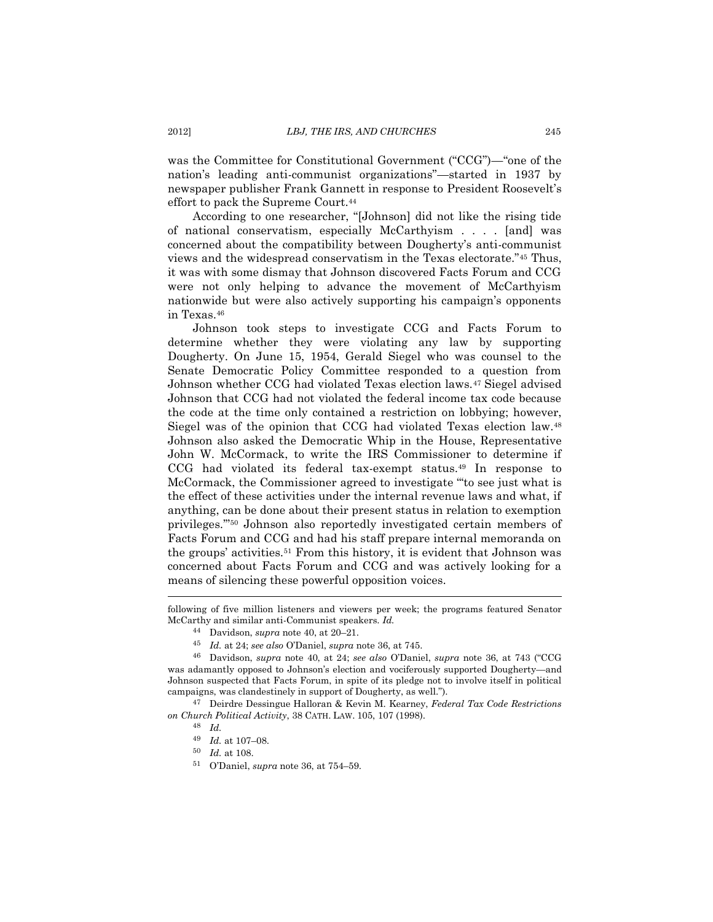was the Committee for Constitutional Government ("CCG")—"one of the nation's leading anti-communist organizations"—started in 1937 by newspaper publisher Frank Gannett in response to President Roosevelt's effort to pack the Supreme Court.<sup>44</sup>

According to one researcher, "[Johnson] did not like the rising tide of national conservatism, especially McCarthyism . . . . [and] was concerned about the compatibility between Dougherty's anti-communist views and the widespread conservatism in the Texas electorate."<sup>45</sup> Thus, it was with some dismay that Johnson discovered Facts Forum and CCG were not only helping to advance the movement of McCarthyism nationwide but were also actively supporting his campaign's opponents in Texas.<sup>46</sup>

<span id="page-8-0"></span>Johnson took steps to investigate CCG and Facts Forum to determine whether they were violating any law by supporting Dougherty. On June 15, 1954, Gerald Siegel who was counsel to the Senate Democratic Policy Committee responded to a question from Johnson whether CCG had violated Texas election laws.<sup>47</sup> Siegel advised Johnson that CCG had not violated the federal income tax code because the code at the time only contained a restriction on lobbying; however, Siegel was of the opinion that CCG had violated Texas election law.<sup>48</sup> Johnson also asked the Democratic Whip in the House, Representative John W. McCormack, to write the IRS Commissioner to determine if CCG had violated its federal tax-exempt status.<sup>49</sup> In response to McCormack, the Commissioner agreed to investigate "'to see just what is the effect of these activities under the internal revenue laws and what, if anything, can be done about their present status in relation to exemption privileges.'" <sup>50</sup> Johnson also reportedly investigated certain members of Facts Forum and CCG and had his staff prepare internal memoranda on the groups' activities.<sup>51</sup> From this history, it is evident that Johnson was concerned about Facts Forum and CCG and was actively looking for a means of silencing these powerful opposition voices.

 $\overline{a}$ 

<sup>50</sup> *Id.* at 108.

following of five million listeners and viewers per week; the programs featured Senator McCarthy and similar anti-Communist speakers. *Id.*

<sup>44</sup> Davidson, *supra* not[e 40,](#page-7-1) at 20–21.

<sup>45</sup> *Id.* at 24; *see also* O'Daniel, *supra* not[e 36,](#page-7-2) at 745.

<sup>46</sup> Davidson, *supra* note [40,](#page-7-1) at 24; *see also* O'Daniel, *supra* note [36,](#page-7-2) at 743 ("CCG was adamantly opposed to Johnson's election and vociferously supported Dougherty—and Johnson suspected that Facts Forum, in spite of its pledge not to involve itself in political campaigns, was clandestinely in support of Dougherty, as well.").

<sup>47</sup> Deirdre Dessingue Halloran & Kevin M. Kearney, *Federal Tax Code Restrictions on Church Political Activity*, 38 CATH. LAW. 105, 107 (1998).

<sup>48</sup> *Id.*

<sup>49</sup> *Id.* at 107–08.

<sup>51</sup> O'Daniel, *supra* not[e 36,](#page-7-2) at 754–59.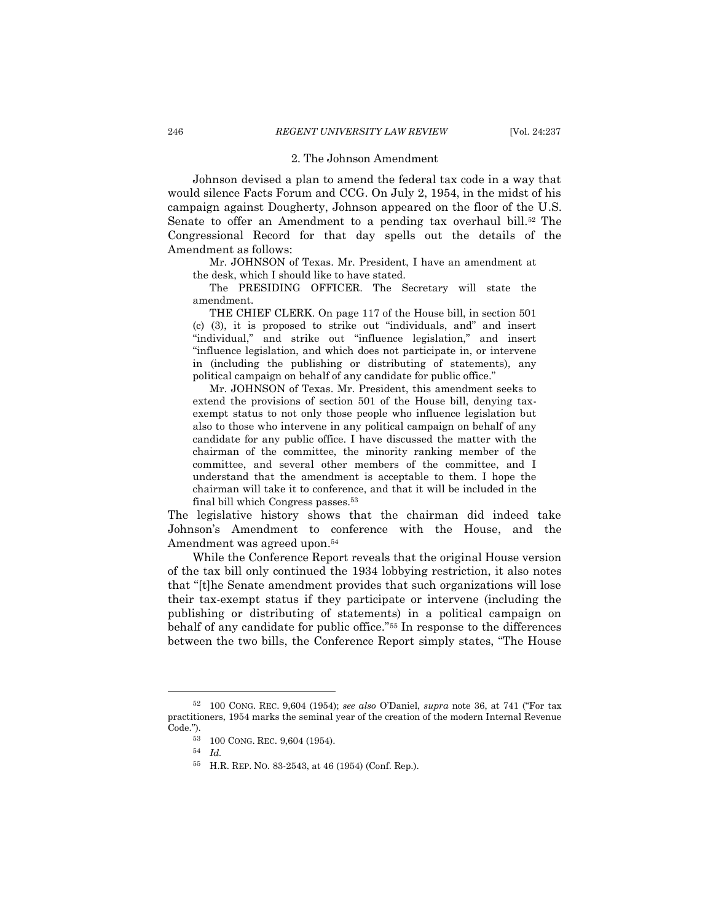#### 2. The Johnson Amendment

<span id="page-9-0"></span>Johnson devised a plan to amend the federal tax code in a way that would silence Facts Forum and CCG. On July 2, 1954, in the midst of his campaign against Dougherty, Johnson appeared on the floor of the U.S. Senate to offer an Amendment to a pending tax overhaul bill.<sup>52</sup> The Congressional Record for that day spells out the details of the Amendment as follows:

Mr. JOHNSON of Texas. Mr. President, I have an amendment at the desk, which I should like to have stated.

The PRESIDING OFFICER. The Secretary will state the amendment.

THE CHIEF CLERK. On page 117 of the House bill, in section 501 (c) (3), it is proposed to strike out "individuals, and" and insert "individual," and strike out "influence legislation," and insert "influence legislation, and which does not participate in, or intervene in (including the publishing or distributing of statements), any political campaign on behalf of any candidate for public office."

Mr. JOHNSON of Texas. Mr. President, this amendment seeks to extend the provisions of section 501 of the House bill, denying taxexempt status to not only those people who influence legislation but also to those who intervene in any political campaign on behalf of any candidate for any public office. I have discussed the matter with the chairman of the committee, the minority ranking member of the committee, and several other members of the committee, and I understand that the amendment is acceptable to them. I hope the chairman will take it to conference, and that it will be included in the final bill which Congress passes.<sup>53</sup>

The legislative history shows that the chairman did indeed take Johnson's Amendment to conference with the House, and the Amendment was agreed upon. 54

While the Conference Report reveals that the original House version of the tax bill only continued the 1934 lobbying restriction, it also notes that "[t]he Senate amendment provides that such organizations will lose their tax-exempt status if they participate or intervene (including the publishing or distributing of statements) in a political campaign on behalf of any candidate for public office."<sup>55</sup> In response to the differences between the two bills, the Conference Report simply states, "The House

<sup>52</sup> 100 CONG. REC. 9,604 (1954); *see also* O'Daniel, *supra* note [36](#page-7-2), at 741 ("For tax practitioners, 1954 marks the seminal year of the creation of the modern Internal Revenue Code.").

<sup>53</sup> 100 CONG. REC. 9,604 (1954).

<sup>54</sup> *Id.*

<sup>55</sup> H.R. REP. NO. 83-2543, at 46 (1954) (Conf. Rep.).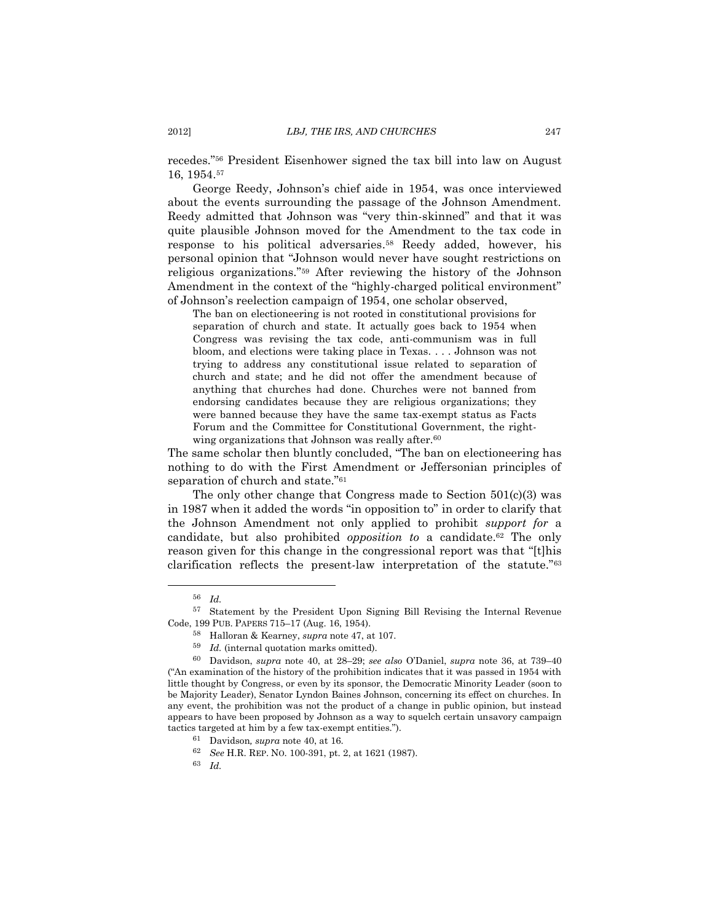recedes."<sup>56</sup> President Eisenhower signed the tax bill into law on August 16, 1954.<sup>57</sup>

George Reedy, Johnson's chief aide in 1954, was once interviewed about the events surrounding the passage of the Johnson Amendment. Reedy admitted that Johnson was "very thin-skinned" and that it was quite plausible Johnson moved for the Amendment to the tax code in response to his political adversaries. <sup>58</sup> Reedy added, however, his personal opinion that "Johnson would never have sought restrictions on religious organizations."<sup>59</sup> After reviewing the history of the Johnson Amendment in the context of the "highly-charged political environment" of Johnson's reelection campaign of 1954, one scholar observed,

The ban on electioneering is not rooted in constitutional provisions for separation of church and state. It actually goes back to 1954 when Congress was revising the tax code, anti-communism was in full bloom, and elections were taking place in Texas. . . . Johnson was not trying to address any constitutional issue related to separation of church and state; and he did not offer the amendment because of anything that churches had done. Churches were not banned from endorsing candidates because they are religious organizations; they were banned because they have the same tax-exempt status as Facts Forum and the Committee for Constitutional Government, the rightwing organizations that Johnson was really after.<sup>60</sup>

<span id="page-10-0"></span>The same scholar then bluntly concluded, "The ban on electioneering has nothing to do with the First Amendment or Jeffersonian principles of separation of church and state."<sup>61</sup>

The only other change that Congress made to Section 501(c)(3) was in 1987 when it added the words "in opposition to" in order to clarify that the Johnson Amendment not only applied to prohibit *support for* a candidate, but also prohibited *opposition to* a candidate.<sup>62</sup> The only reason given for this change in the congressional report was that "[t]his clarification reflects the present-law interpretation of the statute."<sup>63</sup>

 $\overline{a}$ 

<sup>63</sup> *Id.*

<sup>56</sup> *Id.*

<sup>57</sup> Statement by the President Upon Signing Bill Revising the Internal Revenue Code, 199 PUB. PAPERS 715–17 (Aug. 16, 1954).

<sup>58</sup> Halloran & Kearney, *supra* not[e 47,](#page-8-0) at 107.

<sup>59</sup> *Id.* (internal quotation marks omitted).

<sup>60</sup> Davidson, *supra* note [40,](#page-7-1) at 28–29; *see also* O'Daniel, *supra* note [36,](#page-7-2) at 739–40 ("An examination of the history of the prohibition indicates that it was passed in 1954 with little thought by Congress, or even by its sponsor, the Democratic Minority Leader (soon to be Majority Leader), Senator Lyndon Baines Johnson, concerning its effect on churches. In any event, the prohibition was not the product of a change in public opinion, but instead appears to have been proposed by Johnson as a way to squelch certain unsavory campaign tactics targeted at him by a few tax-exempt entities.").

<sup>61</sup> Davidson*, supra* not[e 40,](#page-7-1) at 16.

<sup>62</sup> *See* H.R. REP. NO. 100-391, pt. 2, at 1621 (1987).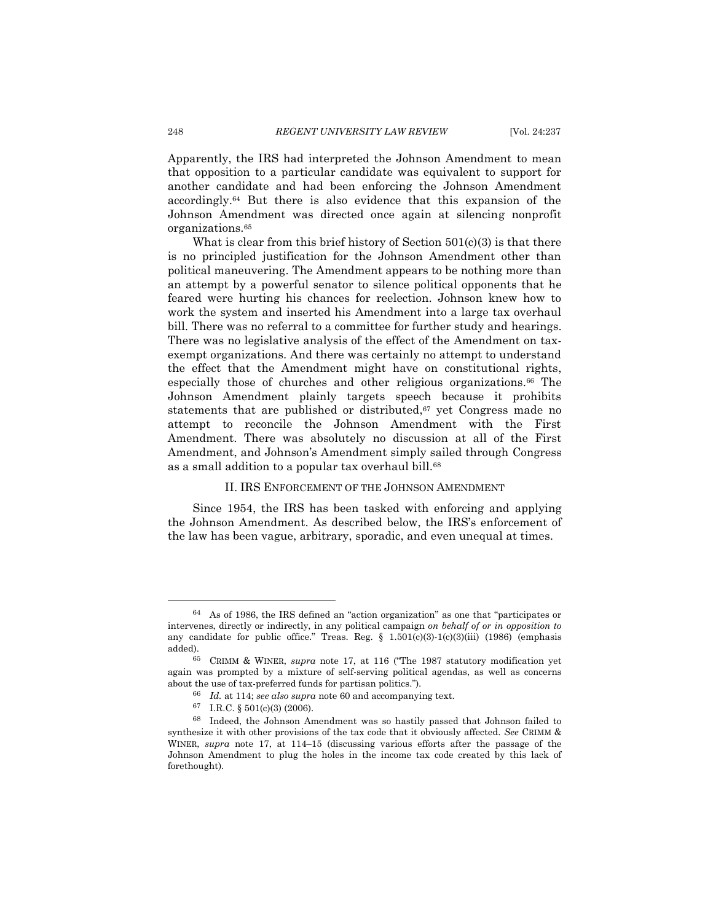Apparently, the IRS had interpreted the Johnson Amendment to mean that opposition to a particular candidate was equivalent to support for another candidate and had been enforcing the Johnson Amendment accordingly. <sup>64</sup> But there is also evidence that this expansion of the Johnson Amendment was directed once again at silencing nonprofit organizations.<sup>65</sup>

What is clear from this brief history of Section  $501(c)(3)$  is that there is no principled justification for the Johnson Amendment other than political maneuvering. The Amendment appears to be nothing more than an attempt by a powerful senator to silence political opponents that he feared were hurting his chances for reelection. Johnson knew how to work the system and inserted his Amendment into a large tax overhaul bill. There was no referral to a committee for further study and hearings. There was no legislative analysis of the effect of the Amendment on taxexempt organizations. And there was certainly no attempt to understand the effect that the Amendment might have on constitutional rights, especially those of churches and other religious organizations. <sup>66</sup> The Johnson Amendment plainly targets speech because it prohibits statements that are published or distributed, <sup>67</sup> yet Congress made no attempt to reconcile the Johnson Amendment with the First Amendment. There was absolutely no discussion at all of the First Amendment, and Johnson's Amendment simply sailed through Congress as a small addition to a popular tax overhaul bill.<sup>68</sup>

## II. IRS ENFORCEMENT OF THE JOHNSON AMENDMENT

<span id="page-11-0"></span>Since 1954, the IRS has been tasked with enforcing and applying the Johnson Amendment. As described below, the IRS's enforcement of the law has been vague, arbitrary, sporadic, and even unequal at times.

<sup>64</sup> As of 1986, the IRS defined an "action organization" as one that "participates or intervenes, directly or indirectly, in any political campaign *on behalf of or in opposition to* any candidate for public office." Treas. Reg. §  $1.501(c)(3)-1(c)(3)(iii)$  (1986) (emphasis added).

<sup>65</sup> CRIMM & WINER, *supra* note [17](#page-4-4), at 116 ("The 1987 statutory modification yet again was prompted by a mixture of self-serving political agendas, as well as concerns about the use of tax-preferred funds for partisan politics.").

<sup>66</sup> *Id.* at 114; *see also supra* not[e 60](#page-10-0) and accompanying text.

<sup>67</sup> I.R.C. § 501(c)(3) (2006).

<sup>68</sup> Indeed, the Johnson Amendment was so hastily passed that Johnson failed to synthesize it with other provisions of the tax code that it obviously affected. *See* CRIMM & WINER, *supra* note [17,](#page-4-4) at 114–15 (discussing various efforts after the passage of the Johnson Amendment to plug the holes in the income tax code created by this lack of forethought).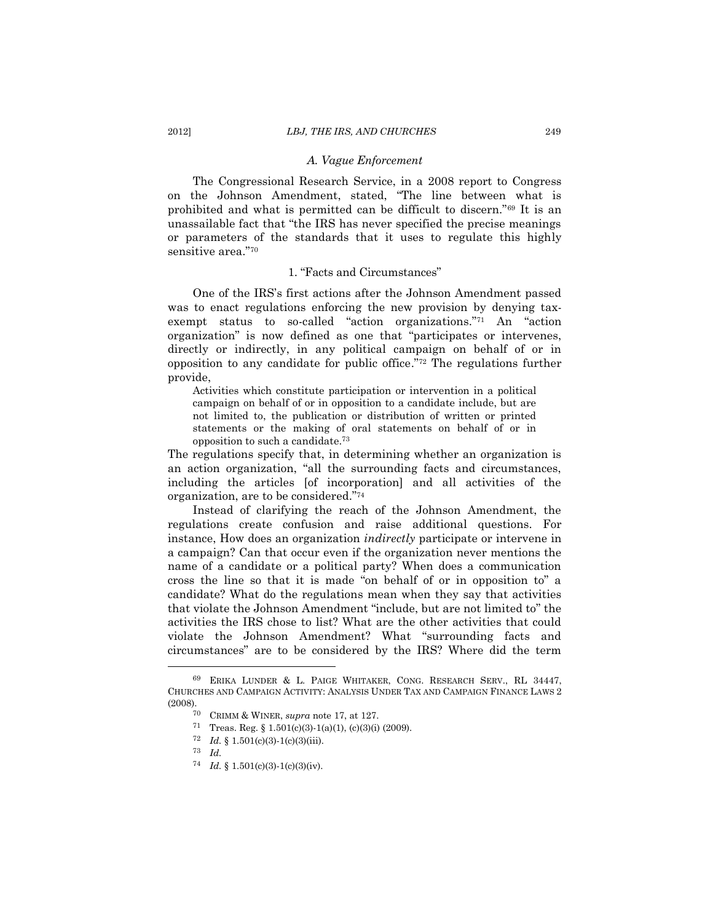# <span id="page-12-2"></span>*A. Vague Enforcement*

<span id="page-12-0"></span>The Congressional Research Service, in a 2008 report to Congress on the Johnson Amendment, stated, "The line between what is prohibited and what is permitted can be difficult to discern."<sup>69</sup> It is an unassailable fact that "the IRS has never specified the precise meanings or parameters of the standards that it uses to regulate this highly sensitive area."<sup>70</sup>

#### 1. "Facts and Circumstances"

<span id="page-12-1"></span>One of the IRS's first actions after the Johnson Amendment passed was to enact regulations enforcing the new provision by denying taxexempt status to so-called "action organizations."<sup>71</sup> An "action organization" is now defined as one that "participates or intervenes, directly or indirectly, in any political campaign on behalf of or in opposition to any candidate for public office." <sup>72</sup> The regulations further provide,

Activities which constitute participation or intervention in a political campaign on behalf of or in opposition to a candidate include, but are not limited to, the publication or distribution of written or printed statements or the making of oral statements on behalf of or in opposition to such a candidate.<sup>73</sup>

The regulations specify that, in determining whether an organization is an action organization, "all the surrounding facts and circumstances, including the articles [of incorporation] and all activities of the organization, are to be considered."<sup>74</sup>

Instead of clarifying the reach of the Johnson Amendment, the regulations create confusion and raise additional questions. For instance, How does an organization *indirectly* participate or intervene in a campaign? Can that occur even if the organization never mentions the name of a candidate or a political party? When does a communication cross the line so that it is made "on behalf of or in opposition to" a candidate? What do the regulations mean when they say that activities that violate the Johnson Amendment "include, but are not limited to" the activities the IRS chose to list? What are the other activities that could violate the Johnson Amendment? What "surrounding facts and circumstances" are to be considered by the IRS? Where did the term

- 71 Treas. Reg. § 1.501(c)(3)-1(a)(1), (c)(3)(i) (2009).
- <sup>72</sup> *Id.* § 1.501(c)(3)-1(c)(3)(iii).

<sup>69</sup> ERIKA LUNDER & L. PAIGE WHITAKER, CONG. RESEARCH SERV., RL 34447, CHURCHES AND CAMPAIGN ACTIVITY: ANALYSIS UNDER TAX AND CAMPAIGN FINANCE LAWS 2 (2008).

<sup>70</sup> CRIMM & WINER, *supra* note [17,](#page-4-4) at 127.

<sup>73</sup> *Id.*

<sup>74</sup> *Id.* § 1.501(c)(3)-1(c)(3)(iv).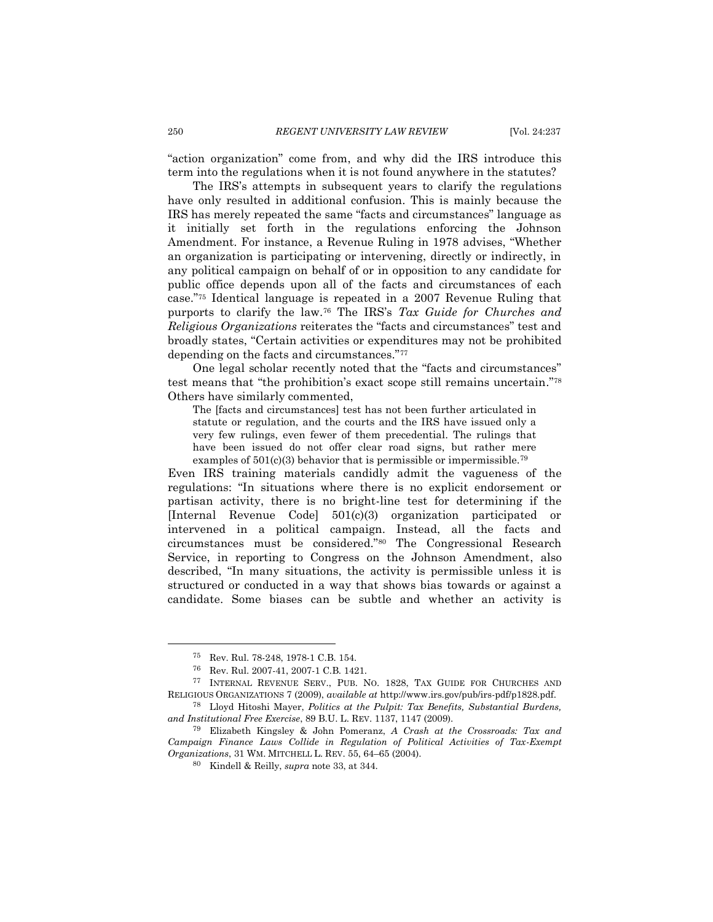"action organization" come from, and why did the IRS introduce this term into the regulations when it is not found anywhere in the statutes?

The IRS's attempts in subsequent years to clarify the regulations have only resulted in additional confusion. This is mainly because the IRS has merely repeated the same "facts and circumstances" language as it initially set forth in the regulations enforcing the Johnson Amendment. For instance, a Revenue Ruling in 1978 advises, "Whether an organization is participating or intervening, directly or indirectly, in any political campaign on behalf of or in opposition to any candidate for public office depends upon all of the facts and circumstances of each case."<sup>75</sup> Identical language is repeated in a 2007 Revenue Ruling that purports to clarify the law.<sup>76</sup> The IRS's *Tax Guide for Churches and Religious Organizations* reiterates the "facts and circumstances" test and broadly states, "Certain activities or expenditures may not be prohibited depending on the facts and circumstances."<sup>77</sup>

One legal scholar recently noted that the "facts and circumstances" test means that "the prohibition's exact scope still remains uncertain." 78 Others have similarly commented,

<span id="page-13-2"></span><span id="page-13-1"></span><span id="page-13-0"></span>The [facts and circumstances] test has not been further articulated in statute or regulation, and the courts and the IRS have issued only a very few rulings, even fewer of them precedential. The rulings that have been issued do not offer clear road signs, but rather mere examples of  $501(c)(3)$  behavior that is permissible or impermissible.<sup>79</sup>

Even IRS training materials candidly admit the vagueness of the regulations: "In situations where there is no explicit endorsement or partisan activity, there is no bright-line test for determining if the [Internal Revenue Code] 501(c)(3) organization participated or intervened in a political campaign. Instead, all the facts and circumstances must be considered."<sup>80</sup> The Congressional Research Service, in reporting to Congress on the Johnson Amendment, also described, "In many situations, the activity is permissible unless it is structured or conducted in a way that shows bias towards or against a candidate. Some biases can be subtle and whether an activity is

<sup>75</sup> Rev. Rul. 78-248, 1978-1 C.B. 154.

<sup>76</sup> Rev. Rul. 2007-41, 2007-1 C.B. 1421.

<sup>77</sup> INTERNAL REVENUE SERV., PUB. NO. 1828, TAX GUIDE FOR CHURCHES AND RELIGIOUS ORGANIZATIONS 7 (2009), *available at* http://www.irs.gov/pub/irs-pdf/p1828.pdf.

<sup>78</sup> Lloyd Hitoshi Mayer, *Politics at the Pulpit: Tax Benefits, Substantial Burdens, and Institutional Free Exercise*, 89 B.U. L. REV. 1137, 1147 (2009).

<sup>79</sup> Elizabeth Kingsley & John Pomeranz, *A Crash at the Crossroads: Tax and Campaign Finance Laws Collide in Regulation of Political Activities of Tax-Exempt Organizations*, 31 WM. MITCHELL L. REV. 55, 64–65 (2004).

<sup>80</sup> Kindell & Reilly, *supra* note [33,](#page-6-0) at 344.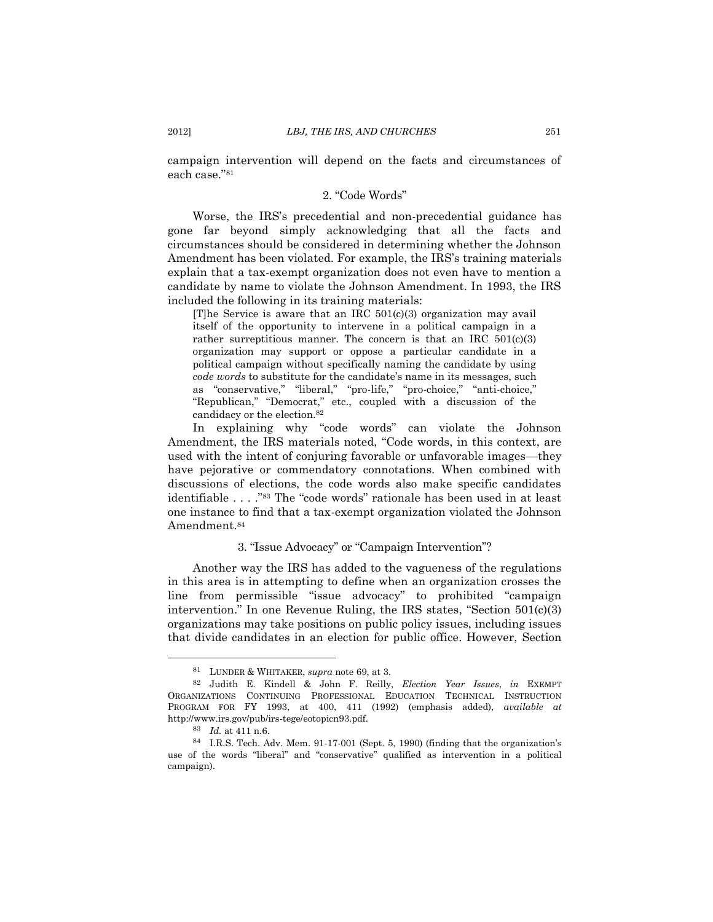<span id="page-14-0"></span>campaign intervention will depend on the facts and circumstances of each case."<sup>81</sup>

# 2. "Code Words"

Worse, the IRS's precedential and non-precedential guidance has gone far beyond simply acknowledging that all the facts and circumstances should be considered in determining whether the Johnson Amendment has been violated. For example, the IRS's training materials explain that a tax-exempt organization does not even have to mention a candidate by name to violate the Johnson Amendment. In 1993, the IRS included the following in its training materials:

[T]he Service is aware that an IRC 501(c)(3) organization may avail itself of the opportunity to intervene in a political campaign in a rather surreptitious manner. The concern is that an IRC 501(c)(3) organization may support or oppose a particular candidate in a political campaign without specifically naming the candidate by using *code words* to substitute for the candidate's name in its messages, such as "conservative," "liberal," "pro-life," "pro-choice," "anti-choice," "Republican," "Democrat," etc., coupled with a discussion of the candidacy or the election.<sup>82</sup>

<span id="page-14-2"></span>In explaining why "code words" can violate the Johnson Amendment, the IRS materials noted, "Code words, in this context, are used with the intent of conjuring favorable or unfavorable images—they have pejorative or commendatory connotations. When combined with discussions of elections, the code words also make specific candidates identifiable . . . ."<sup>83</sup> The "code words" rationale has been used in at least one instance to find that a tax-exempt organization violated the Johnson Amendment.<sup>84</sup>

#### 3. "Issue Advocacy" or "Campaign Intervention"?

<span id="page-14-1"></span>Another way the IRS has added to the vagueness of the regulations in this area is in attempting to define when an organization crosses the line from permissible "issue advocacy" to prohibited "campaign intervention." In one Revenue Ruling, the IRS states, "Section 501(c)(3) organizations may take positions on public policy issues, including issues that divide candidates in an election for public office. However, Section

<sup>81</sup> LUNDER & WHITAKER, *supra* note [69,](#page-12-2) at 3.

<sup>82</sup> Judith E. Kindell & John F. Reilly, *Election Year Issues*, *in* EXEMPT ORGANIZATIONS CONTINUING PROFESSIONAL EDUCATION TECHNICAL INSTRUCTION PROGRAM FOR FY 1993, at 400, 411 (1992) (emphasis added), *available at*  http://www.irs.gov/pub/irs-tege/eotopicn93.pdf.

<sup>83</sup> *Id.* at 411 n.6.

<sup>84</sup> I.R.S. Tech. Adv. Mem. 91-17-001 (Sept. 5, 1990) (finding that the organization's use of the words "liberal" and "conservative" qualified as intervention in a political campaign).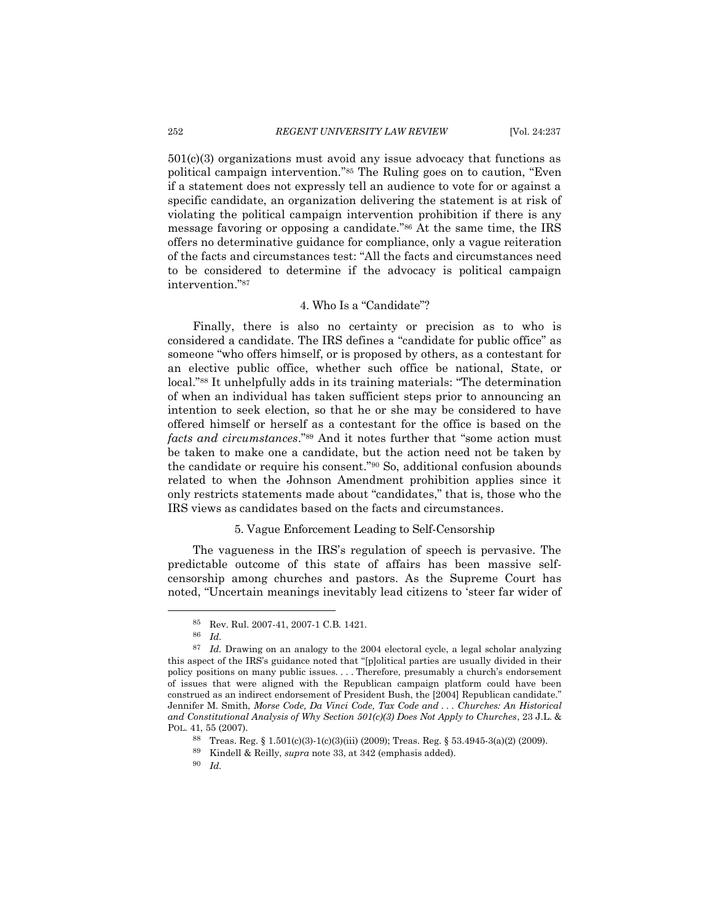$501(c)(3)$  organizations must avoid any issue advocacy that functions as political campaign intervention." <sup>85</sup> The Ruling goes on to caution, "Even if a statement does not expressly tell an audience to vote for or against a specific candidate, an organization delivering the statement is at risk of violating the political campaign intervention prohibition if there is any message favoring or opposing a candidate." <sup>86</sup> At the same time, the IRS offers no determinative guidance for compliance, only a vague reiteration of the facts and circumstances test: "All the facts and circumstances need to be considered to determine if the advocacy is political campaign intervention." 87

# <span id="page-15-2"></span>4. Who Is a "Candidate"?

<span id="page-15-0"></span>Finally, there is also no certainty or precision as to who is considered a candidate. The IRS defines a "candidate for public office" as someone "who offers himself, or is proposed by others, as a contestant for an elective public office, whether such office be national, State, or local."<sup>88</sup> It unhelpfully adds in its training materials: "The determination of when an individual has taken sufficient steps prior to announcing an intention to seek election, so that he or she may be considered to have offered himself or herself as a contestant for the office is based on the *facts and circumstances*."<sup>89</sup> And it notes further that "some action must be taken to make one a candidate, but the action need not be taken by the candidate or require his consent."<sup>90</sup> So, additional confusion abounds related to when the Johnson Amendment prohibition applies since it only restricts statements made about "candidates," that is, those who the IRS views as candidates based on the facts and circumstances.

#### 5. Vague Enforcement Leading to Self-Censorship

<span id="page-15-1"></span>The vagueness in the IRS's regulation of speech is pervasive. The predictable outcome of this state of affairs has been massive selfcensorship among churches and pastors. As the Supreme Court has noted, "Uncertain meanings inevitably lead citizens to 'steer far wider of

<sup>85</sup> Rev. Rul. 2007-41, 2007-1 C.B. 1421.

<sup>86</sup> *Id.*

<sup>87</sup> *Id.* Drawing on an analogy to the 2004 electoral cycle, a legal scholar analyzing this aspect of the IRS's guidance noted that "[p]olitical parties are usually divided in their policy positions on many public issues. . . . Therefore, presumably a church's endorsement of issues that were aligned with the Republican campaign platform could have been construed as an indirect endorsement of President Bush, the [2004] Republican candidate." Jennifer M. Smith, *Morse Code, Da Vinci Code, Tax Code and . . . Churches: An Historical and Constitutional Analysis of Why Section 501(c)(3) Does Not Apply to Churches*, 23 J.L. & POL. 41, 55 (2007).

<sup>&</sup>lt;sup>88</sup> Treas. Reg. § 1.501(c)(3)-1(c)(3)(iii) (2009); Treas. Reg. § 53.4945-3(a)(2) (2009).

<sup>89</sup> Kindell & Reilly, *supra* note [33,](#page-6-0) at 342 (emphasis added).

<sup>90</sup> *Id.*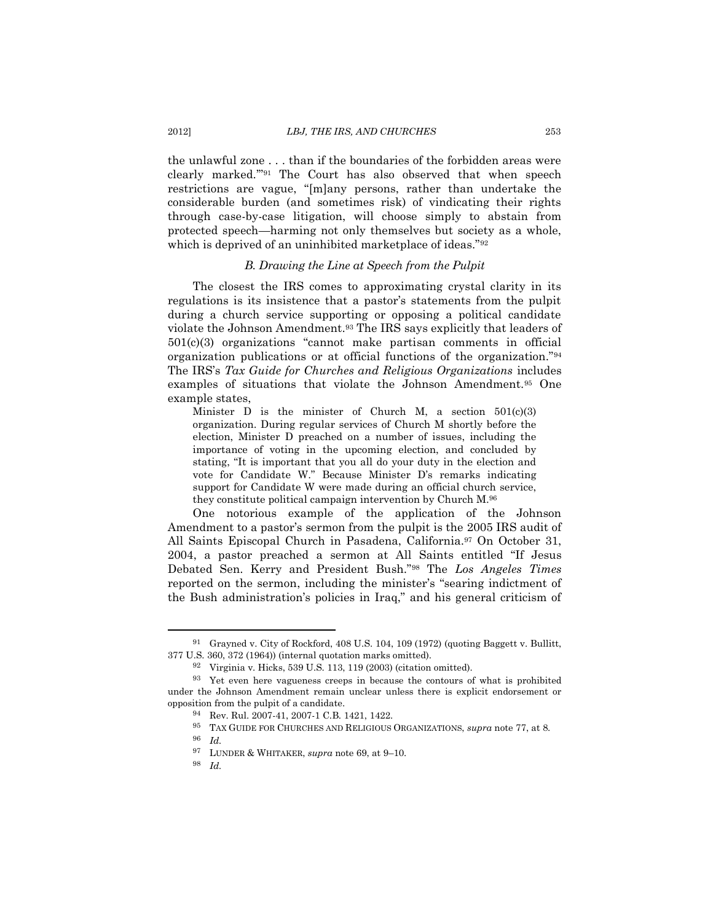the unlawful zone . . . than if the boundaries of the forbidden areas were clearly marked.'" <sup>91</sup> The Court has also observed that when speech restrictions are vague, "[m]any persons, rather than undertake the considerable burden (and sometimes risk) of vindicating their rights through case-by-case litigation, will choose simply to abstain from protected speech—harming not only themselves but society as a whole, which is deprived of an uninhibited marketplace of ideas."<sup>92</sup>

# *B. Drawing the Line at Speech from the Pulpit*

<span id="page-16-0"></span>The closest the IRS comes to approximating crystal clarity in its regulations is its insistence that a pastor's statements from the pulpit during a church service supporting or opposing a political candidate violate the Johnson Amendment.<sup>93</sup> The IRS says explicitly that leaders of 501(c)(3) organizations "cannot make partisan comments in official organization publications or at official functions of the organization."<sup>94</sup> The IRS's *Tax Guide for Churches and Religious Organizations* includes examples of situations that violate the Johnson Amendment.<sup>95</sup> One example states,

Minister D is the minister of Church M, a section  $501(c)(3)$ organization. During regular services of Church M shortly before the election, Minister D preached on a number of issues, including the importance of voting in the upcoming election, and concluded by stating, "It is important that you all do your duty in the election and vote for Candidate W." Because Minister D's remarks indicating support for Candidate W were made during an official church service, they constitute political campaign intervention by Church M.<sup>96</sup>

<span id="page-16-1"></span>One notorious example of the application of the Johnson Amendment to a pastor's sermon from the pulpit is the 2005 IRS audit of All Saints Episcopal Church in Pasadena, California. <sup>97</sup> On October 31, 2004, a pastor preached a sermon at All Saints entitled "If Jesus Debated Sen. Kerry and President Bush."<sup>98</sup> The *Los Angeles Times* reported on the sermon, including the minister's "searing indictment of the Bush administration's policies in Iraq," and his general criticism of

<sup>91</sup> Grayned v. City of Rockford, 408 U.S. 104, 109 (1972) (quoting Baggett v. Bullitt, 377 U.S. 360, 372 (1964)) (internal quotation marks omitted).

<sup>92</sup> Virginia v. Hicks, 539 U.S. 113, 119 (2003) (citation omitted).

<sup>93</sup> Yet even here vagueness creeps in because the contours of what is prohibited under the Johnson Amendment remain unclear unless there is explicit endorsement or opposition from the pulpit of a candidate.

<sup>94</sup> Rev. Rul. 2007-41, 2007-1 C.B. 1421, 1422.

<sup>95</sup> TAX GUIDE FOR CHURCHES AND RELIGIOUS ORGANIZATIONS, *supra* note [77,](#page-13-0) at 8.

<sup>96</sup> *Id.* 

<sup>97</sup> LUNDER & WHITAKER, *supra* note [69,](#page-12-2) at 9–10.

<sup>98</sup> *Id.*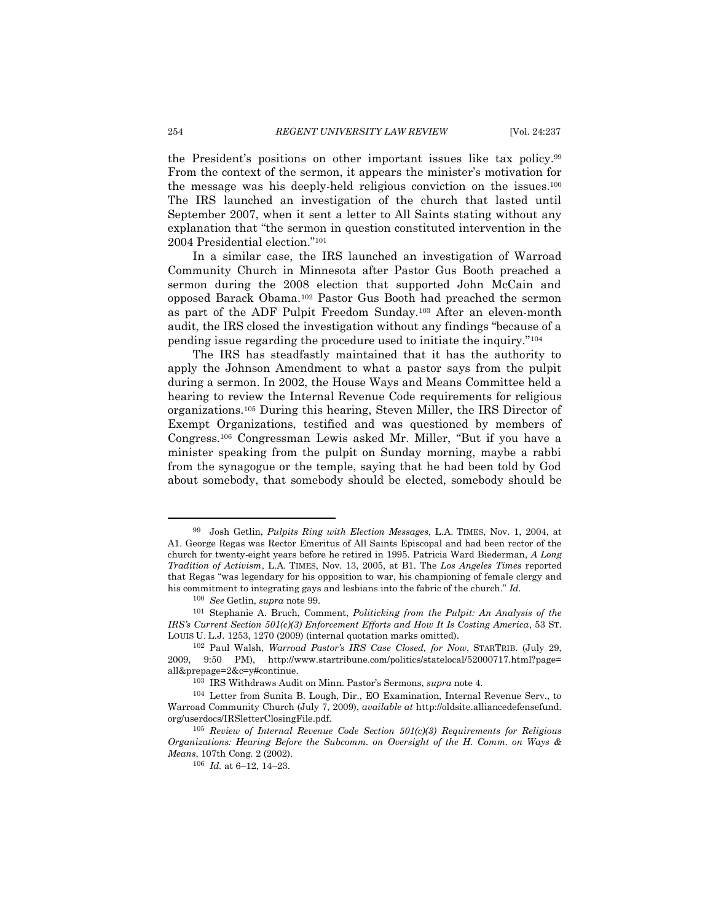<span id="page-17-0"></span>the President's positions on other important issues like tax policy. 99 From the context of the sermon, it appears the minister's motivation for the message was his deeply-held religious conviction on the issues.<sup>100</sup> The IRS launched an investigation of the church that lasted until September 2007, when it sent a letter to All Saints stating without any explanation that "the sermon in question constituted intervention in the 2004 Presidential election."<sup>101</sup>

<span id="page-17-2"></span>In a similar case, the IRS launched an investigation of Warroad Community Church in Minnesota after Pastor Gus Booth preached a sermon during the 2008 election that supported John McCain and opposed Barack Obama.<sup>102</sup> Pastor Gus Booth had preached the sermon as part of the ADF Pulpit Freedom Sunday.<sup>103</sup> After an eleven-month audit, the IRS closed the investigation without any findings "because of a pending issue regarding the procedure used to initiate the inquiry."<sup>104</sup>

<span id="page-17-1"></span>The IRS has steadfastly maintained that it has the authority to apply the Johnson Amendment to what a pastor says from the pulpit during a sermon. In 2002, the House Ways and Means Committee held a hearing to review the Internal Revenue Code requirements for religious organizations.<sup>105</sup> During this hearing, Steven Miller, the IRS Director of Exempt Organizations, testified and was questioned by members of Congress.<sup>106</sup> Congressman Lewis asked Mr. Miller, "But if you have a minister speaking from the pulpit on Sunday morning, maybe a rabbi from the synagogue or the temple, saying that he had been told by God about somebody, that somebody should be elected, somebody should be

<sup>99</sup> Josh Getlin, *Pulpits Ring with Election Messages*, L.A. TIMES, Nov. 1, 2004, at A1. George Regas was Rector Emeritus of All Saints Episcopal and had been rector of the church for twenty-eight years before he retired in 1995. Patricia Ward Biederman, *A Long Tradition of Activism*, L.A. TIMES, Nov. 13, 2005, at B1. The *Los Angeles Times* reported that Regas "was legendary for his opposition to war, his championing of female clergy and his commitment to integrating gays and lesbians into the fabric of the church." *Id.*

<sup>100</sup> *See* Getlin, *supra* note [99.](#page-17-0)

<sup>101</sup> Stephanie A. Bruch, Comment, *Politicking from the Pulpit: An Analysis of the IRS's Current Section 501(c)(3) Enforcement Efforts and How It Is Costing America*, 53 ST. LOUIS U. L.J. 1253, 1270 (2009) (internal quotation marks omitted).

<sup>102</sup> Paul Walsh, *Warroad Pastor's IRS Case Closed, for Now*, STARTRIB. (July 29, 2009, 9:50 PM), http://www.startribune.com/politics/statelocal/52000717.html?page= all&prepage=2&c=y#continue.

<sup>103</sup> IRS Withdraws Audit on Minn. Pastor's Sermons, *supra* note [4.](#page-2-0) 

<sup>104</sup> Letter from Sunita B. Lough, Dir., EO Examination, Internal Revenue Serv., to Warroad Community Church (July 7, 2009), *available at* http://oldsite.alliancedefensefund. org/userdocs/IRSletterClosingFile.pdf.

<sup>105</sup> *Review of Internal Revenue Code Section 501(c)(3) Requirements for Religious Organizations: Hearing Before the Subcomm. on Oversight of the H. Comm. on Ways & Means*, 107th Cong. 2 (2002).

<sup>106</sup> *Id.* at 6–12, 14–23.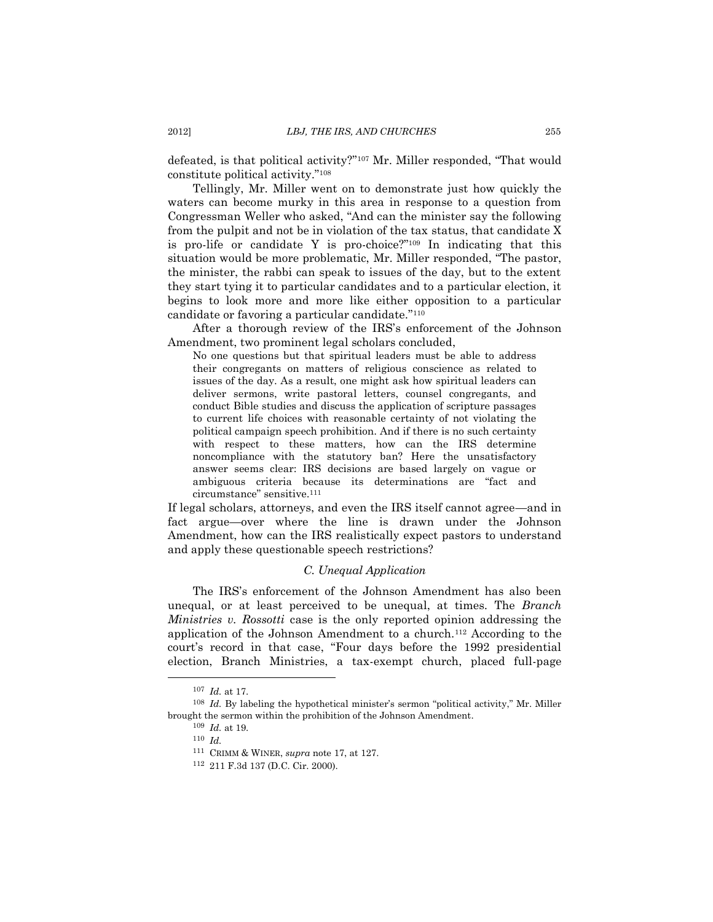defeated, is that political activity?"<sup>107</sup> Mr. Miller responded, "That would constitute political activity."<sup>108</sup>

Tellingly, Mr. Miller went on to demonstrate just how quickly the waters can become murky in this area in response to a question from Congressman Weller who asked, "And can the minister say the following from the pulpit and not be in violation of the tax status, that candidate X is pro-life or candidate Y is pro-choice?"<sup>109</sup> In indicating that this situation would be more problematic, Mr. Miller responded, "The pastor, the minister, the rabbi can speak to issues of the day, but to the extent they start tying it to particular candidates and to a particular election, it begins to look more and more like either opposition to a particular candidate or favoring a particular candidate."<sup>110</sup>

After a thorough review of the IRS's enforcement of the Johnson Amendment, two prominent legal scholars concluded,

No one questions but that spiritual leaders must be able to address their congregants on matters of religious conscience as related to issues of the day. As a result, one might ask how spiritual leaders can deliver sermons, write pastoral letters, counsel congregants, and conduct Bible studies and discuss the application of scripture passages to current life choices with reasonable certainty of not violating the political campaign speech prohibition. And if there is no such certainty with respect to these matters, how can the IRS determine noncompliance with the statutory ban? Here the unsatisfactory answer seems clear: IRS decisions are based largely on vague or ambiguous criteria because its determinations are "fact and circumstance" sensitive.<sup>111</sup>

If legal scholars, attorneys, and even the IRS itself cannot agree—and in fact argue—over where the line is drawn under the Johnson Amendment, how can the IRS realistically expect pastors to understand and apply these questionable speech restrictions?

# *C. Unequal Application*

<span id="page-18-0"></span>The IRS's enforcement of the Johnson Amendment has also been unequal, or at least perceived to be unequal, at times. The *Branch Ministries v. Rossotti* case is the only reported opinion addressing the application of the Johnson Amendment to a church.<sup>112</sup> According to the court's record in that case, "Four days before the 1992 presidential election, Branch Ministries, a tax-exempt church, placed full-page

<sup>107</sup> *Id.* at 17.

<sup>108</sup> *Id.* By labeling the hypothetical minister's sermon "political activity," Mr. Miller brought the sermon within the prohibition of the Johnson Amendment.

<sup>109</sup> *Id.* at 19.

<sup>110</sup> *Id.*

<sup>111</sup> CRIMM & WINER, *supra* note [17,](#page-4-4) at 127.

<sup>112</sup> 211 F.3d 137 (D.C. Cir. 2000).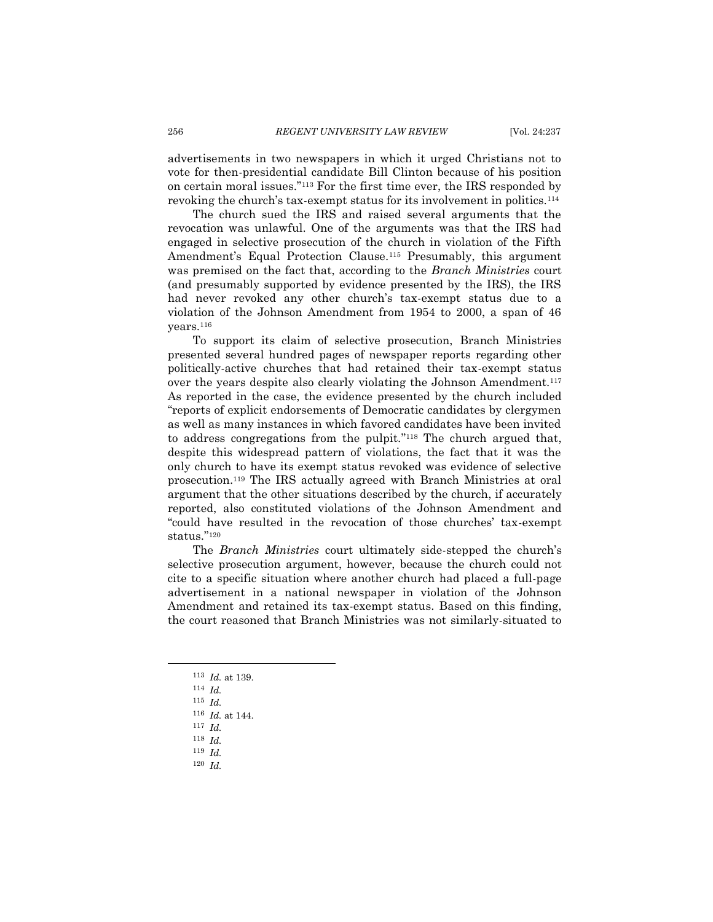advertisements in two newspapers in which it urged Christians not to vote for then-presidential candidate Bill Clinton because of his position on certain moral issues."<sup>113</sup> For the first time ever, the IRS responded by revoking the church's tax-exempt status for its involvement in politics.<sup>114</sup>

The church sued the IRS and raised several arguments that the revocation was unlawful. One of the arguments was that the IRS had engaged in selective prosecution of the church in violation of the Fifth Amendment's Equal Protection Clause.<sup>115</sup> Presumably, this argument was premised on the fact that, according to the *Branch Ministries* court (and presumably supported by evidence presented by the IRS), the IRS had never revoked any other church's tax-exempt status due to a violation of the Johnson Amendment from 1954 to 2000, a span of 46 years.<sup>116</sup>

To support its claim of selective prosecution, Branch Ministries presented several hundred pages of newspaper reports regarding other politically-active churches that had retained their tax-exempt status over the years despite also clearly violating the Johnson Amendment.<sup>117</sup> As reported in the case, the evidence presented by the church included "reports of explicit endorsements of Democratic candidates by clergymen as well as many instances in which favored candidates have been invited to address congregations from the pulpit." <sup>118</sup> The church argued that, despite this widespread pattern of violations, the fact that it was the only church to have its exempt status revoked was evidence of selective prosecution.<sup>119</sup> The IRS actually agreed with Branch Ministries at oral argument that the other situations described by the church, if accurately reported, also constituted violations of the Johnson Amendment and "could have resulted in the revocation of those churches' tax-exempt status." 120

The *Branch Ministries* court ultimately side-stepped the church's selective prosecution argument, however, because the church could not cite to a specific situation where another church had placed a full-page advertisement in a national newspaper in violation of the Johnson Amendment and retained its tax-exempt status. Based on this finding, the court reasoned that Branch Ministries was not similarly-situated to

- <sup>116</sup> *Id.* at 144.
- <sup>117</sup> *Id.*
- <sup>118</sup> *Id.*
- <sup>119</sup> *Id.*
- <sup>120</sup> *Id.*

<sup>113</sup> *Id.* at 139.

<sup>114</sup> *Id.*

<sup>115</sup> *Id.*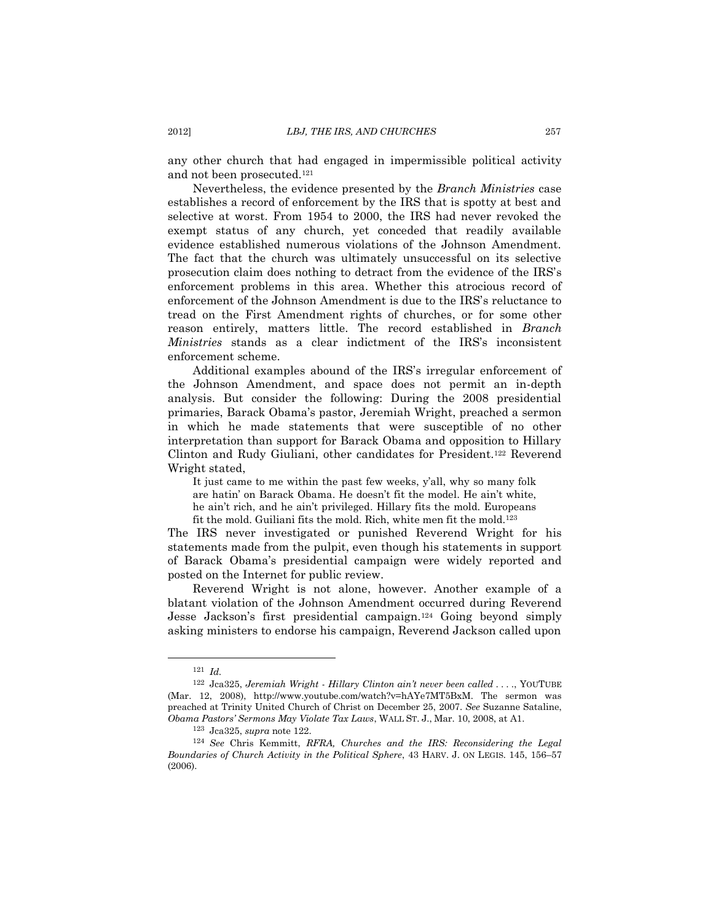any other church that had engaged in impermissible political activity and not been prosecuted.<sup>121</sup>

Nevertheless, the evidence presented by the *Branch Ministries* case establishes a record of enforcement by the IRS that is spotty at best and selective at worst. From 1954 to 2000, the IRS had never revoked the exempt status of any church, yet conceded that readily available evidence established numerous violations of the Johnson Amendment. The fact that the church was ultimately unsuccessful on its selective prosecution claim does nothing to detract from the evidence of the IRS's enforcement problems in this area. Whether this atrocious record of enforcement of the Johnson Amendment is due to the IRS's reluctance to tread on the First Amendment rights of churches, or for some other reason entirely, matters little. The record established in *Branch Ministries* stands as a clear indictment of the IRS's inconsistent enforcement scheme.

Additional examples abound of the IRS's irregular enforcement of the Johnson Amendment, and space does not permit an in-depth analysis. But consider the following: During the 2008 presidential primaries, Barack Obama's pastor, Jeremiah Wright, preached a sermon in which he made statements that were susceptible of no other interpretation than support for Barack Obama and opposition to Hillary Clinton and Rudy Giuliani, other candidates for President.<sup>122</sup> Reverend Wright stated,

<span id="page-20-0"></span>It just came to me within the past few weeks, y'all, why so many folk are hatin' on Barack Obama. He doesn't fit the model. He ain't white, he ain't rich, and he ain't privileged. Hillary fits the mold. Europeans fit the mold. Guiliani fits the mold. Rich, white men fit the mold.<sup>123</sup>

The IRS never investigated or punished Reverend Wright for his statements made from the pulpit, even though his statements in support of Barack Obama's presidential campaign were widely reported and posted on the Internet for public review.

Reverend Wright is not alone, however. Another example of a blatant violation of the Johnson Amendment occurred during Reverend Jesse Jackson's first presidential campaign.<sup>124</sup> Going beyond simply asking ministers to endorse his campaign, Reverend Jackson called upon

<span id="page-20-1"></span><sup>121</sup> *Id.*

<sup>122</sup> Jca325, *Jeremiah Wright - Hillary Clinton ain't never been called . . . .*, YOUTUBE (Mar. 12, 2008), http://www.youtube.com/watch?v=hAYe7MT5BxM. The sermon was preached at Trinity United Church of Christ on December 25, 2007. *See* Suzanne Sataline, *Obama Pastors' Sermons May Violate Tax Laws*, WALL ST. J., Mar. 10, 2008, at A1.

<sup>123</sup> Jca325, *supra* note [122.](#page-20-0)

<sup>124</sup> *See* Chris Kemmitt, *RFRA, Churches and the IRS: Reconsidering the Legal Boundaries of Church Activity in the Political Sphere*, 43 HARV. J. ON LEGIS. 145, 156–57  $(2006)$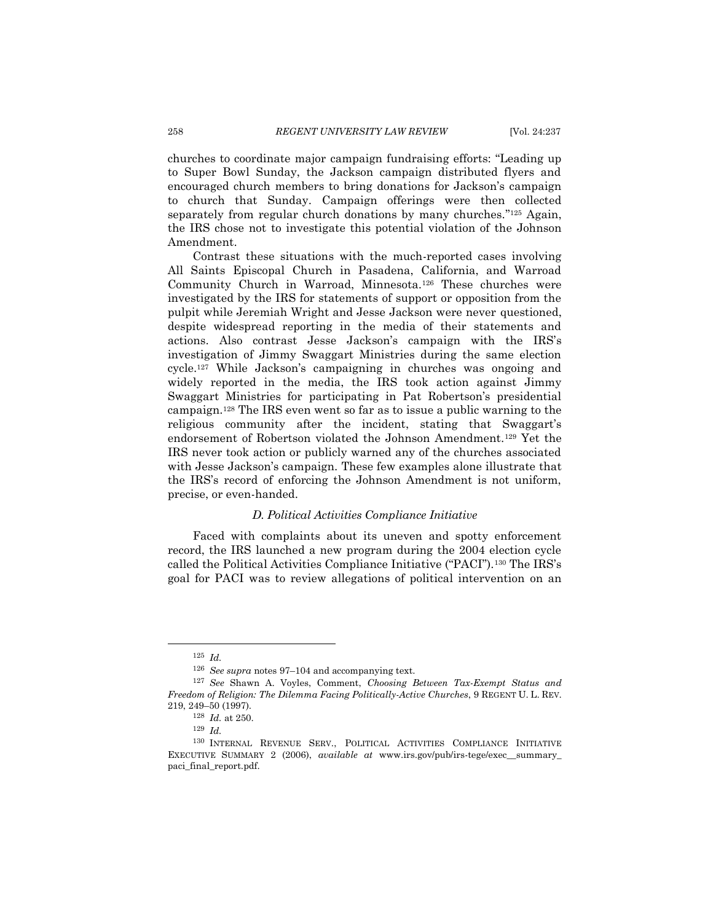churches to coordinate major campaign fundraising efforts: "Leading up to Super Bowl Sunday, the Jackson campaign distributed flyers and encouraged church members to bring donations for Jackson's campaign to church that Sunday. Campaign offerings were then collected separately from regular church donations by many churches."<sup>125</sup> Again, the IRS chose not to investigate this potential violation of the Johnson Amendment.

<span id="page-21-1"></span>Contrast these situations with the much-reported cases involving All Saints Episcopal Church in Pasadena, California, and Warroad Community Church in Warroad, Minnesota.<sup>126</sup> These churches were investigated by the IRS for statements of support or opposition from the pulpit while Jeremiah Wright and Jesse Jackson were never questioned, despite widespread reporting in the media of their statements and actions. Also contrast Jesse Jackson's campaign with the IRS's investigation of Jimmy Swaggart Ministries during the same election cycle.<sup>127</sup> While Jackson's campaigning in churches was ongoing and widely reported in the media, the IRS took action against Jimmy Swaggart Ministries for participating in Pat Robertson's presidential campaign.<sup>128</sup> The IRS even went so far as to issue a public warning to the religious community after the incident, stating that Swaggart's endorsement of Robertson violated the Johnson Amendment.<sup>129</sup> Yet the IRS never took action or publicly warned any of the churches associated with Jesse Jackson's campaign. These few examples alone illustrate that the IRS's record of enforcing the Johnson Amendment is not uniform, precise, or even-handed.

## *D. Political Activities Compliance Initiative*

<span id="page-21-0"></span>Faced with complaints about its uneven and spotty enforcement record, the IRS launched a new program during the 2004 election cycle called the Political Activities Compliance Initiative ("PACI").<sup>130</sup> The IRS's goal for PACI was to review allegations of political intervention on an

<sup>125</sup> *Id.*

<sup>126</sup> *See supra* notes [97](#page-16-1)–[104](#page-17-1) and accompanying text.

<sup>127</sup> *See* Shawn A. Voyles, Comment, *Choosing Between Tax-Exempt Status and Freedom of Religion: The Dilemma Facing Politically-Active Churches*, 9 REGENT U. L. REV. 219, 249–50 (1997).

<sup>128</sup> *Id.* at 250.

<sup>129</sup> *Id.*

<sup>130</sup> INTERNAL REVENUE SERV., POLITICAL ACTIVITIES COMPLIANCE INITIATIVE EXECUTIVE SUMMARY 2 (2006), *available at* www.irs.gov/pub/irs-tege/exec\_\_summary\_ paci\_final\_report.pdf.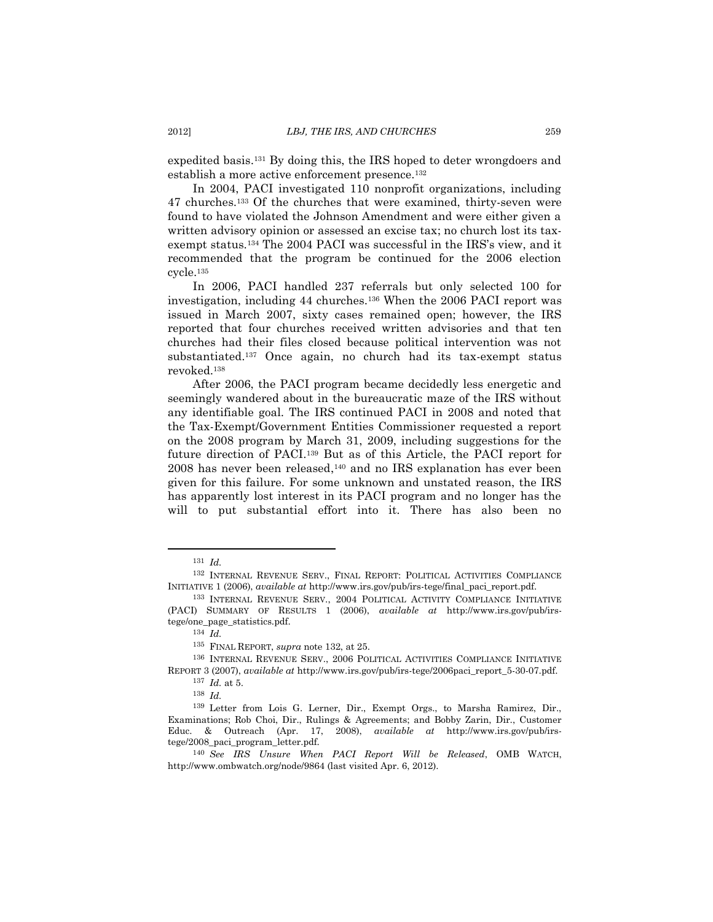<span id="page-22-0"></span>expedited basis. <sup>131</sup> By doing this, the IRS hoped to deter wrongdoers and establish a more active enforcement presence.<sup>132</sup>

In 2004, PACI investigated 110 nonprofit organizations, including 47 churches.<sup>133</sup> Of the churches that were examined, thirty-seven were found to have violated the Johnson Amendment and were either given a written advisory opinion or assessed an excise tax; no church lost its taxexempt status.<sup>134</sup> The 2004 PACI was successful in the IRS's view, and it recommended that the program be continued for the 2006 election cycle.<sup>135</sup>

In 2006, PACI handled 237 referrals but only selected 100 for investigation, including 44 churches.<sup>136</sup> When the 2006 PACI report was issued in March 2007, sixty cases remained open; however, the IRS reported that four churches received written advisories and that ten churches had their files closed because political intervention was not substantiated.<sup>137</sup> Once again, no church had its tax-exempt status revoked.<sup>138</sup>

After 2006, the PACI program became decidedly less energetic and seemingly wandered about in the bureaucratic maze of the IRS without any identifiable goal. The IRS continued PACI in 2008 and noted that the Tax-Exempt/Government Entities Commissioner requested a report on the 2008 program by March 31, 2009, including suggestions for the future direction of PACI.<sup>139</sup> But as of this Article, the PACI report for 2008 has never been released, <sup>140</sup> and no IRS explanation has ever been given for this failure. For some unknown and unstated reason, the IRS has apparently lost interest in its PACI program and no longer has the will to put substantial effort into it. There has also been no

<sup>131</sup> *Id.*

<sup>132</sup> INTERNAL REVENUE SERV., FINAL REPORT: POLITICAL ACTIVITIES COMPLIANCE INITIATIVE 1 (2006), *available at* http://www.irs.gov/pub/irs-tege/final\_paci\_report.pdf.

<sup>133</sup> INTERNAL REVENUE SERV., 2004 POLITICAL ACTIVITY COMPLIANCE INITIATIVE (PACI) SUMMARY OF RESULTS 1 (2006), *available at* [http://www.irs.gov/pub/irs](http://www.irs.gov/pub/irs-tege/one_page_statistics.pdf)[tege/one\\_page\\_statistics.pdf.](http://www.irs.gov/pub/irs-tege/one_page_statistics.pdf)

<sup>134</sup> *Id.*

<sup>135</sup> FINAL REPORT, *supra* note [132,](#page-22-0) at 25.

<sup>136</sup> INTERNAL REVENUE SERV., 2006 POLITICAL ACTIVITIES COMPLIANCE INITIATIVE REPORT 3 (2007), *available at* http://www.irs.gov/pub/irs-tege/2006paci\_report\_5-30-07.pdf.

<sup>137</sup> *Id.* at 5.

<sup>138</sup> *Id.*

<sup>139</sup> Letter from Lois G. Lerner, Dir., Exempt Orgs., to Marsha Ramirez, Dir., Examinations; Rob Choi, Dir., Rulings & Agreements; and Bobby Zarin, Dir., Customer Educ. & Outreach (Apr. 17, 2008), *available at* http://www.irs.gov/pub/irstege/2008\_paci\_program\_letter.pdf.

<sup>140</sup> *See IRS Unsure When PACI Report Will be Released*, OMB WATCH, http://www.ombwatch.org/node/9864 (last visited Apr. 6, 2012).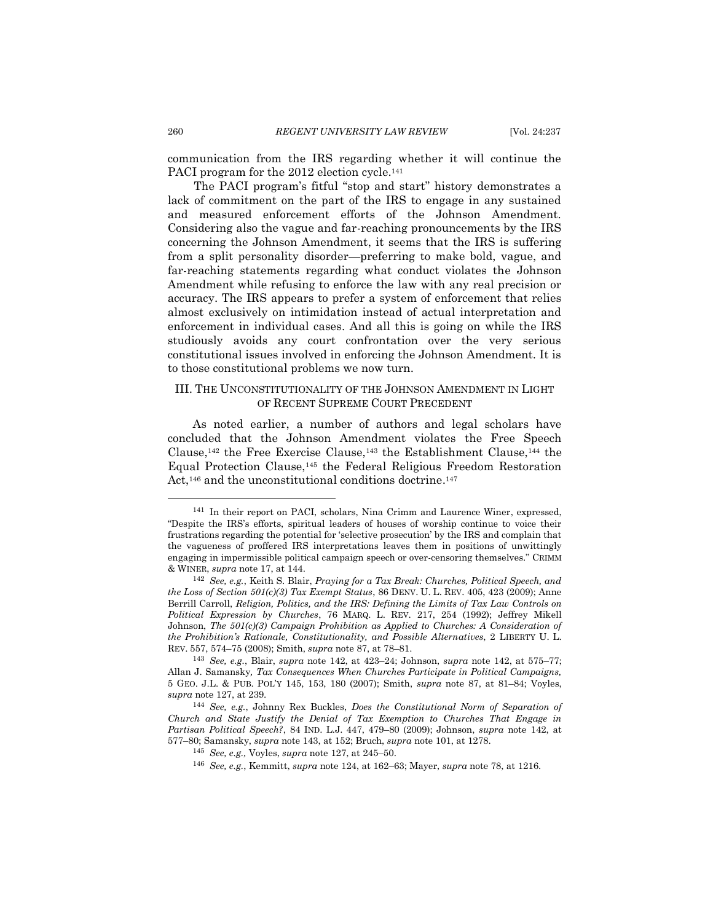communication from the IRS regarding whether it will continue the PACI program for the 2012 election cycle.<sup>141</sup>

The PACI program's fitful "stop and start" history demonstrates a lack of commitment on the part of the IRS to engage in any sustained and measured enforcement efforts of the Johnson Amendment. Considering also the vague and far-reaching pronouncements by the IRS concerning the Johnson Amendment, it seems that the IRS is suffering from a split personality disorder—preferring to make bold, vague, and far-reaching statements regarding what conduct violates the Johnson Amendment while refusing to enforce the law with any real precision or accuracy. The IRS appears to prefer a system of enforcement that relies almost exclusively on intimidation instead of actual interpretation and enforcement in individual cases. And all this is going on while the IRS studiously avoids any court confrontation over the very serious constitutional issues involved in enforcing the Johnson Amendment. It is to those constitutional problems we now turn.

# <span id="page-23-0"></span>III. THE UNCONSTITUTIONALITY OF THE JOHNSON AMENDMENT IN LIGHT OF RECENT SUPREME COURT PRECEDENT

<span id="page-23-2"></span><span id="page-23-1"></span>As noted earlier, a number of authors and legal scholars have concluded that the Johnson Amendment violates the Free Speech Clause,<sup>142</sup> the Free Exercise Clause,<sup>143</sup> the Establishment Clause,<sup>144</sup> the Equal Protection Clause,<sup>145</sup> the Federal Religious Freedom Restoration Act,<sup>146</sup> and the unconstitutional conditions doctrine.<sup>147</sup>

<sup>141</sup> In their report on PACI, scholars, Nina Crimm and Laurence Winer, expressed, "Despite the IRS's efforts, spiritual leaders of houses of worship continue to voice their frustrations regarding the potential for 'selective prosecution' by the IRS and complain that the vagueness of proffered IRS interpretations leaves them in positions of unwittingly engaging in impermissible political campaign speech or over-censoring themselves." CRIMM & WINER, *supra* not[e 17,](#page-4-4) at 144.

<sup>142</sup> *See, e.g.*, Keith S. Blair, *Praying for a Tax Break: Churches, Political Speech, and the Loss of Section 501(c)(3) Tax Exempt Status*, 86 DENV. U. L. REV. 405, 423 (2009); Anne Berrill Carroll, *Religion, Politics, and the IRS: Defining the Limits of Tax Law Controls on Political Expression by Churches*, 76 MARQ. L. REV. 217, 254 (1992); Jeffrey Mikell Johnson, *The 501(c)(3) Campaign Prohibition as Applied to Churches: A Consideration of the Prohibition's Rationale, Constitutionality, and Possible Alternatives*, 2 LIBERTY U. L. REV. 557, 574–75 (2008); Smith, *supra* not[e 87,](#page-15-2) at 78–81.

<sup>143</sup> *See, e.g.*, Blair, *supra* note [142,](#page-23-1) at 423–24; Johnson, *supra* note [142,](#page-23-1) at 575–77; Allan J. Samansky*, Tax Consequences When Churches Participate in Political Campaigns,*  5 GEO. J.L. & PUB. POL'Y 145, 153, 180 (2007); Smith, *supra* note [87,](#page-15-2) at 81–84; Voyles, *supra* not[e 127,](#page-21-1) at 239.

<sup>144</sup> *See, e.g.*, Johnny Rex Buckles, *Does the Constitutional Norm of Separation of Church and State Justify the Denial of Tax Exemption to Churches That Engage in Partisan Political Speech?*, 84 IND. L.J. 447, 479–80 (2009); Johnson, *supra* note [142,](#page-23-1) at 577–80; Samansky, *supra* note [143,](#page-23-2) at 152; Bruch, *supra* note [101,](#page-17-2) at 1278.

<sup>145</sup> *See, e.g.,* Voyles, *supra* note [127,](#page-21-1) at 245–50.

<sup>146</sup> *See, e.g.*, Kemmitt, *supra* note [124,](#page-20-1) at 162–63; Mayer, *supra* not[e 78,](#page-13-1) at 1216.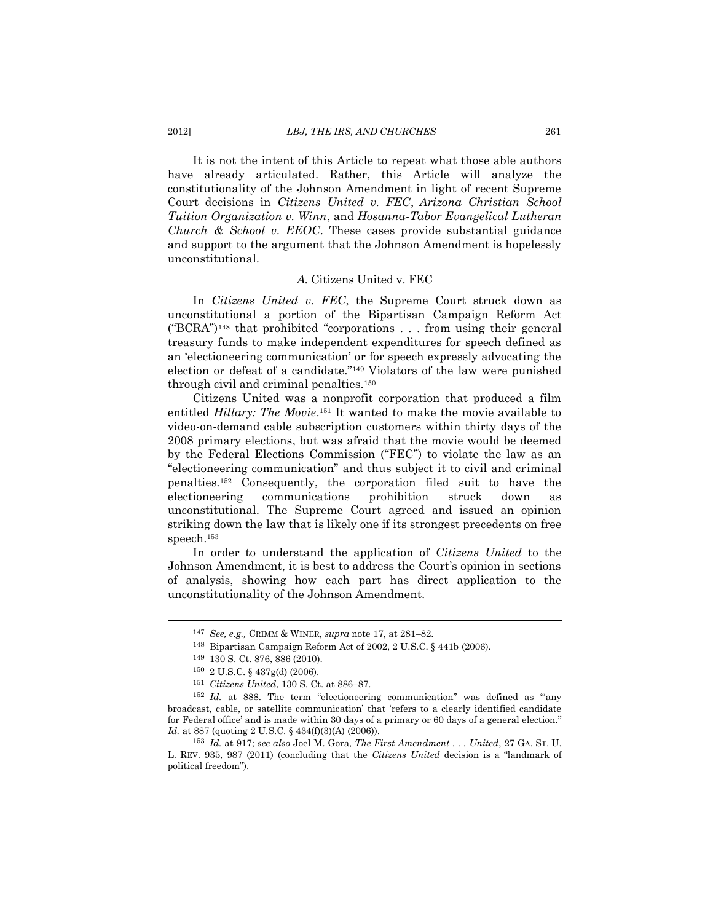It is not the intent of this Article to repeat what those able authors have already articulated. Rather, this Article will analyze the constitutionality of the Johnson Amendment in light of recent Supreme Court decisions in *Citizens United v. FEC*, *Arizona Christian School Tuition Organization v. Winn*, and *Hosanna-Tabor Evangelical Lutheran Church & School v. EEOC*. These cases provide substantial guidance and support to the argument that the Johnson Amendment is hopelessly unconstitutional.

#### *A.* Citizens United v. FEC

<span id="page-24-0"></span>In *Citizens United v. FEC*, the Supreme Court struck down as unconstitutional a portion of the Bipartisan Campaign Reform Act ("BCRA") <sup>148</sup> that prohibited "corporations . . . from using their general treasury funds to make independent expenditures for speech defined as an 'electioneering communication' or for speech expressly advocating the election or defeat of a candidate."<sup>149</sup> Violators of the law were punished through civil and criminal penalties.<sup>150</sup>

Citizens United was a nonprofit corporation that produced a film entitled *Hillary: The Movie*. <sup>151</sup> It wanted to make the movie available to video-on-demand cable subscription customers within thirty days of the 2008 primary elections, but was afraid that the movie would be deemed by the Federal Elections Commission ("FEC") to violate the law as an "electioneering communication" and thus subject it to civil and criminal penalties.<sup>152</sup> Consequently, the corporation filed suit to have the electioneering communications prohibition struck down as unconstitutional. The Supreme Court agreed and issued an opinion striking down the law that is likely one if its strongest precedents on free speech.<sup>153</sup>

In order to understand the application of *Citizens United* to the Johnson Amendment, it is best to address the Court's opinion in sections of analysis, showing how each part has direct application to the unconstitutionality of the Johnson Amendment.

<sup>147</sup> *See, e.g.,* CRIMM & WINER, *supra* not[e 17,](#page-4-4) at 281–82.

<sup>148</sup> Bipartisan Campaign Reform Act of 2002, 2 U.S.C. § 441b (2006).

<sup>149</sup> 130 S. Ct. 876, 886 (2010).

<sup>150</sup> 2 U.S.C. § 437g(d) (2006).

<sup>151</sup> *Citizens United*, 130 S. Ct. at 886–87.

<sup>&</sup>lt;sup>152</sup> *Id.* at 888. The term "electioneering communication" was defined as "any broadcast, cable, or satellite communication' that 'refers to a clearly identified candidate for Federal office' and is made within 30 days of a primary or 60 days of a general election." *Id.* at 887 (quoting 2 U.S.C. § 434(f)(3)(A) (2006)).

<sup>153</sup> *Id.* at 917; *see also* Joel M. Gora, *The First Amendment . . . United*, 27 GA. ST. U. L. REV. 935, 987 (2011) (concluding that the *Citizens United* decision is a "landmark of political freedom").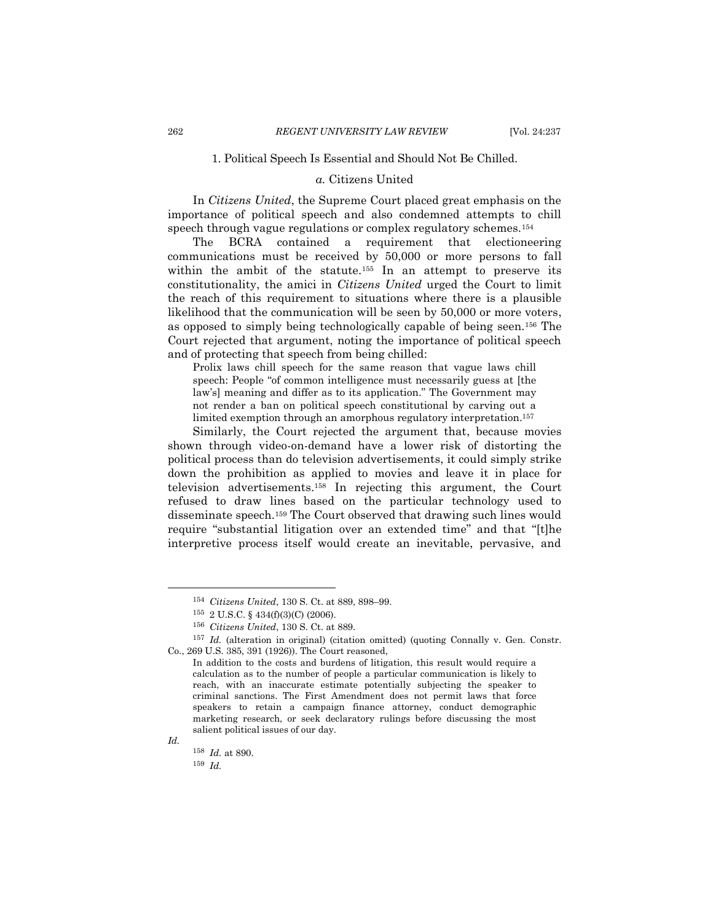# 1. Political Speech Is Essential and Should Not Be Chilled.

# *a.* Citizens United

<span id="page-25-0"></span>In *Citizens United*, the Supreme Court placed great emphasis on the importance of political speech and also condemned attempts to chill speech through vague regulations or complex regulatory schemes.<sup>154</sup>

The BCRA contained a requirement that electioneering communications must be received by 50,000 or more persons to fall within the ambit of the statute.<sup>155</sup> In an attempt to preserve its constitutionality, the amici in *Citizens United* urged the Court to limit the reach of this requirement to situations where there is a plausible likelihood that the communication will be seen by 50,000 or more voters, as opposed to simply being technologically capable of being seen.<sup>156</sup> The Court rejected that argument, noting the importance of political speech and of protecting that speech from being chilled:

Prolix laws chill speech for the same reason that vague laws chill speech: People "of common intelligence must necessarily guess at [the law's] meaning and differ as to its application." The Government may not render a ban on political speech constitutional by carving out a limited exemption through an amorphous regulatory interpretation.<sup>157</sup>

Similarly, the Court rejected the argument that, because movies shown through video-on-demand have a lower risk of distorting the political process than do television advertisements, it could simply strike down the prohibition as applied to movies and leave it in place for television advertisements. <sup>158</sup> In rejecting this argument, the Court refused to draw lines based on the particular technology used to disseminate speech.<sup>159</sup> The Court observed that drawing such lines would require "substantial litigation over an extended time" and that "[t]he interpretive process itself would create an inevitable, pervasive, and

*Id.* <sup>158</sup> *Id.* at 890.

<sup>154</sup> *Citizens United*, 130 S. Ct. at 889, 898–99.

<sup>155</sup> 2 U.S.C. § 434(f)(3)(C) (2006).

<sup>156</sup> *Citizens United*, 130 S. Ct. at 889.

<sup>157</sup> *Id.* (alteration in original) (citation omitted) (quoting Connally v. Gen. Constr. Co., 269 U.S. 385, 391 (1926)). The Court reasoned,

In addition to the costs and burdens of litigation, this result would require a calculation as to the number of people a particular communication is likely to reach, with an inaccurate estimate potentially subjecting the speaker to criminal sanctions. The First Amendment does not permit laws that force speakers to retain a campaign finance attorney, conduct demographic marketing research, or seek declaratory rulings before discussing the most salient political issues of our day.

<sup>159</sup> *Id.*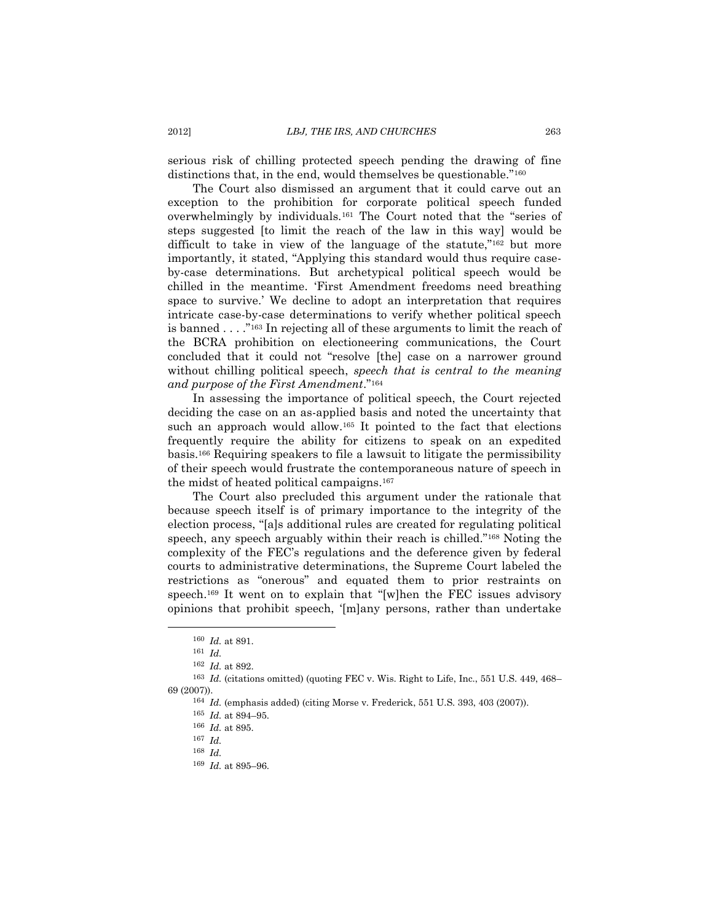serious risk of chilling protected speech pending the drawing of fine distinctions that, in the end, would themselves be questionable.<sup>"160</sup>

The Court also dismissed an argument that it could carve out an exception to the prohibition for corporate political speech funded overwhelmingly by individuals.<sup>161</sup> The Court noted that the "series of steps suggested [to limit the reach of the law in this way] would be difficult to take in view of the language of the statute,"<sup>162</sup> but more importantly, it stated, "Applying this standard would thus require caseby-case determinations. But archetypical political speech would be chilled in the meantime. 'First Amendment freedoms need breathing space to survive.' We decline to adopt an interpretation that requires intricate case-by-case determinations to verify whether political speech is banned . . . ."<sup>163</sup> In rejecting all of these arguments to limit the reach of the BCRA prohibition on electioneering communications, the Court concluded that it could not "resolve [the] case on a narrower ground without chilling political speech, *speech that is central to the meaning and purpose of the First Amendment*."<sup>164</sup>

In assessing the importance of political speech, the Court rejected deciding the case on an as-applied basis and noted the uncertainty that such an approach would allow.<sup>165</sup> It pointed to the fact that elections frequently require the ability for citizens to speak on an expedited basis.<sup>166</sup> Requiring speakers to file a lawsuit to litigate the permissibility of their speech would frustrate the contemporaneous nature of speech in the midst of heated political campaigns. 167

The Court also precluded this argument under the rationale that because speech itself is of primary importance to the integrity of the election process, "[a]s additional rules are created for regulating political speech, any speech arguably within their reach is chilled."<sup>168</sup> Noting the complexity of the FEC's regulations and the deference given by federal courts to administrative determinations, the Supreme Court labeled the restrictions as "onerous" and equated them to prior restraints on speech.<sup>169</sup> It went on to explain that "[w]hen the FEC issues advisory opinions that prohibit speech, '[m]any persons, rather than undertake

<sup>160</sup> *Id.* at 891.

<sup>161</sup> *Id.*

<sup>162</sup> *Id.* at 892.

<sup>163</sup> *Id.* (citations omitted) (quoting FEC v. Wis. Right to Life, Inc., 551 U.S. 449, 468– 69 (2007)).

<sup>164</sup> *Id.* (emphasis added) (citing Morse v. Frederick, 551 U.S. 393, 403 (2007)).

<sup>165</sup> *Id.* at 894–95.

<sup>166</sup> *Id.* at 895.

<sup>167</sup> *Id.*

<sup>168</sup> *Id.*

<sup>169</sup> *Id.* at 895–96.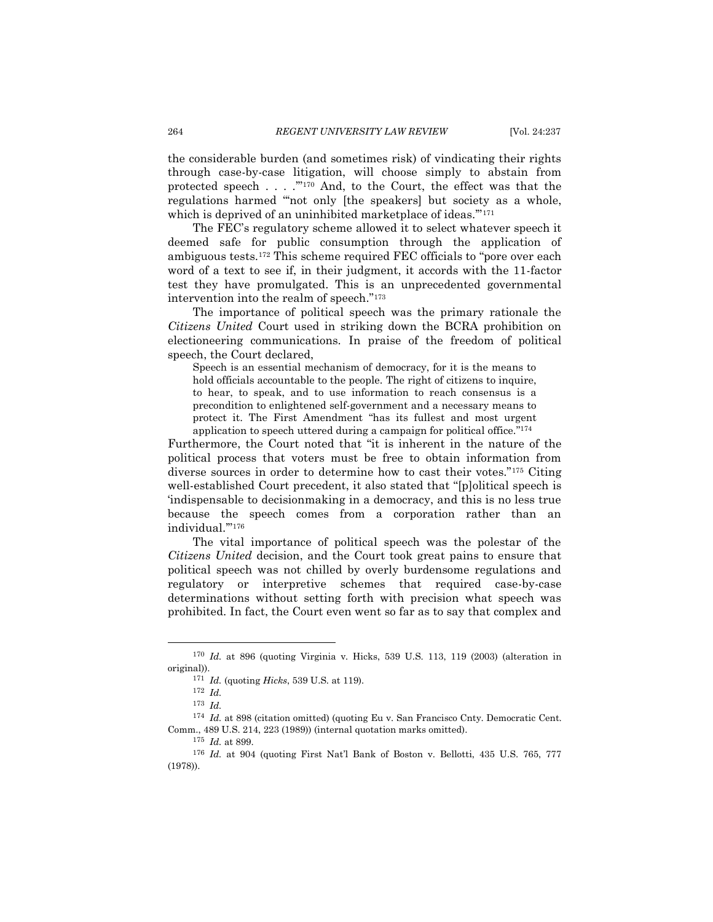the considerable burden (and sometimes risk) of vindicating their rights through case-by-case litigation, will choose simply to abstain from protected speech . . . .'" <sup>170</sup> And, to the Court, the effect was that the regulations harmed "'not only [the speakers] but society as a whole, which is deprived of an uninhibited marketplace of ideas."<sup>171</sup>

The FEC's regulatory scheme allowed it to select whatever speech it deemed safe for public consumption through the application of ambiguous tests.<sup>172</sup> This scheme required FEC officials to "pore over each word of a text to see if, in their judgment, it accords with the 11-factor test they have promulgated. This is an unprecedented governmental intervention into the realm of speech."<sup>173</sup>

The importance of political speech was the primary rationale the *Citizens United* Court used in striking down the BCRA prohibition on electioneering communications. In praise of the freedom of political speech, the Court declared,

Speech is an essential mechanism of democracy, for it is the means to hold officials accountable to the people. The right of citizens to inquire, to hear, to speak, and to use information to reach consensus is a precondition to enlightened self-government and a necessary means to protect it. The First Amendment "has its fullest and most urgent application to speech uttered during a campaign for political office." 174

Furthermore, the Court noted that "it is inherent in the nature of the political process that voters must be free to obtain information from diverse sources in order to determine how to cast their votes."<sup>175</sup> Citing well-established Court precedent, it also stated that "[p]olitical speech is 'indispensable to decisionmaking in a democracy, and this is no less true because the speech comes from a corporation rather than an individual.'" 176

The vital importance of political speech was the polestar of the *Citizens United* decision, and the Court took great pains to ensure that political speech was not chilled by overly burdensome regulations and regulatory or interpretive schemes that required case-by-case determinations without setting forth with precision what speech was prohibited. In fact, the Court even went so far as to say that complex and

<sup>170</sup> *Id.* at 896 (quoting Virginia v. Hicks, 539 U.S. 113, 119 (2003) (alteration in original)).

<sup>171</sup> *Id.* (quoting *Hicks*, 539 U.S. at 119).

<sup>172</sup> *Id.*

<sup>173</sup> *Id.* 

<sup>&</sup>lt;sup>174</sup> *Id.* at 898 (citation omitted) (quoting Eu v. San Francisco Cnty. Democratic Cent. Comm., 489 U.S. 214, 223 (1989)) (internal quotation marks omitted).

<sup>175</sup> *Id.* at 899.

<sup>176</sup> *Id.* at 904 (quoting First Nat'l Bank of Boston v. Bellotti, 435 U.S. 765, 777 (1978)).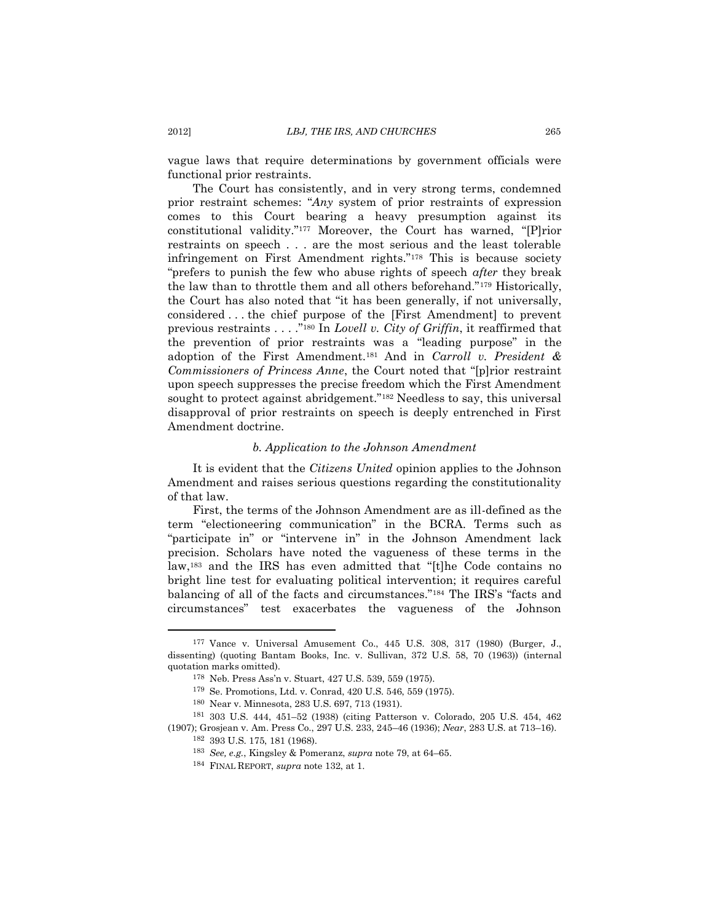vague laws that require determinations by government officials were functional prior restraints.

The Court has consistently, and in very strong terms, condemned prior restraint schemes: "*Any* system of prior restraints of expression comes to this Court bearing a heavy presumption against its constitutional validity."<sup>177</sup> Moreover, the Court has warned, "[P]rior restraints on speech . . . are the most serious and the least tolerable infringement on First Amendment rights."<sup>178</sup> This is because society "prefers to punish the few who abuse rights of speech *after* they break the law than to throttle them and all others beforehand."<sup>179</sup> Historically, the Court has also noted that "it has been generally, if not universally, considered . . . the chief purpose of the [First Amendment] to prevent previous restraints . . . ." <sup>180</sup> In *Lovell v. City of Griffin*, it reaffirmed that the prevention of prior restraints was a "leading purpose" in the adoption of the First Amendment.<sup>181</sup> And in *Carroll v. President & Commissioners of Princess Anne*, the Court noted that "[p]rior restraint upon speech suppresses the precise freedom which the First Amendment sought to protect against abridgement."<sup>182</sup> Needless to say, this universal disapproval of prior restraints on speech is deeply entrenched in First Amendment doctrine.

#### *b. Application to the Johnson Amendment*

It is evident that the *Citizens United* opinion applies to the Johnson Amendment and raises serious questions regarding the constitutionality of that law.

First, the terms of the Johnson Amendment are as ill-defined as the term "electioneering communication" in the BCRA. Terms such as "participate in" or "intervene in" in the Johnson Amendment lack precision. Scholars have noted the vagueness of these terms in the law,<sup>183</sup> and the IRS has even admitted that "[t]he Code contains no bright line test for evaluating political intervention; it requires careful balancing of all of the facts and circumstances."<sup>184</sup> The IRS's "facts and circumstances" test exacerbates the vagueness of the Johnson

<sup>177</sup> Vance v. Universal Amusement Co., 445 U.S. 308, 317 (1980) (Burger, J., dissenting) (quoting Bantam Books, Inc. v. Sullivan, 372 U.S. 58, 70 (1963)) (internal quotation marks omitted).

<sup>178</sup> Neb. Press Ass'n v. Stuart, 427 U.S. 539, 559 (1975).

<sup>179</sup> Se. Promotions, Ltd. v. Conrad, 420 U.S. 546, 559 (1975).

<sup>180</sup> Near v. Minnesota, 283 U.S. 697, 713 (1931).

<sup>181</sup> 303 U.S. 444, 451–52 (1938) (citing Patterson v. Colorado, 205 U.S. 454, 462 (1907); Grosjean v. Am. Press Co., 297 U.S. 233, 245–46 (1936); *Near*, 283 U.S. at 713–16). <sup>182</sup> 393 U.S. 175, 181 (1968).

<sup>183</sup> *See, e.g.*, Kingsley & Pomeranz, *supra* not[e 79,](#page-13-2) at 64–65.

<sup>184</sup> FINAL REPORT, *supra* note [132,](#page-22-0) at 1.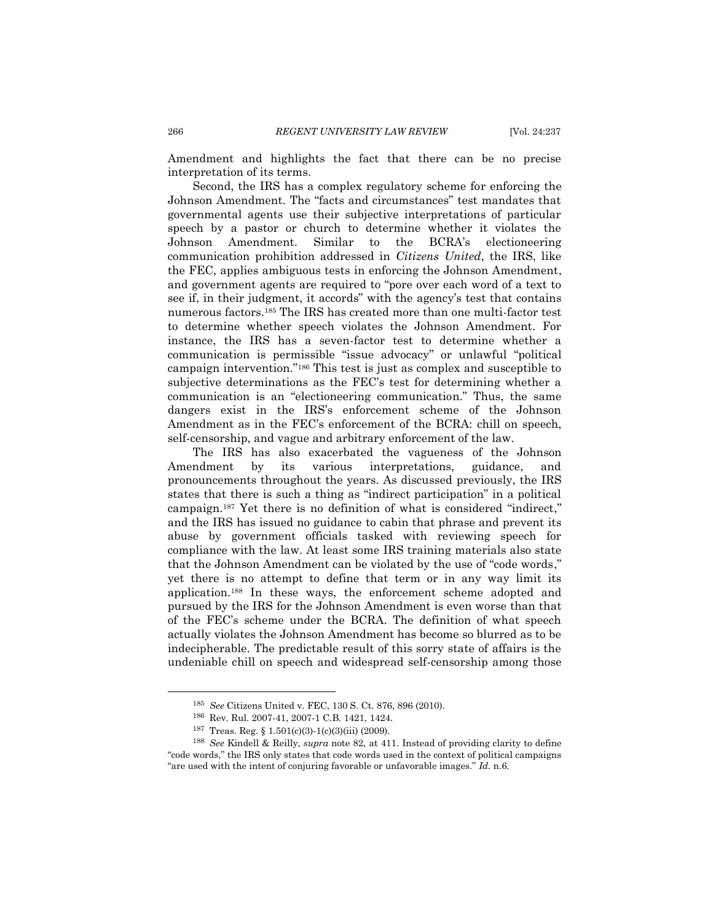Amendment and highlights the fact that there can be no precise interpretation of its terms.

Second, the IRS has a complex regulatory scheme for enforcing the Johnson Amendment. The "facts and circumstances" test mandates that governmental agents use their subjective interpretations of particular speech by a pastor or church to determine whether it violates the Johnson Amendment. Similar to the BCRA's electioneering communication prohibition addressed in *Citizens United*, the IRS, like the FEC, applies ambiguous tests in enforcing the Johnson Amendment, and government agents are required to "pore over each word of a text to see if, in their judgment, it accords" with the agency's test that contains numerous factors.<sup>185</sup> The IRS has created more than one multi-factor test to determine whether speech violates the Johnson Amendment. For instance, the IRS has a seven-factor test to determine whether a communication is permissible "issue advocacy" or unlawful "political campaign intervention." <sup>186</sup> This test is just as complex and susceptible to subjective determinations as the FEC's test for determining whether a communication is an "electioneering communication." Thus, the same dangers exist in the IRS's enforcement scheme of the Johnson Amendment as in the FEC's enforcement of the BCRA: chill on speech, self-censorship, and vague and arbitrary enforcement of the law.

The IRS has also exacerbated the vagueness of the Johnson Amendment by its various interpretations, guidance, and pronouncements throughout the years. As discussed previously, the IRS states that there is such a thing as "indirect participation" in a political campaign.<sup>187</sup> Yet there is no definition of what is considered "indirect," and the IRS has issued no guidance to cabin that phrase and prevent its abuse by government officials tasked with reviewing speech for compliance with the law. At least some IRS training materials also state that the Johnson Amendment can be violated by the use of "code words," yet there is no attempt to define that term or in any way limit its application.<sup>188</sup> In these ways, the enforcement scheme adopted and pursued by the IRS for the Johnson Amendment is even worse than that of the FEC's scheme under the BCRA. The definition of what speech actually violates the Johnson Amendment has become so blurred as to be indecipherable. The predictable result of this sorry state of affairs is the undeniable chill on speech and widespread self-censorship among those

<sup>185</sup> *See* Citizens United v. FEC, 130 S. Ct. 876, 896 (2010).

<sup>186</sup> Rev. Rul. 2007-41, 2007-1 C.B. 1421, 1424.

<sup>187</sup> Treas. Reg. § 1.501(c)(3)-1(c)(3)(iii) (2009).

<sup>188</sup> *See* Kindell & Reilly, *supra* note [82,](#page-14-2) at 411. Instead of providing clarity to define "code words," the IRS only states that code words used in the context of political campaigns "are used with the intent of conjuring favorable or unfavorable images." *Id.* n.6.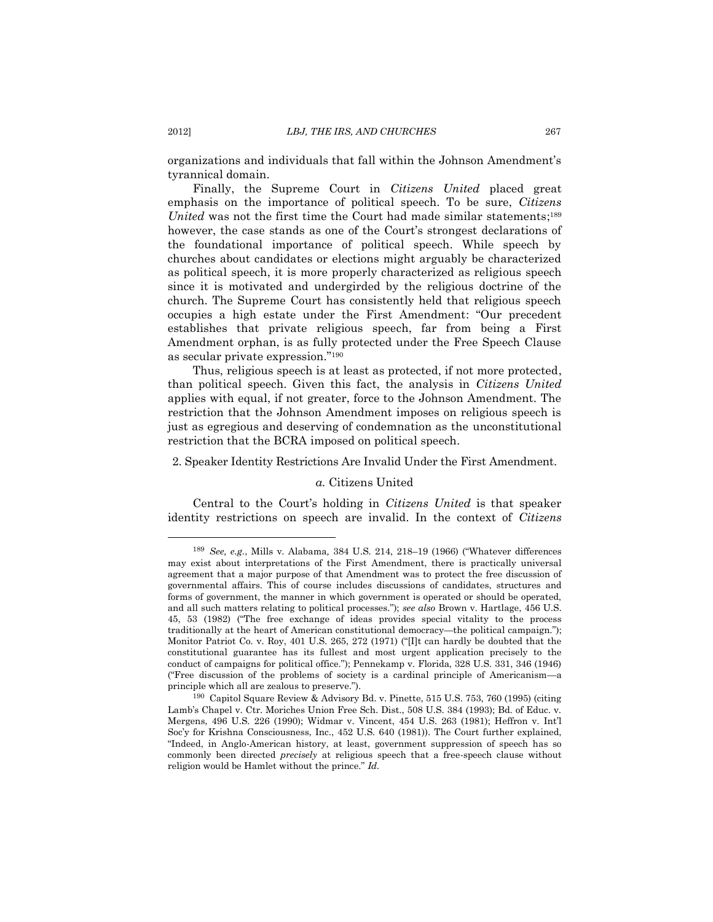organizations and individuals that fall within the Johnson Amendment's tyrannical domain.

Finally, the Supreme Court in *Citizens United* placed great emphasis on the importance of political speech. To be sure, *Citizens*  United was not the first time the Court had made similar statements;<sup>189</sup> however, the case stands as one of the Court's strongest declarations of the foundational importance of political speech. While speech by churches about candidates or elections might arguably be characterized as political speech, it is more properly characterized as religious speech since it is motivated and undergirded by the religious doctrine of the church. The Supreme Court has consistently held that religious speech occupies a high estate under the First Amendment: "Our precedent establishes that private religious speech, far from being a First Amendment orphan, is as fully protected under the Free Speech Clause as secular private expression."<sup>190</sup>

Thus, religious speech is at least as protected, if not more protected, than political speech. Given this fact, the analysis in *Citizens United* applies with equal, if not greater, force to the Johnson Amendment. The restriction that the Johnson Amendment imposes on religious speech is just as egregious and deserving of condemnation as the unconstitutional restriction that the BCRA imposed on political speech.

<span id="page-30-0"></span>2. Speaker Identity Restrictions Are Invalid Under the First Amendment.

#### *a.* Citizens United

Central to the Court's holding in *Citizens United* is that speaker identity restrictions on speech are invalid. In the context of *Citizens* 

<sup>189</sup> *See, e.g.*, Mills v. Alabama*,* 384 U.S. 214, 218–19 (1966) ("Whatever differences may exist about interpretations of the First Amendment, there is practically universal agreement that a major purpose of that Amendment was to protect the free discussion of governmental affairs. This of course includes discussions of candidates, structures and forms of government, the manner in which government is operated or should be operated, and all such matters relating to political processes."); *see also* Brown v. Hartlage, 456 U.S. 45, 53 (1982) ("The free exchange of ideas provides special vitality to the process traditionally at the heart of American constitutional democracy—the political campaign."); Monitor Patriot Co. v. Roy, 401 U.S. 265, 272 (1971) ("[I]t can hardly be doubted that the constitutional guarantee has its fullest and most urgent application precisely to the conduct of campaigns for political office."); Pennekamp v. Florida, 328 U.S. 331, 346 (1946) ("Free discussion of the problems of society is a cardinal principle of Americanism—a principle which all are zealous to preserve.").

<sup>190</sup> Capitol Square Review & Advisory Bd. v. Pinette, 515 U.S. 753, 760 (1995) (citing Lamb's Chapel v. Ctr. Moriches Union Free Sch. Dist., 508 U.S. 384 (1993); Bd. of Educ. v. Mergens, 496 U.S. 226 (1990); Widmar v. Vincent, 454 U.S. 263 (1981); Heffron v. Int'l Soc'y for Krishna Consciousness, Inc., 452 U.S. 640 (1981)). The Court further explained, "Indeed, in Anglo-American history, at least, government suppression of speech has so commonly been directed *precisely* at religious speech that a free-speech clause without religion would be Hamlet without the prince." *Id.*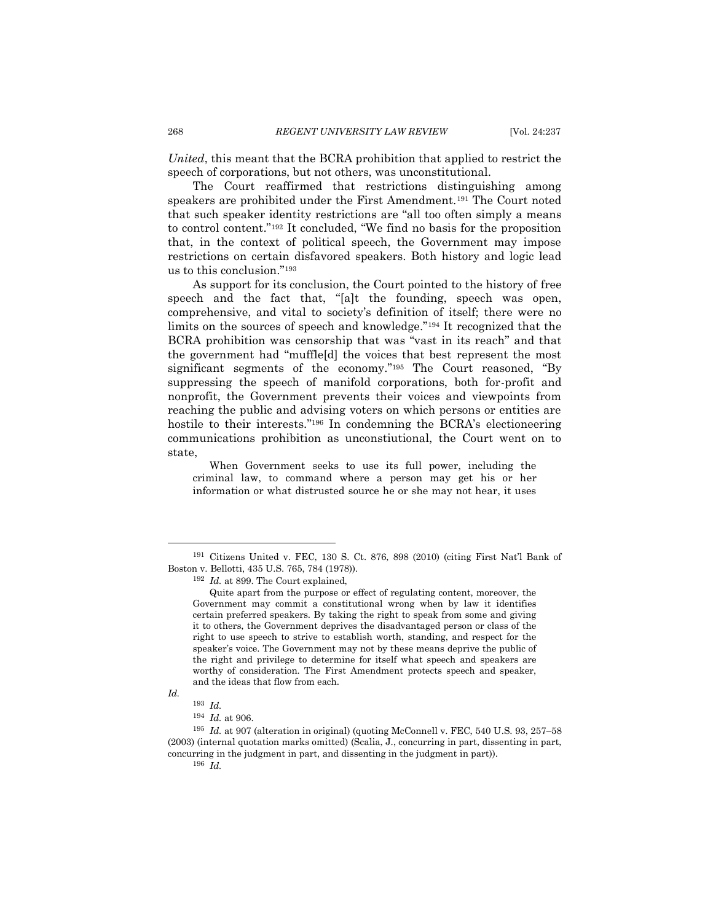*United*, this meant that the BCRA prohibition that applied to restrict the speech of corporations, but not others, was unconstitutional.

The Court reaffirmed that restrictions distinguishing among speakers are prohibited under the First Amendment.<sup>191</sup> The Court noted that such speaker identity restrictions are "all too often simply a means to control content."<sup>192</sup> It concluded, "We find no basis for the proposition that, in the context of political speech, the Government may impose restrictions on certain disfavored speakers. Both history and logic lead us to this conclusion."<sup>193</sup>

As support for its conclusion, the Court pointed to the history of free speech and the fact that, "[a]t the founding, speech was open, comprehensive, and vital to society's definition of itself; there were no limits on the sources of speech and knowledge."<sup>194</sup> It recognized that the BCRA prohibition was censorship that was "vast in its reach" and that the government had "muffle[d] the voices that best represent the most significant segments of the economy." <sup>195</sup> The Court reasoned, "By suppressing the speech of manifold corporations, both for-profit and nonprofit, the Government prevents their voices and viewpoints from reaching the public and advising voters on which persons or entities are hostile to their interests." <sup>196</sup> In condemning the BCRA's electioneering communications prohibition as unconstiutional, the Court went on to state,

When Government seeks to use its full power, including the criminal law, to command where a person may get his or her information or what distrusted source he or she may not hear, it uses

<sup>191</sup> Citizens United v. FEC, 130 S. Ct. 876, 898 (2010) (citing First Nat'l Bank of Boston v. Bellotti, 435 U.S. 765, 784 (1978)).

<sup>192</sup> *Id.* at 899. The Court explained,

Quite apart from the purpose or effect of regulating content, moreover, the Government may commit a constitutional wrong when by law it identifies certain preferred speakers. By taking the right to speak from some and giving it to others, the Government deprives the disadvantaged person or class of the right to use speech to strive to establish worth, standing, and respect for the speaker's voice. The Government may not by these means deprive the public of the right and privilege to determine for itself what speech and speakers are worthy of consideration. The First Amendment protects speech and speaker, and the ideas that flow from each.

*Id.*

<sup>193</sup> *Id.* <sup>194</sup> *Id.* at 906.

<sup>195</sup> *Id.* at 907 (alteration in original) (quoting McConnell v. FEC, 540 U.S. 93, 257–58 (2003) (internal quotation marks omitted) (Scalia, J., concurring in part, dissenting in part, concurring in the judgment in part, and dissenting in the judgment in part)).

<sup>196</sup> *Id.*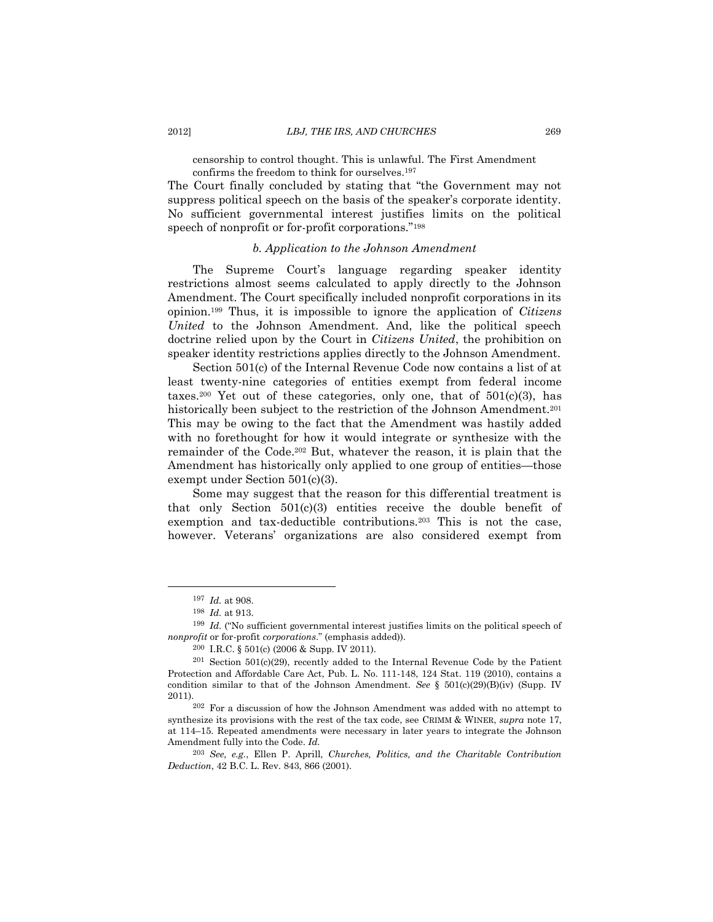censorship to control thought. This is unlawful. The First Amendment confirms the freedom to think for ourselves.<sup>197</sup>

The Court finally concluded by stating that "the Government may not suppress political speech on the basis of the speaker's corporate identity. No sufficient governmental interest justifies limits on the political speech of nonprofit or for-profit corporations."<sup>198</sup>

# *b. Application to the Johnson Amendment*

The Supreme Court's language regarding speaker identity restrictions almost seems calculated to apply directly to the Johnson Amendment. The Court specifically included nonprofit corporations in its opinion.<sup>199</sup> Thus, it is impossible to ignore the application of *Citizens United* to the Johnson Amendment. And, like the political speech doctrine relied upon by the Court in *Citizens United*, the prohibition on speaker identity restrictions applies directly to the Johnson Amendment.

Section 501(c) of the Internal Revenue Code now contains a list of at least twenty-nine categories of entities exempt from federal income taxes.<sup>200</sup> Yet out of these categories, only one, that of  $501(c)(3)$ , has historically been subject to the restriction of the Johnson Amendment.<sup>201</sup> This may be owing to the fact that the Amendment was hastily added with no forethought for how it would integrate or synthesize with the remainder of the Code. <sup>202</sup> But, whatever the reason, it is plain that the Amendment has historically only applied to one group of entities—those exempt under Section 501(c)(3).

Some may suggest that the reason for this differential treatment is that only Section  $501(c)(3)$  entities receive the double benefit of exemption and tax-deductible contributions.<sup>203</sup> This is not the case, however. Veterans' organizations are also considered exempt from

<sup>197</sup> *Id.* at 908.

<sup>198</sup> *Id.* at 913.

<sup>199</sup> *Id.* ("No sufficient governmental interest justifies limits on the political speech of *nonprofit* or for-profit *corporations*." (emphasis added)).

<sup>200</sup> I.R.C. § 501(c) (2006 & Supp. IV 2011).

 $201$  Section 501(c)(29), recently added to the Internal Revenue Code by the Patient Protection and Affordable Care Act, Pub. L. No. 111-148, 124 Stat. 119 (2010), contains a condition similar to that of the Johnson Amendment. *See* § 501(c)(29)(B)(iv) (Supp. IV 2011).

<sup>202</sup> For a discussion of how the Johnson Amendment was added with no attempt to synthesize its provisions with the rest of the tax code, see CRIMM & WINER, *supra* note [17,](#page-4-4) at 114–15. Repeated amendments were necessary in later years to integrate the Johnson Amendment fully into the Code. *Id.*

<sup>203</sup> *See, e.g.*, Ellen P. Aprill, *Churches, Politics, and the Charitable Contribution Deduction*, 42 B.C. L. Rev. 843, 866 (2001).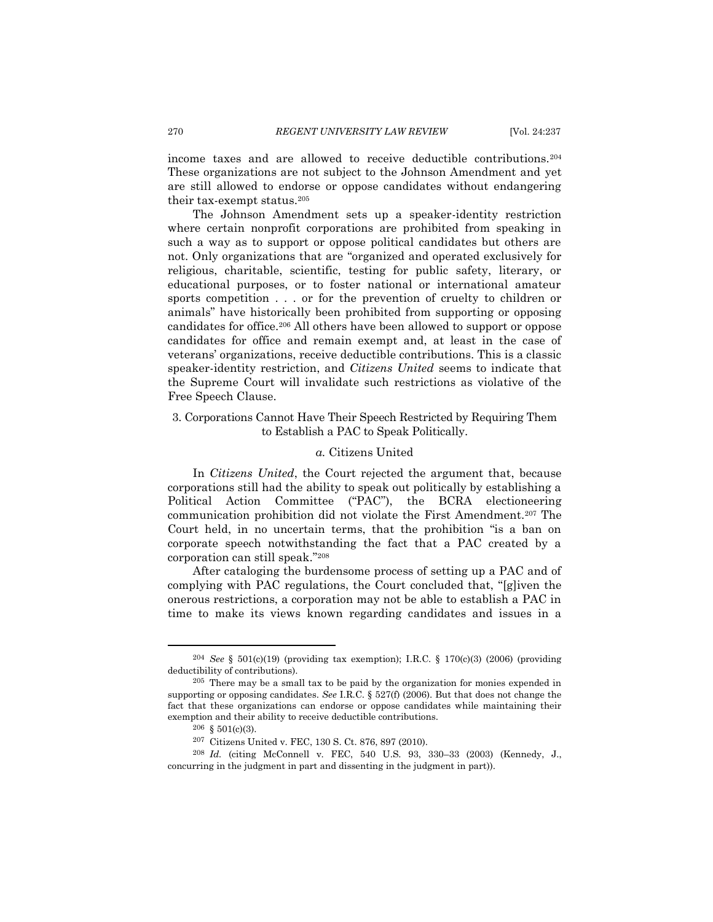income taxes and are allowed to receive deductible contributions.<sup>204</sup> These organizations are not subject to the Johnson Amendment and yet are still allowed to endorse or oppose candidates without endangering their tax-exempt status.<sup>205</sup>

The Johnson Amendment sets up a speaker-identity restriction where certain nonprofit corporations are prohibited from speaking in such a way as to support or oppose political candidates but others are not. Only organizations that are "organized and operated exclusively for religious, charitable, scientific, testing for public safety, literary, or educational purposes, or to foster national or international amateur sports competition . . . or for the prevention of cruelty to children or animals" have historically been prohibited from supporting or opposing candidates for office.<sup>206</sup> All others have been allowed to support or oppose candidates for office and remain exempt and, at least in the case of veterans' organizations, receive deductible contributions. This is a classic speaker-identity restriction, and *Citizens United* seems to indicate that the Supreme Court will invalidate such restrictions as violative of the Free Speech Clause.

<span id="page-33-0"></span>3. Corporations Cannot Have Their Speech Restricted by Requiring Them to Establish a PAC to Speak Politically.

## *a.* Citizens United

In *Citizens United*, the Court rejected the argument that, because corporations still had the ability to speak out politically by establishing a Political Action Committee ("PAC"), the BCRA electioneering communication prohibition did not violate the First Amendment.<sup>207</sup> The Court held, in no uncertain terms, that the prohibition "is a ban on corporate speech notwithstanding the fact that a PAC created by a corporation can still speak." 208

After cataloging the burdensome process of setting up a PAC and of complying with PAC regulations, the Court concluded that, "[g]iven the onerous restrictions, a corporation may not be able to establish a PAC in time to make its views known regarding candidates and issues in a

<sup>204</sup> *See* § 501(c)(19) (providing tax exemption); I.R.C. § 170(c)(3) (2006) (providing deductibility of contributions).

<sup>205</sup> There may be a small tax to be paid by the organization for monies expended in supporting or opposing candidates. *See* I.R.C. § 527(f) (2006). But that does not change the fact that these organizations can endorse or oppose candidates while maintaining their exemption and their ability to receive deductible contributions.

 $206 \& 501(c)(3)$ .

<sup>207</sup> Citizens United v. FEC, 130 S. Ct. 876, 897 (2010).

<sup>208</sup> *Id.* (citing McConnell v. FEC, 540 U.S. 93, 330–33 (2003) (Kennedy, J., concurring in the judgment in part and dissenting in the judgment in part)).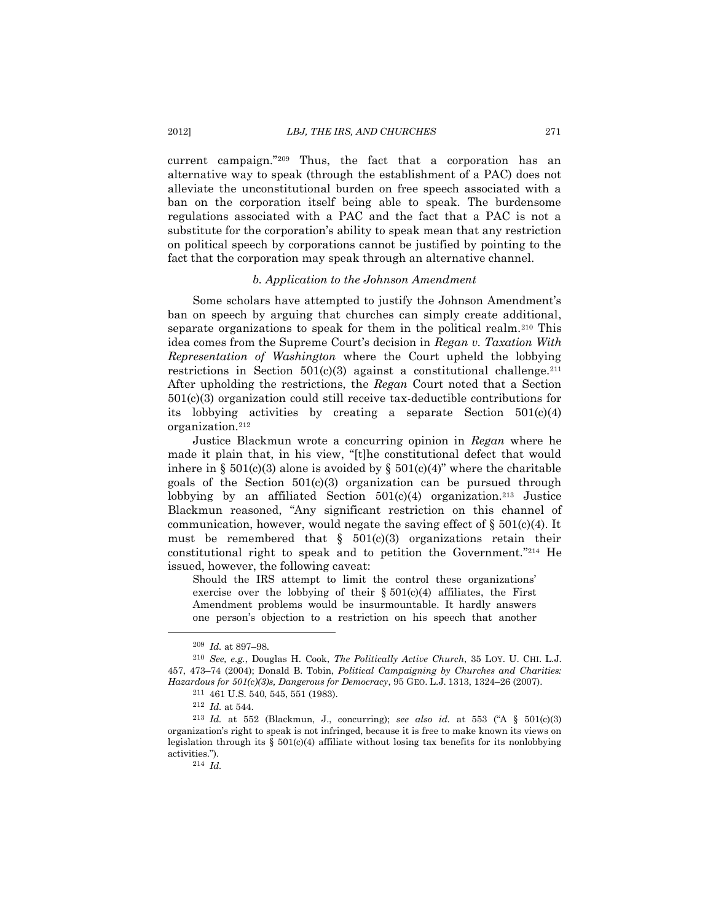current campaign."<sup>209</sup> Thus, the fact that a corporation has an alternative way to speak (through the establishment of a PAC) does not alleviate the unconstitutional burden on free speech associated with a ban on the corporation itself being able to speak. The burdensome regulations associated with a PAC and the fact that a PAC is not a substitute for the corporation's ability to speak mean that any restriction on political speech by corporations cannot be justified by pointing to the fact that the corporation may speak through an alternative channel.

#### *b. Application to the Johnson Amendment*

Some scholars have attempted to justify the Johnson Amendment's ban on speech by arguing that churches can simply create additional, separate organizations to speak for them in the political realm.<sup>210</sup> This idea comes from the Supreme Court's decision in *Regan v. Taxation With Representation of Washington* where the Court upheld the lobbying restrictions in Section  $501(c)(3)$  against a constitutional challenge.<sup>211</sup> After upholding the restrictions, the *Regan* Court noted that a Section 501(c)(3) organization could still receive tax-deductible contributions for its lobbying activities by creating a separate Section 501(c)(4) organization.<sup>212</sup>

Justice Blackmun wrote a concurring opinion in *Regan* where he made it plain that, in his view, "[t]he constitutional defect that would inhere in § 501(c)(3) alone is avoided by § 501(c)(4)" where the charitable goals of the Section  $501(c)(3)$  organization can be pursued through lobbying by an affiliated Section  $501(c)(4)$  organization.<sup>213</sup> Justice Blackmun reasoned, "Any significant restriction on this channel of communication, however, would negate the saving effect of  $\S 501(c)(4)$ . It must be remembered that  $\S$  501(c)(3) organizations retain their constitutional right to speak and to petition the Government." <sup>214</sup> He issued, however, the following caveat:

Should the IRS attempt to limit the control these organizations' exercise over the lobbying of their  $\S 501(c)(4)$  affiliates, the First Amendment problems would be insurmountable. It hardly answers one person's objection to a restriction on his speech that another

<sup>209</sup> *Id.* at 897–98.

<sup>210</sup> *See, e.g.*, Douglas H. Cook, *The Politically Active Church*, 35 LOY. U. CHI. L.J. 457, 473–74 (2004); Donald B. Tobin, *Political Campaigning by Churches and Charities: Hazardous for 501(c)(3)s, Dangerous for Democracy*, 95 GEO. L.J. 1313, 1324–26 (2007).

<sup>211</sup> 461 U.S. 540, 545, 551 (1983).

<sup>212</sup> *Id.* at 544.

<sup>213</sup> *Id.* at 552 (Blackmun, J., concurring); *see also id.* at 553 ("A § 501(c)(3) organization's right to speak is not infringed, because it is free to make known its views on legislation through its  $\S$  501(c)(4) affiliate without losing tax benefits for its nonlobbying activities.").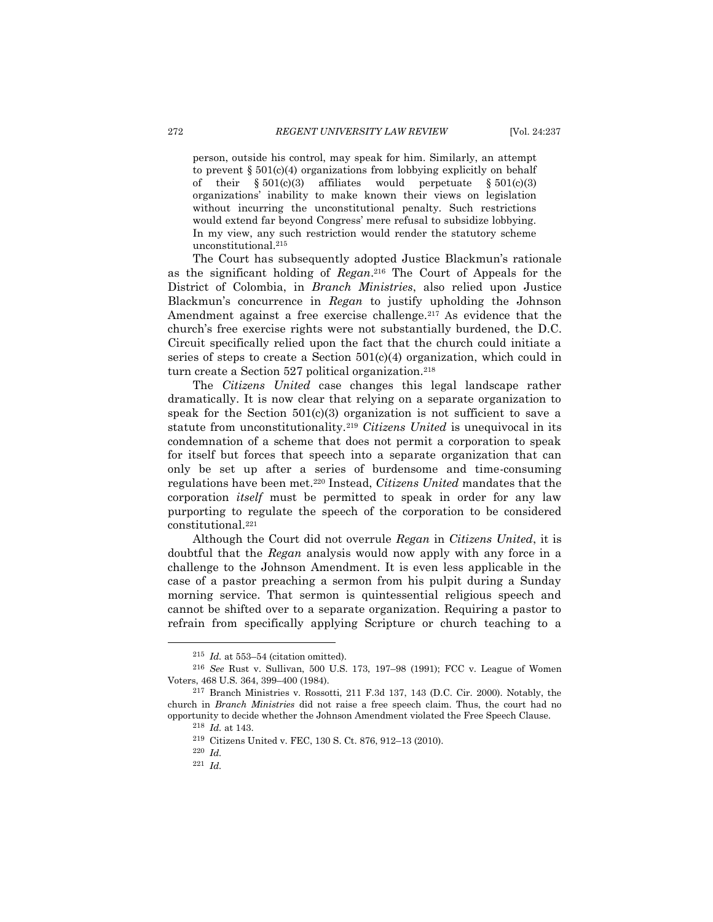person, outside his control, may speak for him. Similarly, an attempt to prevent  $\S 501(c)(4)$  organizations from lobbying explicitly on behalf of their  $\S 501(c)(3)$  affiliates would perpetuate  $\S 501(c)(3)$ organizations' inability to make known their views on legislation without incurring the unconstitutional penalty. Such restrictions would extend far beyond Congress' mere refusal to subsidize lobbying. In my view, any such restriction would render the statutory scheme unconstitutional.<sup>215</sup>

The Court has subsequently adopted Justice Blackmun's rationale as the significant holding of *Regan*. <sup>216</sup> The Court of Appeals for the District of Colombia, in *Branch Ministries*, also relied upon Justice Blackmun's concurrence in *Regan* to justify upholding the Johnson Amendment against a free exercise challenge.<sup>217</sup> As evidence that the church's free exercise rights were not substantially burdened, the D.C. Circuit specifically relied upon the fact that the church could initiate a series of steps to create a Section  $501(c)(4)$  organization, which could in turn create a Section 527 political organization.<sup>218</sup>

The *Citizens United* case changes this legal landscape rather dramatically. It is now clear that relying on a separate organization to speak for the Section  $501(c)(3)$  organization is not sufficient to save a statute from unconstitutionality.<sup>219</sup> *Citizens United* is unequivocal in its condemnation of a scheme that does not permit a corporation to speak for itself but forces that speech into a separate organization that can only be set up after a series of burdensome and time-consuming regulations have been met.<sup>220</sup> Instead, *Citizens United* mandates that the corporation *itself* must be permitted to speak in order for any law purporting to regulate the speech of the corporation to be considered constitutional.<sup>221</sup>

Although the Court did not overrule *Regan* in *Citizens United*, it is doubtful that the *Regan* analysis would now apply with any force in a challenge to the Johnson Amendment. It is even less applicable in the case of a pastor preaching a sermon from his pulpit during a Sunday morning service. That sermon is quintessential religious speech and cannot be shifted over to a separate organization. Requiring a pastor to refrain from specifically applying Scripture or church teaching to a

<sup>215</sup> *Id.* at 553–54 (citation omitted).

<sup>216</sup> *See* Rust v. Sullivan, 500 U.S. 173, 197–98 (1991); FCC v. League of Women Voters, 468 U.S. 364, 399–400 (1984).

<sup>217</sup> Branch Ministries v. Rossotti, 211 F.3d 137, 143 (D.C. Cir. 2000). Notably, the church in *Branch Ministries* did not raise a free speech claim. Thus, the court had no opportunity to decide whether the Johnson Amendment violated the Free Speech Clause.

<sup>218</sup> *Id.* at 143.

<sup>219</sup> Citizens United v. FEC, 130 S. Ct. 876, 912–13 (2010).

<sup>220</sup> *Id.*

<sup>221</sup> *Id.*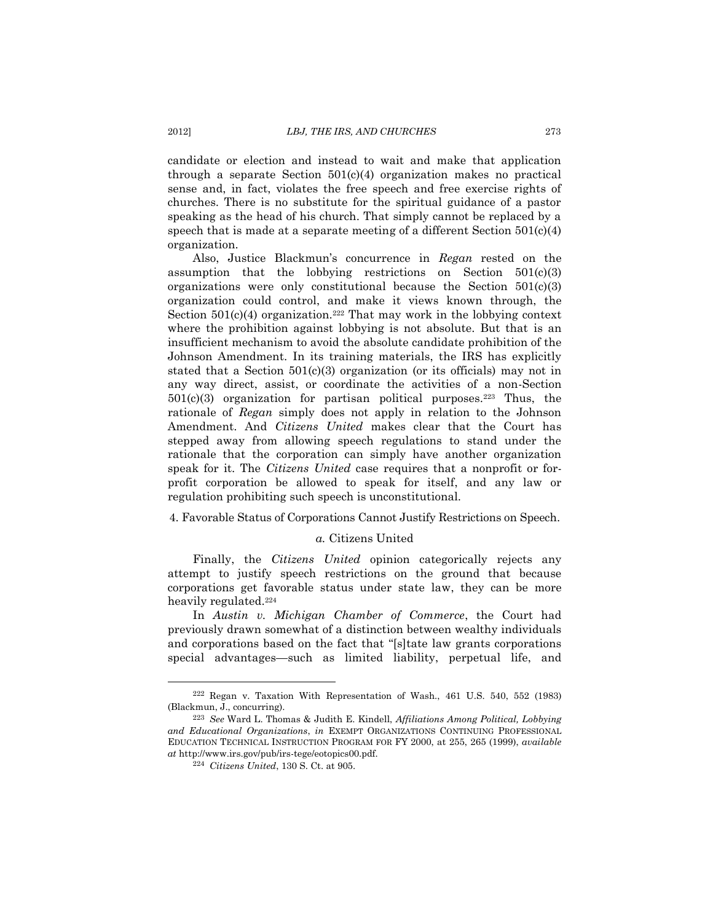candidate or election and instead to wait and make that application through a separate Section 501(c)(4) organization makes no practical sense and, in fact, violates the free speech and free exercise rights of churches. There is no substitute for the spiritual guidance of a pastor speaking as the head of his church. That simply cannot be replaced by a speech that is made at a separate meeting of a different Section 501(c)(4) organization.

Also, Justice Blackmun's concurrence in *Regan* rested on the assumption that the lobbying restrictions on Section  $501(c)(3)$ organizations were only constitutional because the Section 501(c)(3) organization could control, and make it views known through, the Section  $501(c)(4)$  organization.<sup>222</sup> That may work in the lobbying context where the prohibition against lobbying is not absolute. But that is an insufficient mechanism to avoid the absolute candidate prohibition of the Johnson Amendment. In its training materials, the IRS has explicitly stated that a Section  $501(c)(3)$  organization (or its officials) may not in any way direct, assist, or coordinate the activities of a non-Section  $501(c)(3)$  organization for partisan political purposes.<sup>223</sup> Thus, the rationale of *Regan* simply does not apply in relation to the Johnson Amendment. And *Citizens United* makes clear that the Court has stepped away from allowing speech regulations to stand under the rationale that the corporation can simply have another organization speak for it. The *Citizens United* case requires that a nonprofit or forprofit corporation be allowed to speak for itself, and any law or regulation prohibiting such speech is unconstitutional.

# <span id="page-36-0"></span>4. Favorable Status of Corporations Cannot Justify Restrictions on Speech.

# *a.* Citizens United

Finally, the *Citizens United* opinion categorically rejects any attempt to justify speech restrictions on the ground that because corporations get favorable status under state law, they can be more heavily regulated.<sup>224</sup>

In *Austin v. Michigan Chamber of Commerce*, the Court had previously drawn somewhat of a distinction between wealthy individuals and corporations based on the fact that "[s]tate law grants corporations special advantages—such as limited liability, perpetual life, and

<sup>222</sup> Regan v. Taxation With Representation of Wash., 461 U.S. 540, 552 (1983) (Blackmun, J., concurring).

<sup>223</sup> *See* Ward L. Thomas & Judith E. Kindell, *Affiliations Among Political, Lobbying and Educational Organizations*, *in* EXEMPT ORGANIZATIONS CONTINUING PROFESSIONAL EDUCATION TECHNICAL INSTRUCTION PROGRAM FOR FY 2000, at 255, 265 (1999), *available at* http://www.irs.gov/pub/irs-tege/eotopics00.pdf.

<sup>224</sup> *Citizens United*, 130 S. Ct. at 905.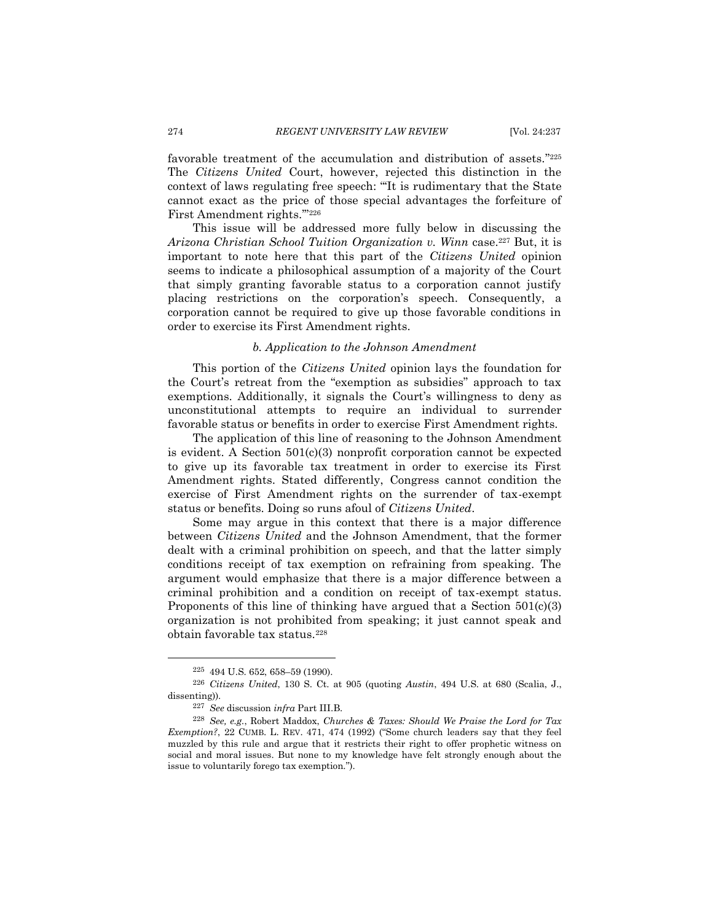favorable treatment of the accumulation and distribution of assets." 225 The *Citizens United* Court, however, rejected this distinction in the context of laws regulating free speech: "'It is rudimentary that the State cannot exact as the price of those special advantages the forfeiture of First Amendment rights.'" 226

This issue will be addressed more fully below in discussing the *Arizona Christian School Tuition Organization v. Winn* case. <sup>227</sup> But, it is important to note here that this part of the *Citizens United* opinion seems to indicate a philosophical assumption of a majority of the Court that simply granting favorable status to a corporation cannot justify placing restrictions on the corporation's speech. Consequently, a corporation cannot be required to give up those favorable conditions in order to exercise its First Amendment rights.

# *b. Application to the Johnson Amendment*

This portion of the *Citizens United* opinion lays the foundation for the Court's retreat from the "exemption as subsidies" approach to tax exemptions. Additionally, it signals the Court's willingness to deny as unconstitutional attempts to require an individual to surrender favorable status or benefits in order to exercise First Amendment rights.

The application of this line of reasoning to the Johnson Amendment is evident. A Section 501(c)(3) nonprofit corporation cannot be expected to give up its favorable tax treatment in order to exercise its First Amendment rights. Stated differently, Congress cannot condition the exercise of First Amendment rights on the surrender of tax-exempt status or benefits. Doing so runs afoul of *Citizens United*.

Some may argue in this context that there is a major difference between *Citizens United* and the Johnson Amendment, that the former dealt with a criminal prohibition on speech, and that the latter simply conditions receipt of tax exemption on refraining from speaking. The argument would emphasize that there is a major difference between a criminal prohibition and a condition on receipt of tax-exempt status. Proponents of this line of thinking have argued that a Section  $501(c)(3)$ organization is not prohibited from speaking; it just cannot speak and obtain favorable tax status.<sup>228</sup>

<sup>225</sup> 494 U.S. 652, 658–59 (1990).

<sup>226</sup> *Citizens United*, 130 S. Ct. at 905 (quoting *Austin*, 494 U.S. at 680 (Scalia, J., dissenting)).

<sup>227</sup> *See* discussion *infra* Part III.B.

<sup>228</sup> *See, e.g.*, Robert Maddox, *Churches & Taxes: Should We Praise the Lord for Tax Exemption?*, 22 CUMB. L. REV. 471, 474 (1992) ("Some church leaders say that they feel muzzled by this rule and argue that it restricts their right to offer prophetic witness on social and moral issues. But none to my knowledge have felt strongly enough about the issue to voluntarily forego tax exemption.").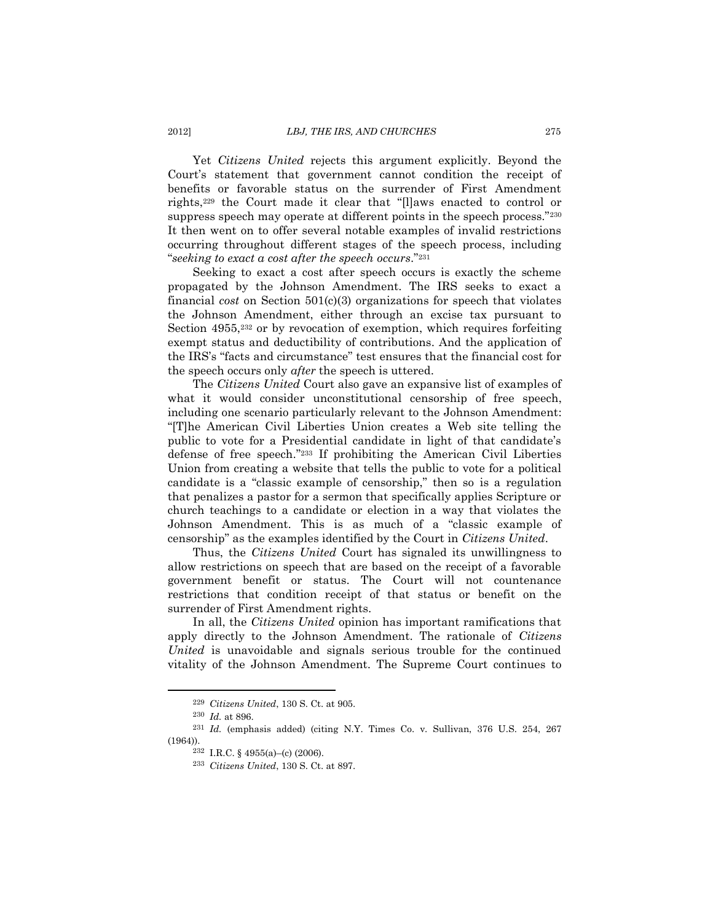Yet *Citizens United* rejects this argument explicitly. Beyond the Court's statement that government cannot condition the receipt of benefits or favorable status on the surrender of First Amendment rights,<sup>229</sup> the Court made it clear that "[l]aws enacted to control or suppress speech may operate at different points in the speech process."230 It then went on to offer several notable examples of invalid restrictions occurring throughout different stages of the speech process, including "*seeking to exact a cost after the speech occurs*." 231

Seeking to exact a cost after speech occurs is exactly the scheme propagated by the Johnson Amendment. The IRS seeks to exact a financial *cost* on Section 501(c)(3) organizations for speech that violates the Johnson Amendment, either through an excise tax pursuant to Section 4955,<sup>232</sup> or by revocation of exemption, which requires forfeiting exempt status and deductibility of contributions. And the application of the IRS's "facts and circumstance" test ensures that the financial cost for the speech occurs only *after* the speech is uttered.

The *Citizens United* Court also gave an expansive list of examples of what it would consider unconstitutional censorship of free speech, including one scenario particularly relevant to the Johnson Amendment: "[T]he American Civil Liberties Union creates a Web site telling the public to vote for a Presidential candidate in light of that candidate's defense of free speech." <sup>233</sup> If prohibiting the American Civil Liberties Union from creating a website that tells the public to vote for a political candidate is a "classic example of censorship," then so is a regulation that penalizes a pastor for a sermon that specifically applies Scripture or church teachings to a candidate or election in a way that violates the Johnson Amendment. This is as much of a "classic example of censorship" as the examples identified by the Court in *Citizens United*.

Thus, the *Citizens United* Court has signaled its unwillingness to allow restrictions on speech that are based on the receipt of a favorable government benefit or status. The Court will not countenance restrictions that condition receipt of that status or benefit on the surrender of First Amendment rights.

In all, the *Citizens United* opinion has important ramifications that apply directly to the Johnson Amendment. The rationale of *Citizens United* is unavoidable and signals serious trouble for the continued vitality of the Johnson Amendment. The Supreme Court continues to

<sup>229</sup> *Citizens United*, 130 S. Ct. at 905.

<sup>230</sup> *Id.* at 896.

<sup>231</sup> *Id.* (emphasis added) (citing N.Y. Times Co. v. Sullivan, 376 U.S. 254, 267 (1964)).

 $232$  I.R.C. § 4955(a)–(c) (2006).

<sup>233</sup> *Citizens United*, 130 S. Ct. at 897.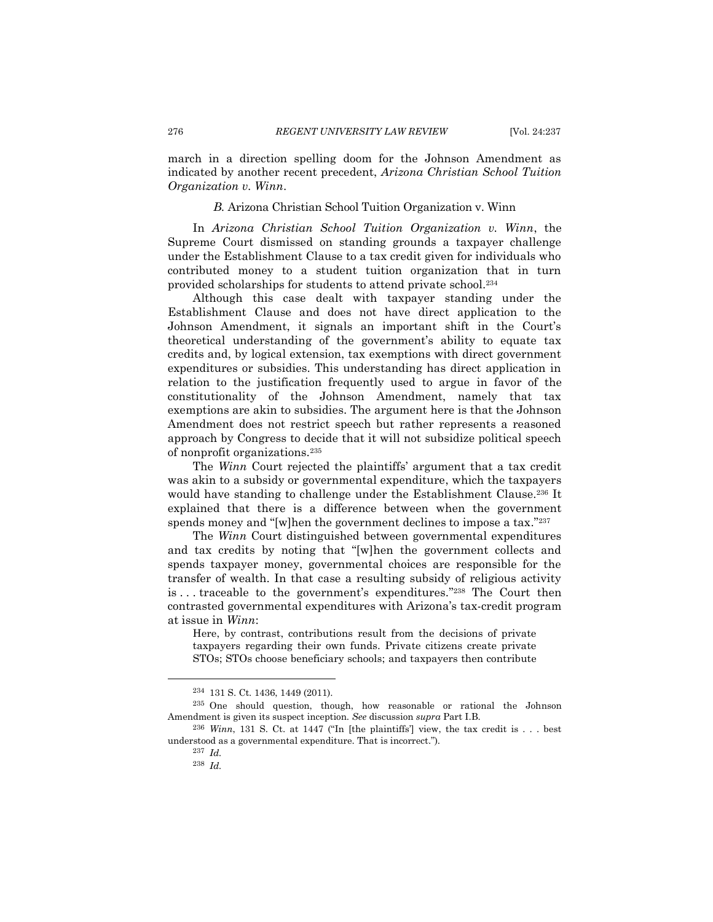march in a direction spelling doom for the Johnson Amendment as indicated by another recent precedent, *Arizona Christian School Tuition Organization v. Winn*.

### *B.* Arizona Christian School Tuition Organization v. Winn

<span id="page-39-0"></span>In *Arizona Christian School Tuition Organization v. Winn*, the Supreme Court dismissed on standing grounds a taxpayer challenge under the Establishment Clause to a tax credit given for individuals who contributed money to a student tuition organization that in turn provided scholarships for students to attend private school.<sup>234</sup>

Although this case dealt with taxpayer standing under the Establishment Clause and does not have direct application to the Johnson Amendment, it signals an important shift in the Court's theoretical understanding of the government's ability to equate tax credits and, by logical extension, tax exemptions with direct government expenditures or subsidies. This understanding has direct application in relation to the justification frequently used to argue in favor of the constitutionality of the Johnson Amendment, namely that tax exemptions are akin to subsidies. The argument here is that the Johnson Amendment does not restrict speech but rather represents a reasoned approach by Congress to decide that it will not subsidize political speech of nonprofit organizations.<sup>235</sup>

The *Winn* Court rejected the plaintiffs' argument that a tax credit was akin to a subsidy or governmental expenditure, which the taxpayers would have standing to challenge under the Establishment Clause.<sup>236</sup> It explained that there is a difference between when the government spends money and "[w]hen the government declines to impose a tax."237

The *Winn* Court distinguished between governmental expenditures and tax credits by noting that "[w]hen the government collects and spends taxpayer money, governmental choices are responsible for the transfer of wealth. In that case a resulting subsidy of religious activity is . . . traceable to the government's expenditures." <sup>238</sup> The Court then contrasted governmental expenditures with Arizona's tax-credit program at issue in *Winn*:

Here, by contrast, contributions result from the decisions of private taxpayers regarding their own funds. Private citizens create private STOs; STOs choose beneficiary schools; and taxpayers then contribute

<sup>234</sup> 131 S. Ct. 1436, 1449 (2011).

<sup>235</sup> One should question, though, how reasonable or rational the Johnson Amendment is given its suspect inception. *See* discussion *supra* Part I.B.

<sup>236</sup> *Winn*, 131 S. Ct. at 1447 ("In [the plaintiffs'] view, the tax credit is . . . best understood as a governmental expenditure. That is incorrect.").

<sup>237</sup> *Id.*

<sup>238</sup> *Id.*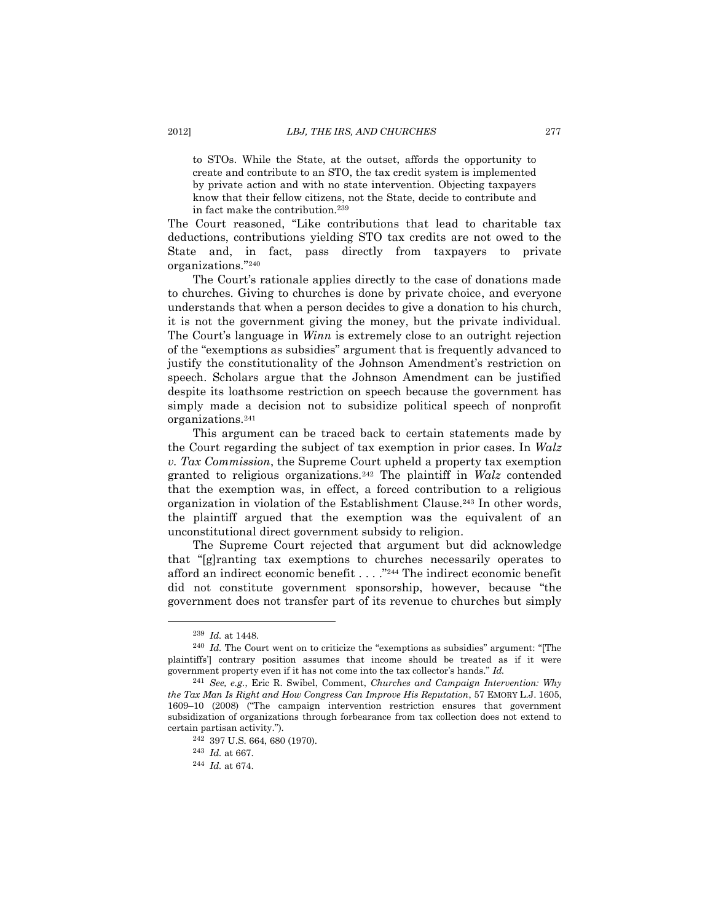to STOs. While the State, at the outset, affords the opportunity to create and contribute to an STO, the tax credit system is implemented by private action and with no state intervention. Objecting taxpayers know that their fellow citizens, not the State, decide to contribute and in fact make the contribution.<sup>239</sup>

The Court reasoned, "Like contributions that lead to charitable tax deductions, contributions yielding STO tax credits are not owed to the State and, in fact, pass directly from taxpayers to private organizations." 240

The Court's rationale applies directly to the case of donations made to churches. Giving to churches is done by private choice, and everyone understands that when a person decides to give a donation to his church, it is not the government giving the money, but the private individual. The Court's language in *Winn* is extremely close to an outright rejection of the "exemptions as subsidies" argument that is frequently advanced to justify the constitutionality of the Johnson Amendment's restriction on speech. Scholars argue that the Johnson Amendment can be justified despite its loathsome restriction on speech because the government has simply made a decision not to subsidize political speech of nonprofit organizations.<sup>241</sup>

This argument can be traced back to certain statements made by the Court regarding the subject of tax exemption in prior cases. In *Walz v. Tax Commission*, the Supreme Court upheld a property tax exemption granted to religious organizations.<sup>242</sup> The plaintiff in *Walz* contended that the exemption was, in effect, a forced contribution to a religious organization in violation of the Establishment Clause.<sup>243</sup> In other words, the plaintiff argued that the exemption was the equivalent of an unconstitutional direct government subsidy to religion.

The Supreme Court rejected that argument but did acknowledge that "[g]ranting tax exemptions to churches necessarily operates to afford an indirect economic benefit . . . ." <sup>244</sup> The indirect economic benefit did not constitute government sponsorship, however, because "the government does not transfer part of its revenue to churches but simply

<sup>239</sup> *Id.* at 1448.

<sup>&</sup>lt;sup>240</sup> *Id.* The Court went on to criticize the "exemptions as subsidies" argument: "[The plaintiffs'] contrary position assumes that income should be treated as if it were government property even if it has not come into the tax collector's hands." *Id.*

<sup>241</sup> *See, e.g.*, Eric R. Swibel, Comment, *Churches and Campaign Intervention: Why the Tax Man Is Right and How Congress Can Improve His Reputation*, 57 EMORY L.J. 1605, 1609–10 (2008) ("The campaign intervention restriction ensures that government subsidization of organizations through forbearance from tax collection does not extend to certain partisan activity.").

<sup>242</sup> 397 U.S. 664, 680 (1970).

<sup>243</sup> *Id.* at 667.

<sup>244</sup> *Id.* at 674.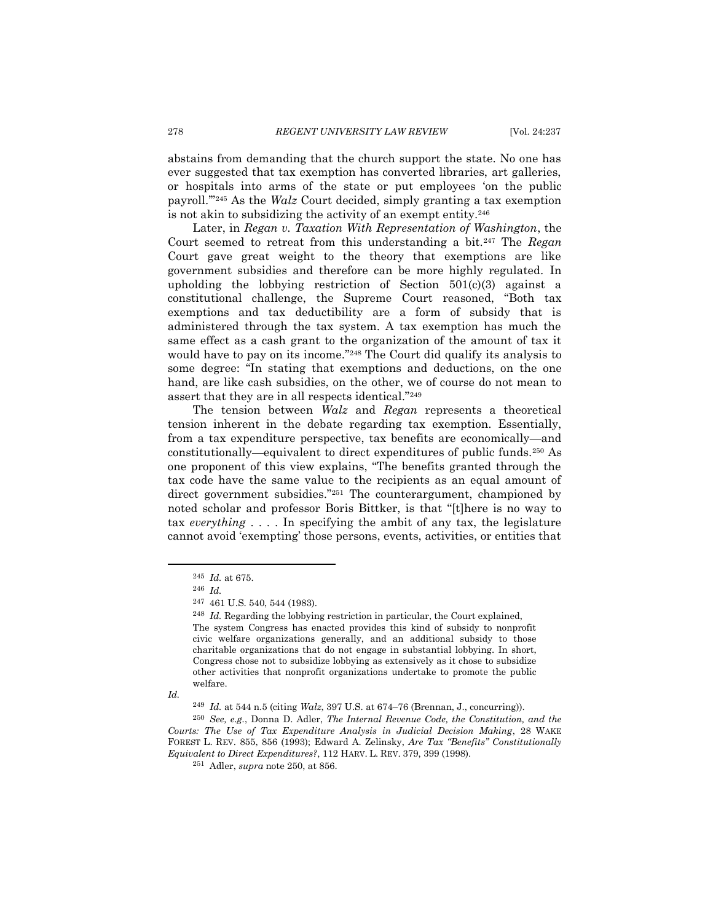abstains from demanding that the church support the state. No one has ever suggested that tax exemption has converted libraries, art galleries, or hospitals into arms of the state or put employees 'on the public payroll.'" <sup>245</sup> As the *Walz* Court decided, simply granting a tax exemption is not akin to subsidizing the activity of an exempt entity.<sup>246</sup>

Later, in *Regan v. Taxation With Representation of Washington*, the Court seemed to retreat from this understanding a bit.<sup>247</sup> The *Regan* Court gave great weight to the theory that exemptions are like government subsidies and therefore can be more highly regulated. In upholding the lobbying restriction of Section 501(c)(3) against a constitutional challenge, the Supreme Court reasoned, "Both tax exemptions and tax deductibility are a form of subsidy that is administered through the tax system. A tax exemption has much the same effect as a cash grant to the organization of the amount of tax it would have to pay on its income." <sup>248</sup> The Court did qualify its analysis to some degree: "In stating that exemptions and deductions, on the one hand, are like cash subsidies, on the other, we of course do not mean to assert that they are in all respects identical."<sup>249</sup>

The tension between *Walz* and *Regan* represents a theoretical tension inherent in the debate regarding tax exemption. Essentially, from a tax expenditure perspective, tax benefits are economically—and constitutionally—equivalent to direct expenditures of public funds.<sup>250</sup> As one proponent of this view explains, "The benefits granted through the tax code have the same value to the recipients as an equal amount of direct government subsidies."<sup>251</sup> The counterargument, championed by noted scholar and professor Boris Bittker, is that "[t]here is no way to tax *everything* . . . . In specifying the ambit of any tax, the legislature cannot avoid 'exempting' those persons, events, activities, or entities that

*Id.*

 $\overline{a}$ 

<sup>249</sup> *Id.* at 544 n.5 (citing *Walz*, 397 U.S. at 674–76 (Brennan, J., concurring)).

<sup>250</sup> *See, e.g.*, Donna D. Adler, *The Internal Revenue Code, the Constitution, and the Courts: The Use of Tax Expenditure Analysis in Judicial Decision Making*, 28 WAKE FOREST L. REV. 855, 856 (1993); Edward A. Zelinsky, *Are Tax "Benefits" Constitutionally Equivalent to Direct Expenditures?*, 112 HARV. L. REV. 379, 399 (1998).

<span id="page-41-0"></span><sup>245</sup> *Id.* at 675.

<sup>246</sup> *Id.*

<sup>247</sup> 461 U.S. 540, 544 (1983).

<sup>248</sup> *Id.* Regarding the lobbying restriction in particular, the Court explained, The system Congress has enacted provides this kind of subsidy to nonprofit civic welfare organizations generally, and an additional subsidy to those charitable organizations that do not engage in substantial lobbying. In short, Congress chose not to subsidize lobbying as extensively as it chose to subsidize other activities that nonprofit organizations undertake to promote the public welfare.

<sup>251</sup> Adler, *supra* not[e 250,](#page-41-0) at 856.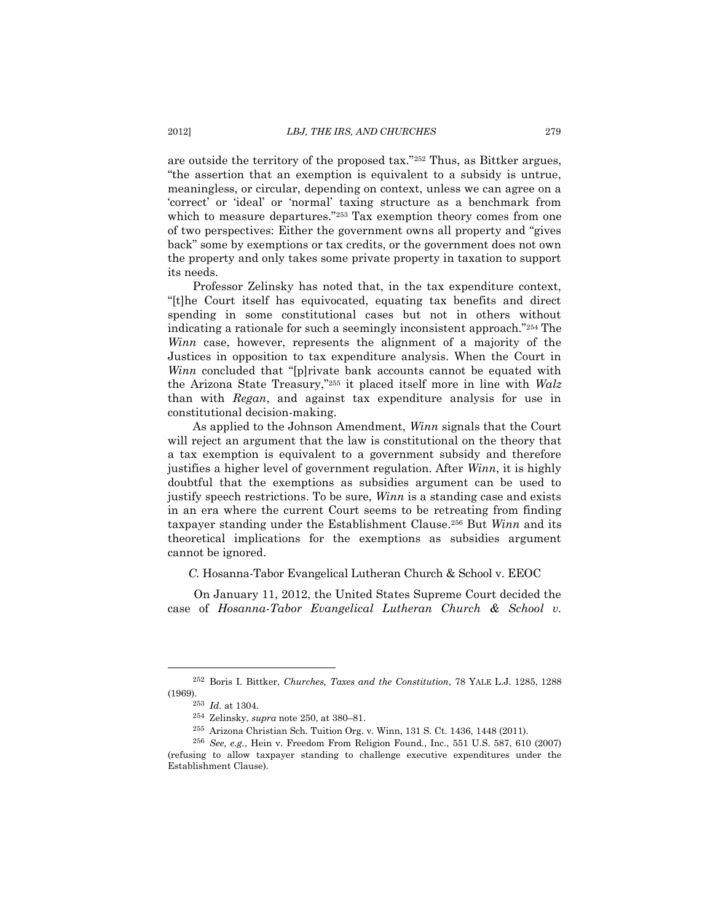are outside the territory of the proposed tax."<sup>252</sup> Thus, as Bittker argues, "the assertion that an exemption is equivalent to a subsidy is untrue, meaningless, or circular, depending on context, unless we can agree on a 'correct' or 'ideal' or 'normal' taxing structure as a benchmark from which to measure departures."<sup>253</sup> Tax exemption theory comes from one of two perspectives: Either the government owns all property and "gives back" some by exemptions or tax credits, or the government does not own the property and only takes some private property in taxation to support its needs.

Professor Zelinsky has noted that, in the tax expenditure context, "[t]he Court itself has equivocated, equating tax benefits and direct spending in some constitutional cases but not in others without indicating a rationale for such a seemingly inconsistent approach." <sup>254</sup> The *Winn* case, however, represents the alignment of a majority of the Justices in opposition to tax expenditure analysis. When the Court in *Winn* concluded that "[p]rivate bank accounts cannot be equated with the Arizona State Treasury,"<sup>255</sup> it placed itself more in line with *Walz* than with *Regan*, and against tax expenditure analysis for use in constitutional decision-making.

As applied to the Johnson Amendment, *Winn* signals that the Court will reject an argument that the law is constitutional on the theory that a tax exemption is equivalent to a government subsidy and therefore justifies a higher level of government regulation. After *Winn*, it is highly doubtful that the exemptions as subsidies argument can be used to justify speech restrictions. To be sure, *Winn* is a standing case and exists in an era where the current Court seems to be retreating from finding taxpayer standing under the Establishment Clause.<sup>256</sup> But *Winn* and its theoretical implications for the exemptions as subsidies argument cannot be ignored.

<span id="page-42-0"></span>*C.* Hosanna-Tabor Evangelical Lutheran Church & School v. EEOC

On January 11, 2012, the United States Supreme Court decided the case of *Hosanna-Tabor Evangelical Lutheran Church & School v.* 

<sup>252</sup> Boris I. Bittker, *Churches, Taxes and the Constitution*, 78 YALE L.J. 1285, 1288 (1969).

<sup>253</sup> *Id.* at 1304.

<sup>254</sup> Zelinsky, *supra* not[e 250,](#page-41-0) at 380–81.

<sup>255</sup> Arizona Christian Sch. Tuition Org. v. Winn, 131 S. Ct. 1436, 1448 (2011).

<sup>256</sup> *See, e.g.*, Hein v. Freedom From Religion Found., Inc., 551 U.S. 587, 610 (2007) (refusing to allow taxpayer standing to challenge executive expenditures under the Establishment Clause).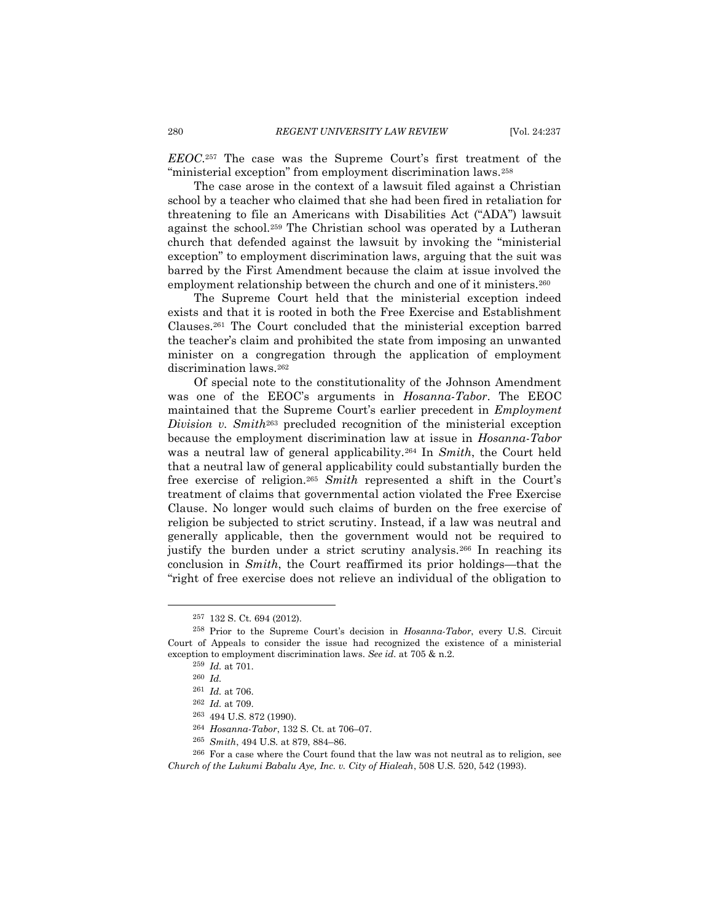*EEOC*. <sup>257</sup> The case was the Supreme Court's first treatment of the "ministerial exception" from employment discrimination laws.<sup>258</sup>

The case arose in the context of a lawsuit filed against a Christian school by a teacher who claimed that she had been fired in retaliation for threatening to file an Americans with Disabilities Act ("ADA") lawsuit against the school.<sup>259</sup> The Christian school was operated by a Lutheran church that defended against the lawsuit by invoking the "ministerial exception" to employment discrimination laws, arguing that the suit was barred by the First Amendment because the claim at issue involved the employment relationship between the church and one of it ministers.<sup>260</sup>

The Supreme Court held that the ministerial exception indeed exists and that it is rooted in both the Free Exercise and Establishment Clauses.<sup>261</sup> The Court concluded that the ministerial exception barred the teacher's claim and prohibited the state from imposing an unwanted minister on a congregation through the application of employment discrimination laws.<sup>262</sup>

Of special note to the constitutionality of the Johnson Amendment was one of the EEOC's arguments in *Hosanna-Tabor*. The EEOC maintained that the Supreme Court's earlier precedent in *Employment Division v. Smith*<sup>263</sup> precluded recognition of the ministerial exception because the employment discrimination law at issue in *Hosanna-Tabor* was a neutral law of general applicability.<sup>264</sup> In *Smith*, the Court held that a neutral law of general applicability could substantially burden the free exercise of religion.<sup>265</sup> *Smith* represented a shift in the Court's treatment of claims that governmental action violated the Free Exercise Clause. No longer would such claims of burden on the free exercise of religion be subjected to strict scrutiny. Instead, if a law was neutral and generally applicable, then the government would not be required to justify the burden under a strict scrutiny analysis.<sup>266</sup> In reaching its conclusion in *Smith*, the Court reaffirmed its prior holdings—that the "right of free exercise does not relieve an individual of the obligation to

<sup>257</sup> 132 S. Ct. 694 (2012).

<sup>258</sup> Prior to the Supreme Court's decision in *Hosanna-Tabor*, every U.S. Circuit Court of Appeals to consider the issue had recognized the existence of a ministerial exception to employment discrimination laws. *See id.* at 705 & n.2.

<sup>259</sup> *Id.* at 701.

<sup>260</sup> *Id.*

<sup>261</sup> *Id.* at 706.

<sup>262</sup> *Id.* at 709.

<sup>263</sup> 494 U.S. 872 (1990).

<sup>264</sup> *Hosanna-Tabor*, 132 S. Ct. at 706–07.

<sup>265</sup> *Smith*, 494 U.S. at 879, 884–86.

<sup>266</sup> For a case where the Court found that the law was not neutral as to religion, see *Church of the Lukumi Babalu Aye, Inc. v. City of Hialeah*, 508 U.S. 520, 542 (1993).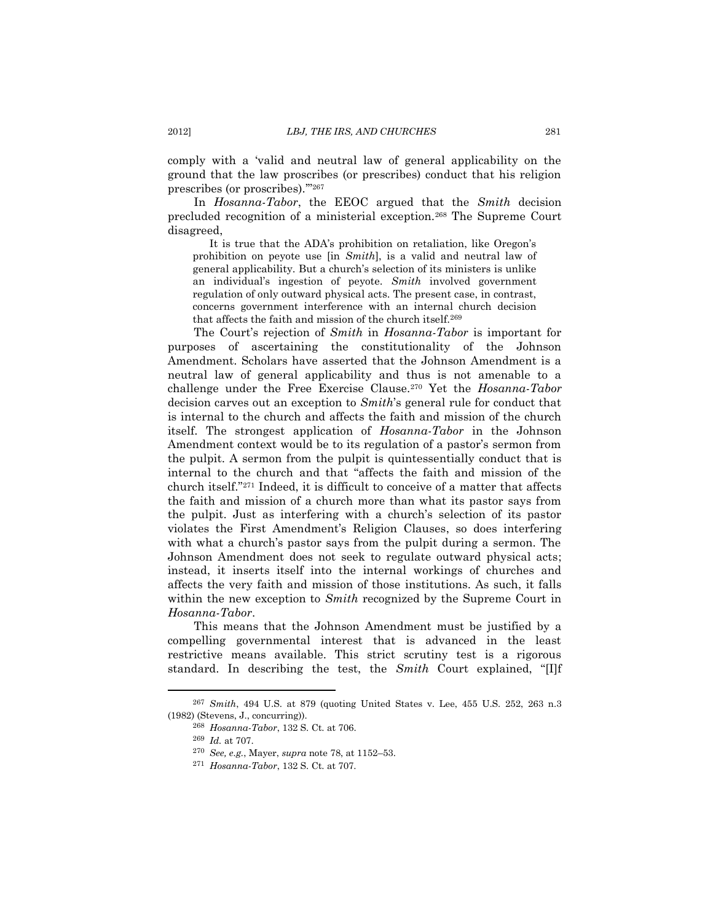comply with a 'valid and neutral law of general applicability on the ground that the law proscribes (or prescribes) conduct that his religion prescribes (or proscribes).'" 267

In *Hosanna-Tabor*, the EEOC argued that the *Smith* decision precluded recognition of a ministerial exception.<sup>268</sup> The Supreme Court disagreed,

It is true that the ADA's prohibition on retaliation, like Oregon's prohibition on peyote use [in *Smith*], is a valid and neutral law of general applicability. But a church's selection of its ministers is unlike an individual's ingestion of peyote. *Smith* involved government regulation of only outward physical acts. The present case, in contrast, concerns government interference with an internal church decision that affects the faith and mission of the church itself.<sup>269</sup>

The Court's rejection of *Smith* in *Hosanna-Tabor* is important for purposes of ascertaining the constitutionality of the Johnson Amendment. Scholars have asserted that the Johnson Amendment is a neutral law of general applicability and thus is not amenable to a challenge under the Free Exercise Clause.<sup>270</sup> Yet the *Hosanna-Tabor*  decision carves out an exception to *Smith*'s general rule for conduct that is internal to the church and affects the faith and mission of the church itself. The strongest application of *Hosanna-Tabor* in the Johnson Amendment context would be to its regulation of a pastor's sermon from the pulpit. A sermon from the pulpit is quintessentially conduct that is internal to the church and that "affects the faith and mission of the church itself."<sup>271</sup> Indeed, it is difficult to conceive of a matter that affects the faith and mission of a church more than what its pastor says from the pulpit. Just as interfering with a church's selection of its pastor violates the First Amendment's Religion Clauses, so does interfering with what a church's pastor says from the pulpit during a sermon. The Johnson Amendment does not seek to regulate outward physical acts; instead, it inserts itself into the internal workings of churches and affects the very faith and mission of those institutions. As such, it falls within the new exception to *Smith* recognized by the Supreme Court in *Hosanna-Tabor*.

This means that the Johnson Amendment must be justified by a compelling governmental interest that is advanced in the least restrictive means available. This strict scrutiny test is a rigorous standard. In describing the test, the *Smith* Court explained, "[I]f

<sup>267</sup> *Smith*, 494 U.S. at 879 (quoting United States v. Lee, 455 U.S. 252, 263 n.3 (1982) (Stevens, J., concurring)).

<sup>268</sup> *Hosanna-Tabor*, 132 S. Ct. at 706.

<sup>269</sup> *Id.* at 707.

<sup>270</sup> *See, e.g.*, Mayer, *supra* not[e 78,](#page-13-1) at 1152–53.

<sup>271</sup> *Hosanna-Tabor*, 132 S. Ct. at 707.